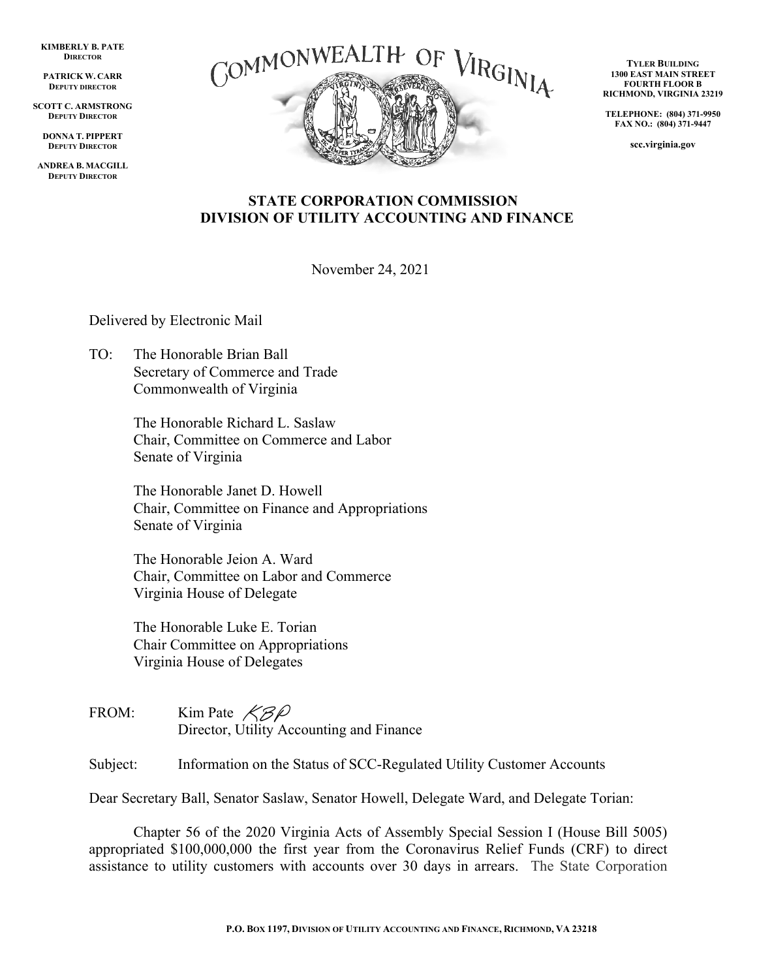**KIMBERLY B. PATE DIRECTOR**

**PATRICK W. CARR DEPUTY DIRECTOR**

**SCOTT C. ARMSTRONG DEPUTY DIRECTOR**

**DONNA T. PIPPERT DEPUTY DIRECTOR**

**ANDREA B. MACGILL DEPUTY DIRECTOR**



**TYLER BUILDING 1300 EAST MAIN STREET FOURTH FLOOR B RICHMOND, VIRGINIA 23219**

**TELEPHONE: (804) 371-9950 FAX NO.: (804) 371-9447**

**scc.virginia.gov**

#### **STATE CORPORATION COMMISSION DIVISION OF UTILITY ACCOUNTING AND FINANCE**

November 24, 2021

Delivered by Electronic Mail

TO: The Honorable Brian Ball Secretary of Commerce and Trade Commonwealth of Virginia

> The Honorable Richard L. Saslaw Chair, Committee on Commerce and Labor Senate of Virginia

The Honorable Janet D. Howell Chair, Committee on Finance and Appropriations Senate of Virginia

The Honorable Jeion A. Ward Chair, Committee on Labor and Commerce Virginia House of Delegate

The Honorable Luke E. Torian Chair Committee on Appropriations Virginia House of Delegates

FROM: Kim Pate  $\mathcal{K}\mathcal{B}\mathcal{P}$ Director, Utility Accounting and Finance

Subject: Information on the Status of SCC-Regulated Utility Customer Accounts

Dear Secretary Ball, Senator Saslaw, Senator Howell, Delegate Ward, and Delegate Torian:

Chapter 56 of the 2020 Virginia Acts of Assembly Special Session I (House Bill 5005) appropriated \$100,000,000 the first year from the Coronavirus Relief Funds (CRF) to direct assistance to utility customers with accounts over 30 days in arrears. The State Corporation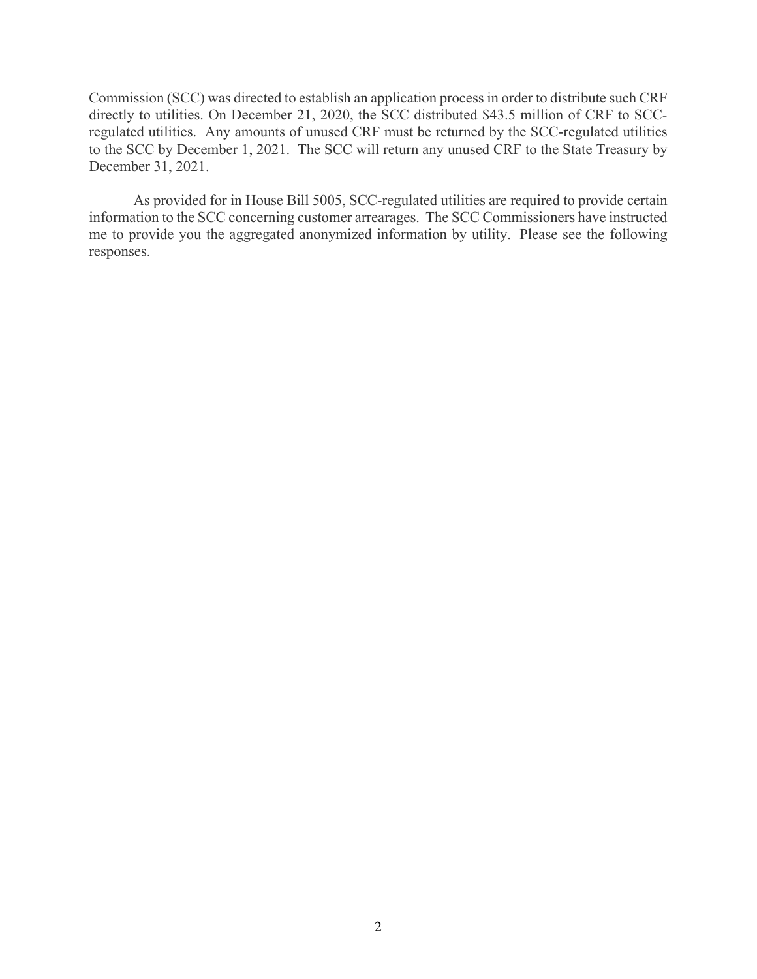Commission (SCC) was directed to establish an application process in order to distribute such CRF directly to utilities. On December 21, 2020, the SCC distributed \$43.5 million of CRF to SCCregulated utilities. Any amounts of unused CRF must be returned by the SCC-regulated utilities to the SCC by December 1, 2021. The SCC will return any unused CRF to the State Treasury by December 31, 2021.

As provided for in House Bill 5005, SCC-regulated utilities are required to provide certain information to the SCC concerning customer arrearages. The SCC Commissioners have instructed me to provide you the aggregated anonymized information by utility. Please see the following responses.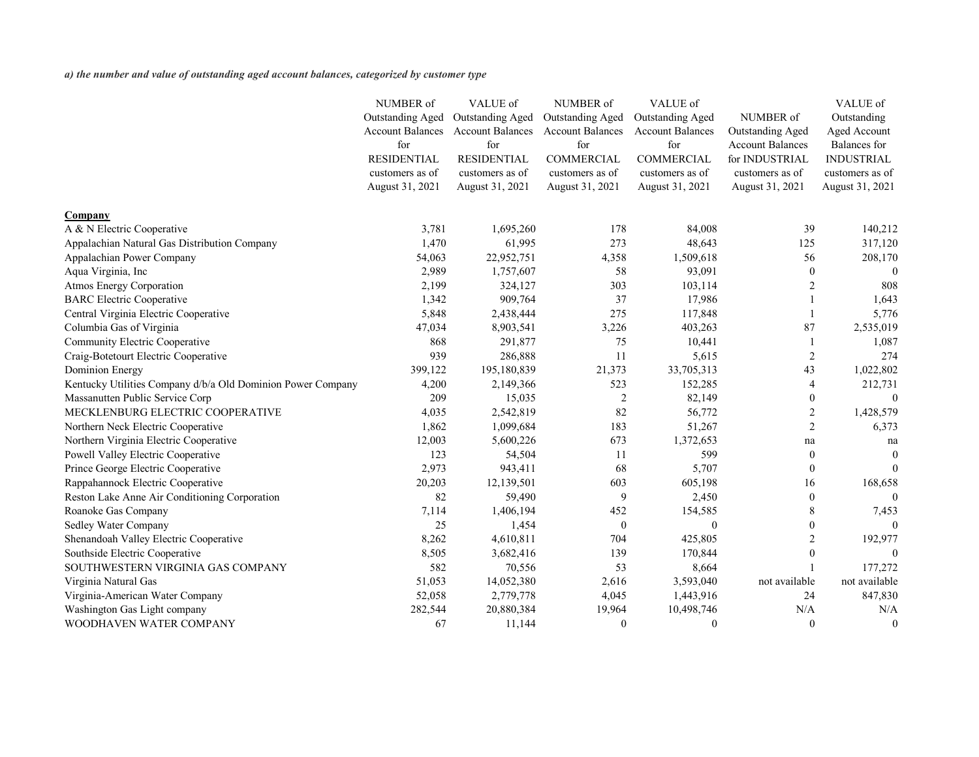*a) the number and value of outstanding aged account balances, categorized by customer type*

|                                                             | NUMBER of               | VALUE of                | NUMBER of               | VALUE of                |                         | VALUE of            |
|-------------------------------------------------------------|-------------------------|-------------------------|-------------------------|-------------------------|-------------------------|---------------------|
|                                                             | <b>Outstanding Aged</b> | <b>Outstanding Aged</b> | <b>Outstanding Aged</b> | <b>Outstanding Aged</b> | NUMBER of               | Outstanding         |
|                                                             | <b>Account Balances</b> | <b>Account Balances</b> | <b>Account Balances</b> | <b>Account Balances</b> | <b>Outstanding Aged</b> | Aged Account        |
|                                                             | for                     | for                     | for                     | for                     | <b>Account Balances</b> | <b>Balances</b> for |
|                                                             | <b>RESIDENTIAL</b>      | <b>RESIDENTIAL</b>      | <b>COMMERCIAL</b>       | <b>COMMERCIAL</b>       | for INDUSTRIAL          | <b>INDUSTRIAL</b>   |
|                                                             | customers as of         | customers as of         | customers as of         | customers as of         | customers as of         | customers as of     |
|                                                             | August 31, 2021         | August 31, 2021         | August 31, 2021         | August 31, 2021         | August 31, 2021         | August 31, 2021     |
| <b>Company</b>                                              |                         |                         |                         |                         |                         |                     |
| A & N Electric Cooperative                                  | 3,781                   | 1,695,260               | 178                     | 84,008                  | 39                      | 140,212             |
| Appalachian Natural Gas Distribution Company                | 1,470                   | 61,995                  | 273                     | 48,643                  | 125                     | 317,120             |
| Appalachian Power Company                                   | 54,063                  | 22,952,751              | 4,358                   | 1,509,618               | 56                      | 208,170             |
| Aqua Virginia, Inc                                          | 2,989                   | 1,757,607               | 58                      | 93,091                  | 0                       | $\theta$            |
| <b>Atmos Energy Corporation</b>                             | 2,199                   | 324,127                 | 303                     | 103,114                 |                         | 808                 |
| <b>BARC</b> Electric Cooperative                            | 1,342                   | 909,764                 | 37                      | 17,986                  |                         | 1,643               |
| Central Virginia Electric Cooperative                       | 5,848                   | 2,438,444               | 275                     | 117,848                 |                         | 5,776               |
| Columbia Gas of Virginia                                    | 47,034                  | 8,903,541               | 3,226                   | 403,263                 | 87                      | 2,535,019           |
| Community Electric Cooperative                              | 868                     | 291,877                 | 75                      | 10,441                  |                         | 1,087               |
| Craig-Botetourt Electric Cooperative                        | 939                     | 286,888                 | 11                      | 5,615                   | 2                       | 274                 |
| <b>Dominion Energy</b>                                      | 399,122                 | 195,180,839             | 21,373                  | 33,705,313              | 43                      | 1,022,802           |
| Kentucky Utilities Company d/b/a Old Dominion Power Company | 4,200                   | 2,149,366               | 523                     | 152,285                 |                         | 212,731             |
| Massanutten Public Service Corp                             | 209                     | 15,035                  | $\overline{2}$          | 82,149                  | 0                       |                     |
| MECKLENBURG ELECTRIC COOPERATIVE                            | 4,035                   | 2,542,819               | 82                      | 56,772                  | 2                       | 1,428,579           |
| Northern Neck Electric Cooperative                          | 1,862                   | 1,099,684               | 183                     | 51,267                  | 2                       | 6,373               |
| Northern Virginia Electric Cooperative                      | 12,003                  | 5,600,226               | 673                     | 1,372,653               | na                      | na                  |
| Powell Valley Electric Cooperative                          | 123                     | 54,504                  | 11                      | 599                     | $\bf{0}$                | $\boldsymbol{0}$    |
| Prince George Electric Cooperative                          | 2,973                   | 943,411                 | 68                      | 5,707                   | 0                       | $\boldsymbol{0}$    |
| Rappahannock Electric Cooperative                           | 20,203                  | 12,139,501              | 603                     | 605,198                 | 16                      | 168,658             |
| Reston Lake Anne Air Conditioning Corporation               | 82                      | 59,490                  | 9                       | 2,450                   | $\overline{0}$          | $\boldsymbol{0}$    |
| Roanoke Gas Company                                         | 7,114                   | 1,406,194               | 452                     | 154,585                 | 8                       | 7,453               |
| <b>Sedley Water Company</b>                                 | 25                      | 1,454                   | $\theta$                |                         |                         |                     |
| Shenandoah Valley Electric Cooperative                      | 8,262                   | 4,610,811               | 704                     | 425,805                 |                         | 192,977             |
| Southside Electric Cooperative                              | 8,505                   | 3,682,416               | 139                     | 170,844                 |                         | $\theta$            |
| SOUTHWESTERN VIRGINIA GAS COMPANY                           | 582                     | 70,556                  | 53                      | 8,664                   |                         | 177,272             |
| Virginia Natural Gas                                        | 51,053                  | 14,052,380              | 2,616                   | 3,593,040               | not available           | not available       |
| Virginia-American Water Company                             | 52,058                  | 2,779,778               | 4,045                   | 1,443,916               | 24                      | 847,830             |
| Washington Gas Light company                                | 282,544                 | 20,880,384              | 19,964                  | 10,498,746              | N/A                     | N/A                 |
| WOODHAVEN WATER COMPANY                                     | 67                      | 11,144                  | $\boldsymbol{0}$        | $\boldsymbol{0}$        | $\mathbf{0}$            | $\boldsymbol{0}$    |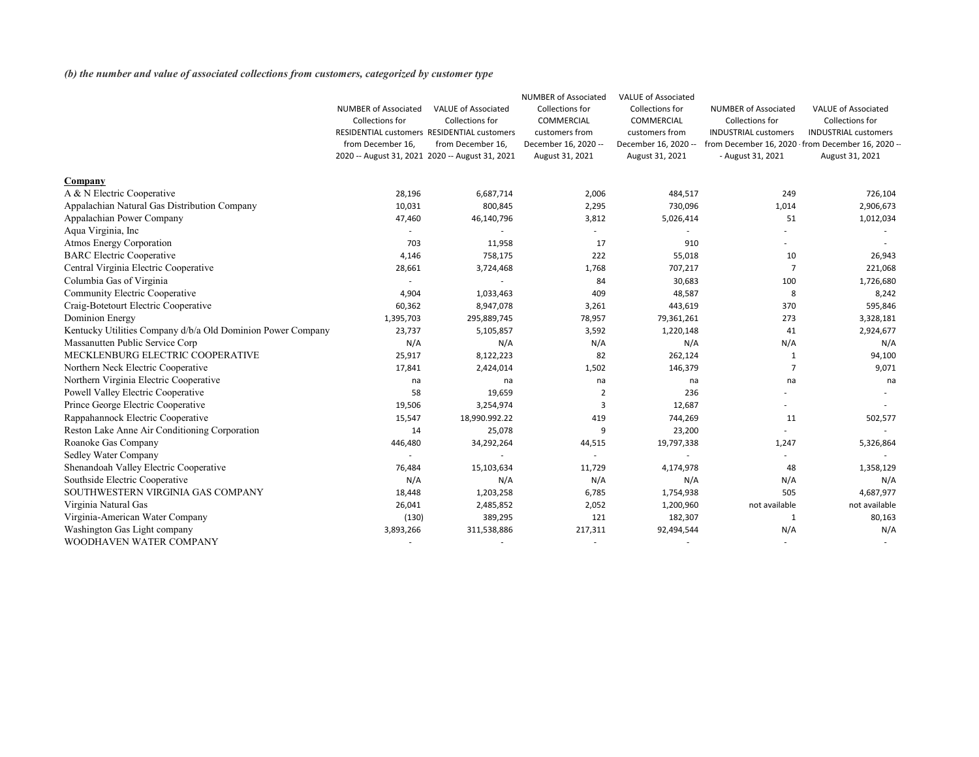*(b) the number and value of associated collections from customers, categorized by customer type*

|                                                             |                                                 |                            | <b>NUMBER of Associated</b> | <b>VALUE of Associated</b> |                             |                                                   |
|-------------------------------------------------------------|-------------------------------------------------|----------------------------|-----------------------------|----------------------------|-----------------------------|---------------------------------------------------|
|                                                             | <b>NUMBER of Associated</b>                     | <b>VALUE of Associated</b> | Collections for             | Collections for            | <b>NUMBER of Associated</b> | <b>VALUE of Associated</b>                        |
|                                                             | Collections for                                 | Collections for            | COMMERCIAL                  | COMMERCIAL                 | Collections for             | Collections for                                   |
|                                                             | RESIDENTIAL customers RESIDENTIAL customers     |                            | customers from              | customers from             | <b>INDUSTRIAL customers</b> | <b>INDUSTRIAL customers</b>                       |
|                                                             | from December 16,                               | from December 16,          | December 16, 2020 --        | December 16, 2020 --       |                             | from December 16, 2020 · from December 16, 2020 - |
|                                                             | 2020 -- August 31, 2021 2020 -- August 31, 2021 |                            | August 31, 2021             | August 31, 2021            | - August 31, 2021           | August 31, 2021                                   |
| Company                                                     |                                                 |                            |                             |                            |                             |                                                   |
| A & N Electric Cooperative                                  | 28,196                                          | 6,687,714                  | 2,006                       | 484,517                    | 249                         | 726,104                                           |
| Appalachian Natural Gas Distribution Company                | 10,031                                          | 800,845                    | 2,295                       | 730,096                    | 1,014                       | 2,906,673                                         |
| Appalachian Power Company                                   | 47,460                                          | 46,140,796                 | 3,812                       | 5,026,414                  | 51                          | 1,012,034                                         |
| Aqua Virginia, Inc                                          |                                                 |                            |                             |                            |                             |                                                   |
| <b>Atmos Energy Corporation</b>                             | 703                                             | 11,958                     | 17                          | 910                        |                             |                                                   |
| <b>BARC Electric Cooperative</b>                            | 4,146                                           | 758,175                    | 222                         | 55,018                     | 10                          | 26,943                                            |
| Central Virginia Electric Cooperative                       | 28,661                                          | 3,724,468                  | 1,768                       | 707,217                    |                             | 221,068                                           |
| Columbia Gas of Virginia                                    |                                                 |                            | 84                          | 30,683                     | 100                         | 1,726,680                                         |
| <b>Community Electric Cooperative</b>                       | 4,904                                           | 1,033,463                  | 409                         | 48,587                     | 8                           | 8,242                                             |
| Craig-Botetourt Electric Cooperative                        | 60,362                                          | 8,947,078                  | 3,261                       | 443,619                    | 370                         | 595,846                                           |
| <b>Dominion Energy</b>                                      | 1,395,703                                       | 295,889,745                | 78,957                      | 79,361,261                 | 273                         | 3,328,181                                         |
| Kentucky Utilities Company d/b/a Old Dominion Power Company | 23,737                                          | 5,105,857                  | 3,592                       | 1,220,148                  | 41                          | 2,924,677                                         |
| Massanutten Public Service Corp                             | N/A                                             | N/A                        | N/A                         | N/A                        | N/A                         | N/A                                               |
| MECKLENBURG ELECTRIC COOPERATIVE                            | 25,917                                          | 8,122,223                  | 82                          | 262,124                    |                             | 94,100                                            |
| Northern Neck Electric Cooperative                          | 17,841                                          | 2,424,014                  | 1,502                       | 146,379                    |                             | 9,071                                             |
| Northern Virginia Electric Cooperative                      | na                                              | na                         | na                          | na                         | na                          | na                                                |
| Powell Valley Electric Cooperative                          | 58                                              | 19,659                     | 2                           | 236                        |                             |                                                   |
| Prince George Electric Cooperative                          | 19,506                                          | 3,254,974                  | 3                           | 12,687                     |                             |                                                   |
| Rappahannock Electric Cooperative                           | 15,547                                          | 18,990.992.22              | 419                         | 744,269                    | 11                          | 502,577                                           |
| Reston Lake Anne Air Conditioning Corporation               | 14                                              | 25,078                     | 9                           | 23,200                     |                             |                                                   |
| Roanoke Gas Company                                         | 446,480                                         | 34,292,264                 | 44,515                      | 19,797,338                 | 1,247                       | 5,326,864                                         |
| <b>Sedley Water Company</b>                                 |                                                 |                            |                             |                            |                             |                                                   |
| Shenandoah Valley Electric Cooperative                      | 76,484                                          | 15,103,634                 | 11,729                      | 4,174,978                  | 48                          | 1,358,129                                         |
| Southside Electric Cooperative                              | N/A                                             | N/A                        | N/A                         | N/A                        | N/A                         | N/A                                               |
| SOUTHWESTERN VIRGINIA GAS COMPANY                           | 18,448                                          | 1,203,258                  | 6,785                       | 1,754,938                  | 505                         | 4,687,977                                         |
| Virginia Natural Gas                                        | 26,041                                          | 2,485,852                  | 2,052                       | 1,200,960                  | not available               | not available                                     |
| Virginia-American Water Company                             | (130)                                           | 389,295                    | 121                         | 182,307                    | 1                           | 80,163                                            |
| Washington Gas Light company                                | 3,893,266                                       | 311,538,886                | 217,311                     | 92,494,544                 | N/A                         | N/A                                               |
| WOODHAVEN WATER COMPANY                                     |                                                 |                            |                             |                            |                             |                                                   |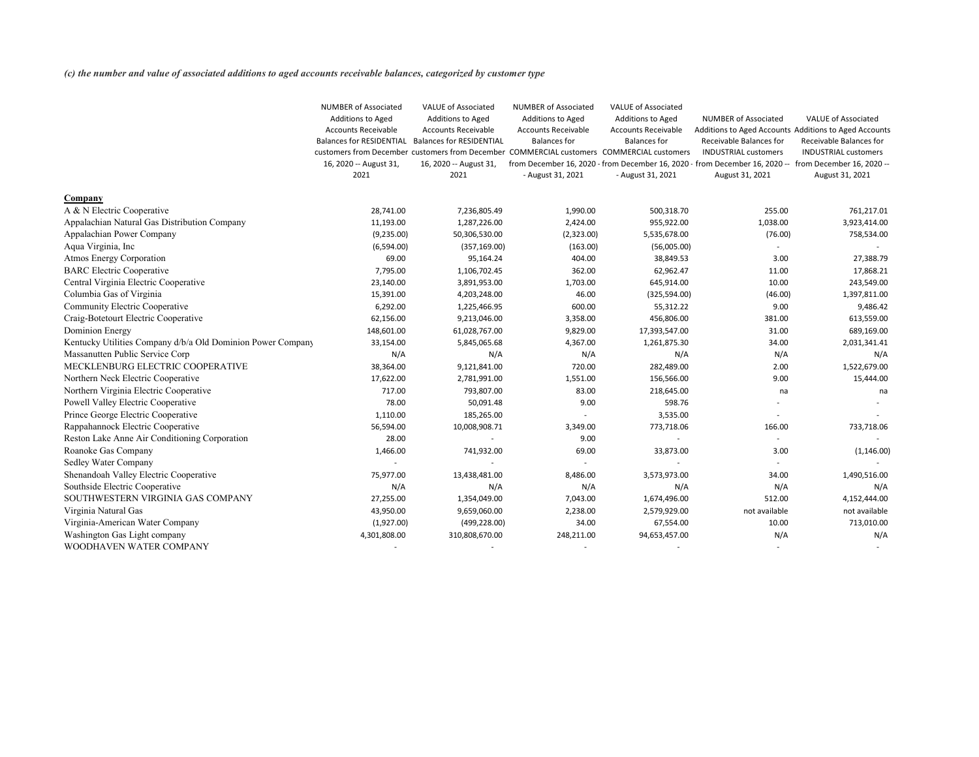*(c) the number and value of associated additions to aged accounts receivable balances, categorized by customer type*

|                                                             | <b>NUMBER of Associated</b><br>Additions to Aged<br><b>Accounts Receivable</b><br><b>Balances for RESIDENTIAL</b><br>16, 2020 -- August 31,<br>2021 | <b>VALUE of Associated</b><br>Additions to Aged<br><b>Accounts Receivable</b><br><b>Balances for RESIDENTIAL</b><br>customers from December customers from December COMMERCIAL customers COMMERCIAL customers<br>16, 2020 -- August 31,<br>2021 | <b>NUMBER of Associated</b><br>Additions to Aged<br><b>Accounts Receivable</b><br><b>Balances for</b><br>- August 31, 2021 | <b>VALUE of Associated</b><br>Additions to Aged<br><b>Accounts Receivable</b><br><b>Balances for</b><br>- August 31, 2021 | <b>NUMBER of Associated</b><br>Receivable Balances for<br><b>INDUSTRIAL customers</b><br>from December 16, 2020 - from December 16, 2020 - from December 16, 2020 -- from December 16, 2020 --<br>August 31, 2021 | <b>VALUE of Associated</b><br>Additions to Aged Accounts Additions to Aged Accounts<br>Receivable Balances for<br><b>INDUSTRIAL customers</b><br>August 31, 2021 |
|-------------------------------------------------------------|-----------------------------------------------------------------------------------------------------------------------------------------------------|-------------------------------------------------------------------------------------------------------------------------------------------------------------------------------------------------------------------------------------------------|----------------------------------------------------------------------------------------------------------------------------|---------------------------------------------------------------------------------------------------------------------------|-------------------------------------------------------------------------------------------------------------------------------------------------------------------------------------------------------------------|------------------------------------------------------------------------------------------------------------------------------------------------------------------|
| <b>Company</b>                                              |                                                                                                                                                     |                                                                                                                                                                                                                                                 |                                                                                                                            |                                                                                                                           |                                                                                                                                                                                                                   |                                                                                                                                                                  |
| A & N Electric Cooperative                                  | 28,741.00                                                                                                                                           | 7,236,805.49                                                                                                                                                                                                                                    | 1,990.00                                                                                                                   | 500,318.70                                                                                                                | 255.00                                                                                                                                                                                                            | 761,217.01                                                                                                                                                       |
| Appalachian Natural Gas Distribution Company                | 11,193.00                                                                                                                                           | 1,287,226.00                                                                                                                                                                                                                                    | 2,424.00                                                                                                                   | 955,922.00                                                                                                                | 1,038.00                                                                                                                                                                                                          | 3,923,414.00                                                                                                                                                     |
| Appalachian Power Company                                   | (9,235.00)                                                                                                                                          | 50,306,530.00                                                                                                                                                                                                                                   | (2,323.00)                                                                                                                 | 5,535,678.00                                                                                                              | (76.00)                                                                                                                                                                                                           | 758,534.00                                                                                                                                                       |
| Aqua Virginia, Inc                                          | (6,594.00)                                                                                                                                          | (357, 169.00)                                                                                                                                                                                                                                   | (163.00)                                                                                                                   | (56,005.00)                                                                                                               |                                                                                                                                                                                                                   |                                                                                                                                                                  |
| <b>Atmos Energy Corporation</b>                             | 69.00                                                                                                                                               | 95,164.24                                                                                                                                                                                                                                       | 404.00                                                                                                                     | 38,849.53                                                                                                                 | 3.00                                                                                                                                                                                                              | 27,388.79                                                                                                                                                        |
| <b>BARC</b> Electric Cooperative                            | 7,795.00                                                                                                                                            | 1,106,702.45                                                                                                                                                                                                                                    | 362.00                                                                                                                     | 62,962.47                                                                                                                 | 11.00                                                                                                                                                                                                             | 17,868.21                                                                                                                                                        |
| Central Virginia Electric Cooperative                       | 23,140.00                                                                                                                                           | 3,891,953.00                                                                                                                                                                                                                                    | 1,703.00                                                                                                                   | 645,914.00                                                                                                                | 10.00                                                                                                                                                                                                             | 243,549.00                                                                                                                                                       |
| Columbia Gas of Virginia                                    | 15,391.00                                                                                                                                           | 4,203,248.00                                                                                                                                                                                                                                    | 46.00                                                                                                                      | (325, 594.00)                                                                                                             | (46.00)                                                                                                                                                                                                           | 1,397,811.00                                                                                                                                                     |
| <b>Community Electric Cooperative</b>                       | 6,292.00                                                                                                                                            | 1,225,466.95                                                                                                                                                                                                                                    | 600.00                                                                                                                     | 55,312.22                                                                                                                 | 9.00                                                                                                                                                                                                              | 9,486.42                                                                                                                                                         |
| Craig-Botetourt Electric Cooperative                        | 62,156.00                                                                                                                                           | 9,213,046.00                                                                                                                                                                                                                                    | 3,358.00                                                                                                                   | 456,806.00                                                                                                                | 381.00                                                                                                                                                                                                            | 613,559.00                                                                                                                                                       |
| <b>Dominion Energy</b>                                      | 148,601.00                                                                                                                                          | 61,028,767.00                                                                                                                                                                                                                                   | 9,829.00                                                                                                                   | 17,393,547.00                                                                                                             | 31.00                                                                                                                                                                                                             | 689,169.00                                                                                                                                                       |
| Kentucky Utilities Company d/b/a Old Dominion Power Company | 33,154.00                                                                                                                                           | 5,845,065.68                                                                                                                                                                                                                                    | 4,367.00                                                                                                                   | 1,261,875.30                                                                                                              | 34.00                                                                                                                                                                                                             | 2,031,341.41                                                                                                                                                     |
| Massanutten Public Service Corp                             | N/A                                                                                                                                                 | N/A                                                                                                                                                                                                                                             | N/A                                                                                                                        | N/A                                                                                                                       | N/A                                                                                                                                                                                                               | N/A                                                                                                                                                              |
| MECKLENBURG ELECTRIC COOPERATIVE                            | 38,364.00                                                                                                                                           | 9,121,841.00                                                                                                                                                                                                                                    | 720.00                                                                                                                     | 282,489.00                                                                                                                | 2.00                                                                                                                                                                                                              | 1,522,679.00                                                                                                                                                     |
| Northern Neck Electric Cooperative                          | 17,622.00                                                                                                                                           | 2,781,991.00                                                                                                                                                                                                                                    | 1,551.00                                                                                                                   | 156,566.00                                                                                                                | 9.00                                                                                                                                                                                                              | 15,444.00                                                                                                                                                        |
| Northern Virginia Electric Cooperative                      | 717.00                                                                                                                                              | 793,807.00                                                                                                                                                                                                                                      | 83.00                                                                                                                      | 218,645.00                                                                                                                | na                                                                                                                                                                                                                | na                                                                                                                                                               |
| Powell Valley Electric Cooperative                          | 78.00                                                                                                                                               | 50,091.48                                                                                                                                                                                                                                       | 9.00                                                                                                                       | 598.76                                                                                                                    |                                                                                                                                                                                                                   |                                                                                                                                                                  |
| Prince George Electric Cooperative                          | 1,110.00                                                                                                                                            | 185,265.00                                                                                                                                                                                                                                      |                                                                                                                            | 3,535.00                                                                                                                  |                                                                                                                                                                                                                   |                                                                                                                                                                  |
| Rappahannock Electric Cooperative                           | 56,594.00                                                                                                                                           | 10,008,908.71                                                                                                                                                                                                                                   | 3,349.00                                                                                                                   | 773,718.06                                                                                                                | 166.00                                                                                                                                                                                                            | 733,718.06                                                                                                                                                       |
| Reston Lake Anne Air Conditioning Corporation               | 28.00                                                                                                                                               |                                                                                                                                                                                                                                                 | 9.00                                                                                                                       |                                                                                                                           |                                                                                                                                                                                                                   |                                                                                                                                                                  |
| Roanoke Gas Company                                         | 1,466.00                                                                                                                                            | 741,932.00                                                                                                                                                                                                                                      | 69.00                                                                                                                      | 33,873.00                                                                                                                 | 3.00                                                                                                                                                                                                              | (1, 146.00)                                                                                                                                                      |
| <b>Sedley Water Company</b>                                 |                                                                                                                                                     |                                                                                                                                                                                                                                                 |                                                                                                                            |                                                                                                                           |                                                                                                                                                                                                                   |                                                                                                                                                                  |
| Shenandoah Valley Electric Cooperative                      | 75,977.00                                                                                                                                           | 13,438,481.00                                                                                                                                                                                                                                   | 8,486.00                                                                                                                   | 3,573,973.00                                                                                                              | 34.00                                                                                                                                                                                                             | 1,490,516.00                                                                                                                                                     |
| Southside Electric Cooperative                              | N/A                                                                                                                                                 | N/A                                                                                                                                                                                                                                             | N/A                                                                                                                        | N/A                                                                                                                       | N/A                                                                                                                                                                                                               | N/A                                                                                                                                                              |
| SOUTHWESTERN VIRGINIA GAS COMPANY                           | 27,255.00                                                                                                                                           | 1,354,049.00                                                                                                                                                                                                                                    | 7,043.00                                                                                                                   | 1,674,496.00                                                                                                              | 512.00                                                                                                                                                                                                            | 4,152,444.00                                                                                                                                                     |
| Virginia Natural Gas                                        | 43,950.00                                                                                                                                           | 9,659,060.00                                                                                                                                                                                                                                    | 2,238.00                                                                                                                   | 2,579,929.00                                                                                                              | not available                                                                                                                                                                                                     | not available                                                                                                                                                    |
| Virginia-American Water Company                             | (1,927.00)                                                                                                                                          | (499, 228.00)                                                                                                                                                                                                                                   | 34.00                                                                                                                      | 67,554.00                                                                                                                 | 10.00                                                                                                                                                                                                             | 713,010.00                                                                                                                                                       |
| Washington Gas Light company                                | 4,301,808.00                                                                                                                                        | 310,808,670.00                                                                                                                                                                                                                                  | 248,211.00                                                                                                                 | 94,653,457.00                                                                                                             | N/A                                                                                                                                                                                                               | N/A                                                                                                                                                              |
| WOODHAVEN WATER COMPANY                                     |                                                                                                                                                     |                                                                                                                                                                                                                                                 |                                                                                                                            |                                                                                                                           |                                                                                                                                                                                                                   |                                                                                                                                                                  |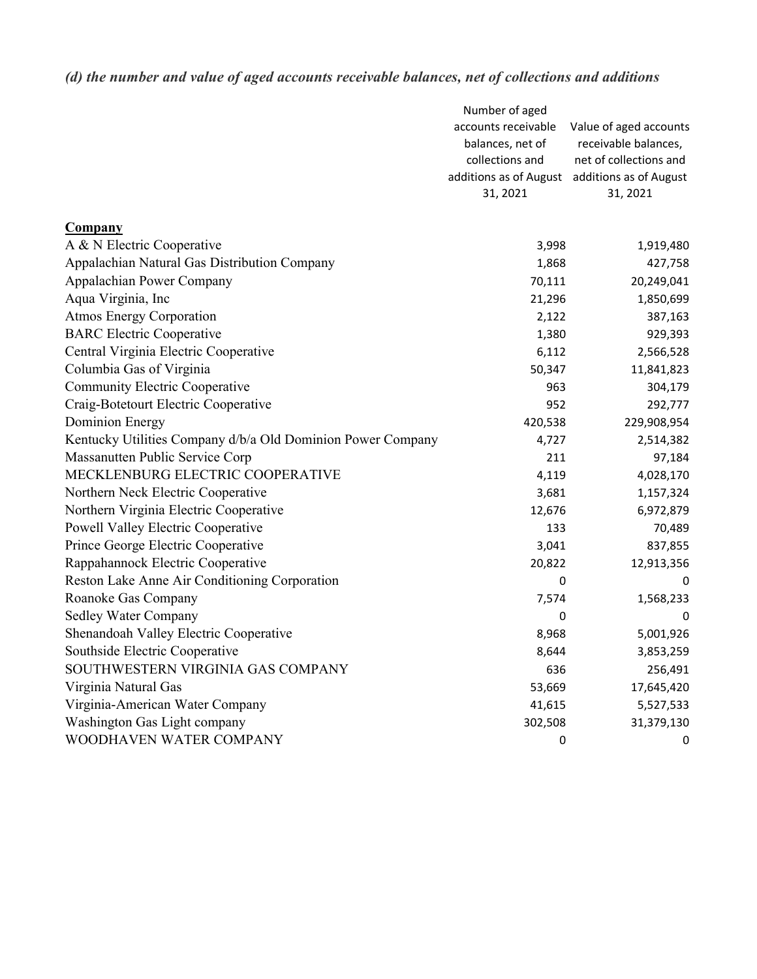# *(d) the number and value of aged accounts receivable balances, net of collections and additions*

|                                                             | Number of aged         |                        |
|-------------------------------------------------------------|------------------------|------------------------|
|                                                             | accounts receivable    | Value of aged accounts |
|                                                             | balances, net of       | receivable balances,   |
|                                                             | collections and        | net of collections and |
|                                                             | additions as of August | additions as of August |
|                                                             | 31, 2021               | 31, 2021               |
| <b>Company</b>                                              |                        |                        |
| A & N Electric Cooperative                                  | 3,998                  | 1,919,480              |
| Appalachian Natural Gas Distribution Company                | 1,868                  | 427,758                |
| Appalachian Power Company                                   | 70,111                 | 20,249,041             |
| Aqua Virginia, Inc                                          | 21,296                 | 1,850,699              |
| <b>Atmos Energy Corporation</b>                             | 2,122                  | 387,163                |
| <b>BARC Electric Cooperative</b>                            | 1,380                  | 929,393                |
| Central Virginia Electric Cooperative                       | 6,112                  | 2,566,528              |
| Columbia Gas of Virginia                                    | 50,347                 | 11,841,823             |
| <b>Community Electric Cooperative</b>                       | 963                    | 304,179                |
| Craig-Botetourt Electric Cooperative                        | 952                    | 292,777                |
| <b>Dominion Energy</b>                                      | 420,538                | 229,908,954            |
| Kentucky Utilities Company d/b/a Old Dominion Power Company | 4,727                  | 2,514,382              |
| Massanutten Public Service Corp                             | 211                    | 97,184                 |
| MECKLENBURG ELECTRIC COOPERATIVE                            | 4,119                  | 4,028,170              |
| Northern Neck Electric Cooperative                          | 3,681                  | 1,157,324              |
| Northern Virginia Electric Cooperative                      | 12,676                 | 6,972,879              |
| <b>Powell Valley Electric Cooperative</b>                   | 133                    | 70,489                 |
| Prince George Electric Cooperative                          | 3,041                  | 837,855                |
| Rappahannock Electric Cooperative                           | 20,822                 | 12,913,356             |
| Reston Lake Anne Air Conditioning Corporation               | 0                      | 0                      |
| Roanoke Gas Company                                         | 7,574                  | 1,568,233              |
| <b>Sedley Water Company</b>                                 | 0                      | 0                      |
| Shenandoah Valley Electric Cooperative                      | 8,968                  | 5,001,926              |
| Southside Electric Cooperative                              | 8,644                  | 3,853,259              |
| SOUTHWESTERN VIRGINIA GAS COMPANY                           | 636                    | 256,491                |
| Virginia Natural Gas                                        | 53,669                 | 17,645,420             |
| Virginia-American Water Company                             | 41,615                 | 5,527,533              |
| Washington Gas Light company                                | 302,508                | 31,379,130             |
| WOODHAVEN WATER COMPANY                                     | 0                      | 0                      |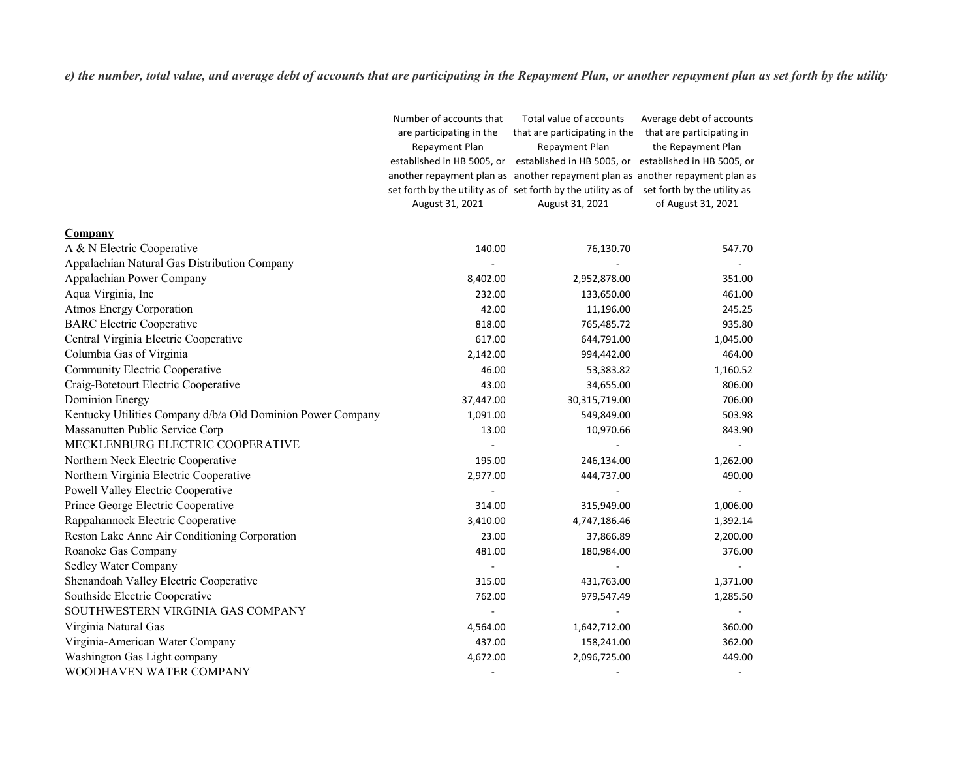*e) the number, total value, and average debt of accounts that are participating in the Repayment Plan, or another repayment plan as set forth by the utility*

|                                                             | Number of accounts that  | Total value of accounts                                                                   | Average debt of accounts |
|-------------------------------------------------------------|--------------------------|-------------------------------------------------------------------------------------------|--------------------------|
|                                                             | are participating in the | that are participating in the that are participating in                                   |                          |
|                                                             | Repayment Plan           | Repayment Plan                                                                            | the Repayment Plan       |
|                                                             |                          | established in HB 5005, or established in HB 5005, or established in HB 5005, or          |                          |
|                                                             |                          | another repayment plan as another repayment plan as another repayment plan as             |                          |
|                                                             |                          | set forth by the utility as of set forth by the utility as of set forth by the utility as |                          |
|                                                             | August 31, 2021          | August 31, 2021                                                                           | of August 31, 2021       |
| <b>Company</b>                                              |                          |                                                                                           |                          |
| A & N Electric Cooperative                                  | 140.00                   | 76,130.70                                                                                 | 547.70                   |
| Appalachian Natural Gas Distribution Company                |                          |                                                                                           |                          |
| Appalachian Power Company                                   | 8,402.00                 | 2,952,878.00                                                                              | 351.00                   |
| Aqua Virginia, Inc                                          | 232.00                   | 133,650.00                                                                                | 461.00                   |
| <b>Atmos Energy Corporation</b>                             | 42.00                    | 11,196.00                                                                                 | 245.25                   |
| <b>BARC Electric Cooperative</b>                            | 818.00                   | 765,485.72                                                                                | 935.80                   |
| Central Virginia Electric Cooperative                       | 617.00                   | 644,791.00                                                                                | 1,045.00                 |
| Columbia Gas of Virginia                                    | 2,142.00                 | 994,442.00                                                                                | 464.00                   |
| <b>Community Electric Cooperative</b>                       | 46.00                    | 53,383.82                                                                                 | 1,160.52                 |
| Craig-Botetourt Electric Cooperative                        | 43.00                    | 34,655.00                                                                                 | 806.00                   |
| <b>Dominion Energy</b>                                      | 37,447.00                | 30,315,719.00                                                                             | 706.00                   |
| Kentucky Utilities Company d/b/a Old Dominion Power Company | 1,091.00                 | 549,849.00                                                                                | 503.98                   |
| Massanutten Public Service Corp                             | 13.00                    | 10,970.66                                                                                 | 843.90                   |
| MECKLENBURG ELECTRIC COOPERATIVE                            |                          |                                                                                           |                          |
| Northern Neck Electric Cooperative                          | 195.00                   | 246,134.00                                                                                | 1,262.00                 |
| Northern Virginia Electric Cooperative                      | 2,977.00                 | 444,737.00                                                                                | 490.00                   |
| Powell Valley Electric Cooperative                          |                          |                                                                                           |                          |
| Prince George Electric Cooperative                          | 314.00                   | 315,949.00                                                                                | 1,006.00                 |
| Rappahannock Electric Cooperative                           | 3,410.00                 | 4,747,186.46                                                                              | 1,392.14                 |
| Reston Lake Anne Air Conditioning Corporation               | 23.00                    | 37,866.89                                                                                 | 2,200.00                 |
| Roanoke Gas Company                                         | 481.00                   | 180,984.00                                                                                | 376.00                   |
| Sedley Water Company                                        |                          |                                                                                           |                          |
| Shenandoah Valley Electric Cooperative                      | 315.00                   | 431,763.00                                                                                | 1,371.00                 |
| Southside Electric Cooperative                              | 762.00                   | 979,547.49                                                                                | 1,285.50                 |
| SOUTHWESTERN VIRGINIA GAS COMPANY                           |                          |                                                                                           |                          |
| Virginia Natural Gas                                        | 4,564.00                 | 1,642,712.00                                                                              | 360.00                   |
| Virginia-American Water Company                             | 437.00                   | 158,241.00                                                                                | 362.00                   |
| Washington Gas Light company                                | 4,672.00                 | 2,096,725.00                                                                              | 449.00                   |
| WOODHAVEN WATER COMPANY                                     |                          |                                                                                           |                          |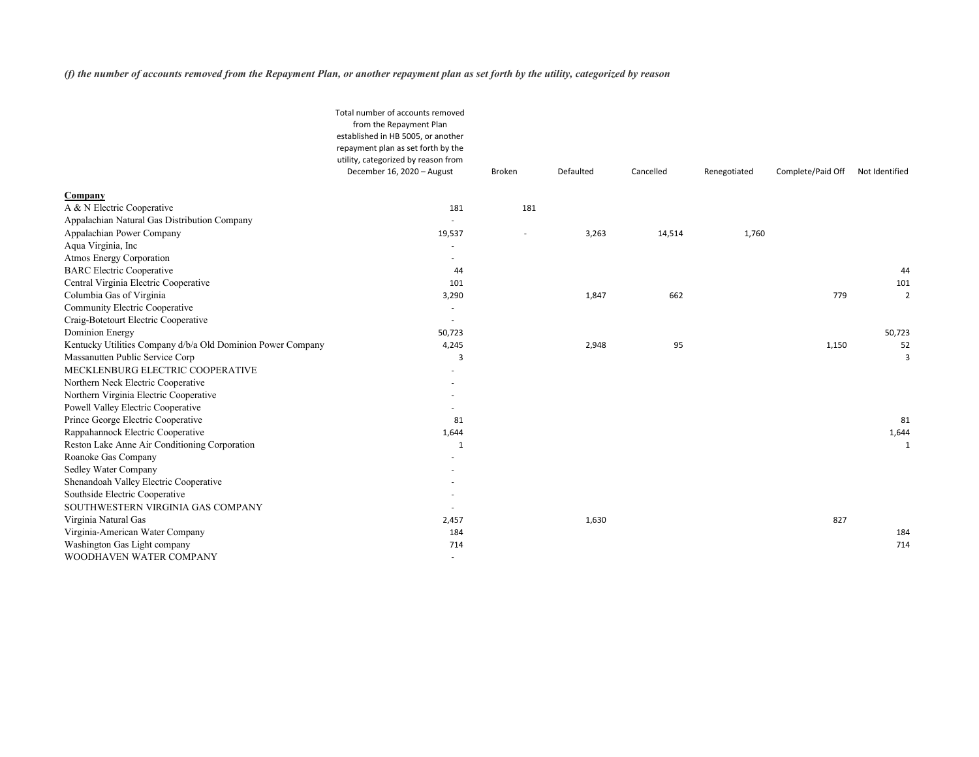*(f) the number of accounts removed from the Repayment Plan, or another repayment plan as set forth by the utility, categorized by reason*

|                                                             | Total number of accounts removed<br>from the Repayment Plan<br>established in HB 5005, or another<br>repayment plan as set forth by the<br>utility, categorized by reason from |                          |           |           |              |                   |                |
|-------------------------------------------------------------|--------------------------------------------------------------------------------------------------------------------------------------------------------------------------------|--------------------------|-----------|-----------|--------------|-------------------|----------------|
|                                                             | December 16, 2020 - August                                                                                                                                                     | <b>Broken</b>            | Defaulted | Cancelled | Renegotiated | Complete/Paid Off | Not Identified |
| Company                                                     |                                                                                                                                                                                |                          |           |           |              |                   |                |
| A & N Electric Cooperative                                  | 181                                                                                                                                                                            | 181                      |           |           |              |                   |                |
| Appalachian Natural Gas Distribution Company                |                                                                                                                                                                                |                          |           |           |              |                   |                |
| Appalachian Power Company                                   | 19,537                                                                                                                                                                         | $\overline{\phantom{a}}$ | 3,263     | 14,514    | 1,760        |                   |                |
| Aqua Virginia, Inc                                          |                                                                                                                                                                                |                          |           |           |              |                   |                |
| <b>Atmos Energy Corporation</b>                             |                                                                                                                                                                                |                          |           |           |              |                   |                |
| <b>BARC</b> Electric Cooperative                            | 44                                                                                                                                                                             |                          |           |           |              |                   | 44             |
| Central Virginia Electric Cooperative                       | 101                                                                                                                                                                            |                          |           |           |              |                   | 101            |
| Columbia Gas of Virginia                                    | 3,290                                                                                                                                                                          |                          | 1,847     | 662       |              | 779               | $\overline{2}$ |
| <b>Community Electric Cooperative</b>                       | $\overline{\phantom{a}}$                                                                                                                                                       |                          |           |           |              |                   |                |
| Craig-Botetourt Electric Cooperative                        |                                                                                                                                                                                |                          |           |           |              |                   |                |
| <b>Dominion Energy</b>                                      | 50,723                                                                                                                                                                         |                          |           |           |              |                   | 50,723         |
| Kentucky Utilities Company d/b/a Old Dominion Power Company | 4,245                                                                                                                                                                          |                          | 2,948     | 95        |              | 1,150             | 52             |
| Massanutten Public Service Corp                             | 3                                                                                                                                                                              |                          |           |           |              |                   | 3              |
| MECKLENBURG ELECTRIC COOPERATIVE                            |                                                                                                                                                                                |                          |           |           |              |                   |                |
| Northern Neck Electric Cooperative                          |                                                                                                                                                                                |                          |           |           |              |                   |                |
| Northern Virginia Electric Cooperative                      |                                                                                                                                                                                |                          |           |           |              |                   |                |
| Powell Valley Electric Cooperative                          |                                                                                                                                                                                |                          |           |           |              |                   |                |
| Prince George Electric Cooperative                          | 81                                                                                                                                                                             |                          |           |           |              |                   | 81             |
| Rappahannock Electric Cooperative                           | 1,644                                                                                                                                                                          |                          |           |           |              |                   | 1,644          |
| Reston Lake Anne Air Conditioning Corporation               |                                                                                                                                                                                |                          |           |           |              |                   |                |
| Roanoke Gas Company                                         |                                                                                                                                                                                |                          |           |           |              |                   |                |
| <b>Sedley Water Company</b>                                 |                                                                                                                                                                                |                          |           |           |              |                   |                |
| Shenandoah Valley Electric Cooperative                      |                                                                                                                                                                                |                          |           |           |              |                   |                |
| Southside Electric Cooperative                              |                                                                                                                                                                                |                          |           |           |              |                   |                |
| SOUTHWESTERN VIRGINIA GAS COMPANY                           |                                                                                                                                                                                |                          |           |           |              |                   |                |
| Virginia Natural Gas                                        | 2,457                                                                                                                                                                          |                          | 1,630     |           |              | 827               |                |
| Virginia-American Water Company                             | 184                                                                                                                                                                            |                          |           |           |              |                   | 184            |
| Washington Gas Light company                                | 714                                                                                                                                                                            |                          |           |           |              |                   | 714            |
| WOODHAVEN WATER COMPANY                                     | $\overline{\phantom{a}}$                                                                                                                                                       |                          |           |           |              |                   |                |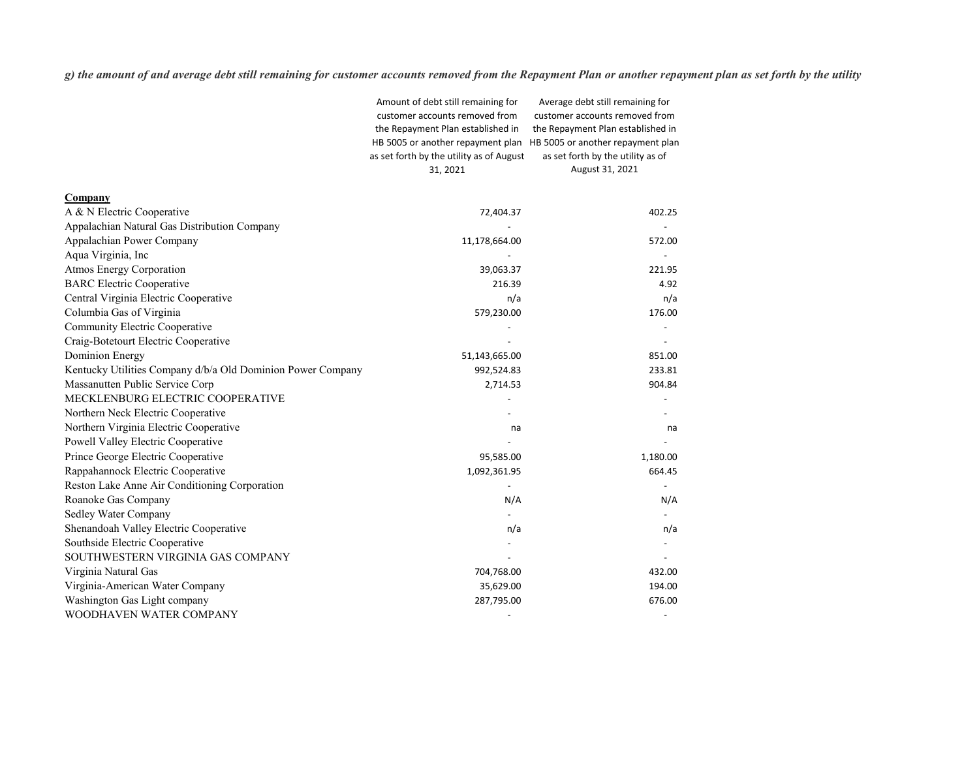*g) the amount of and average debt still remaining for customer accounts removed from the Repayment Plan or another repayment plan as set forth by the utility*

|                                                             | Amount of debt still remaining for       | Average debt still remaining for  |
|-------------------------------------------------------------|------------------------------------------|-----------------------------------|
|                                                             | customer accounts removed from           | customer accounts removed from    |
|                                                             | the Repayment Plan established in        | the Repayment Plan established in |
|                                                             | HB 5005 or another repayment plan        | HB 5005 or another repayment plan |
|                                                             | as set forth by the utility as of August | as set forth by the utility as of |
|                                                             | 31, 2021                                 | August 31, 2021                   |
| Company                                                     |                                          |                                   |
| A & N Electric Cooperative                                  | 72,404.37                                | 402.25                            |
| Appalachian Natural Gas Distribution Company                |                                          |                                   |
| Appalachian Power Company                                   | 11,178,664.00                            | 572.00                            |
| Aqua Virginia, Inc                                          |                                          |                                   |
| <b>Atmos Energy Corporation</b>                             | 39,063.37                                | 221.95                            |
| <b>BARC Electric Cooperative</b>                            | 216.39                                   | 4.92                              |
| Central Virginia Electric Cooperative                       | n/a                                      | n/a                               |
| Columbia Gas of Virginia                                    | 579,230.00                               | 176.00                            |
| <b>Community Electric Cooperative</b>                       |                                          |                                   |
| Craig-Botetourt Electric Cooperative                        |                                          |                                   |
| <b>Dominion Energy</b>                                      | 51,143,665.00                            | 851.00                            |
| Kentucky Utilities Company d/b/a Old Dominion Power Company | 992,524.83                               | 233.81                            |
| Massanutten Public Service Corp                             | 2,714.53                                 | 904.84                            |
| MECKLENBURG ELECTRIC COOPERATIVE                            |                                          |                                   |
| Northern Neck Electric Cooperative                          |                                          |                                   |
| Northern Virginia Electric Cooperative                      | na                                       | na                                |
| <b>Powell Valley Electric Cooperative</b>                   |                                          |                                   |
| Prince George Electric Cooperative                          | 95,585.00                                | 1,180.00                          |
| Rappahannock Electric Cooperative                           | 1,092,361.95                             | 664.45                            |
| Reston Lake Anne Air Conditioning Corporation               |                                          |                                   |
| Roanoke Gas Company                                         | N/A                                      | N/A                               |
| <b>Sedley Water Company</b>                                 |                                          |                                   |
| Shenandoah Valley Electric Cooperative                      | n/a                                      | n/a                               |
| Southside Electric Cooperative                              |                                          |                                   |
| SOUTHWESTERN VIRGINIA GAS COMPANY                           |                                          |                                   |
| Virginia Natural Gas                                        | 704,768.00                               | 432.00                            |
| Virginia-American Water Company                             | 35,629.00                                | 194.00                            |
| Washington Gas Light company                                | 287,795.00                               | 676.00                            |
| WOODHAVEN WATER COMPANY                                     |                                          |                                   |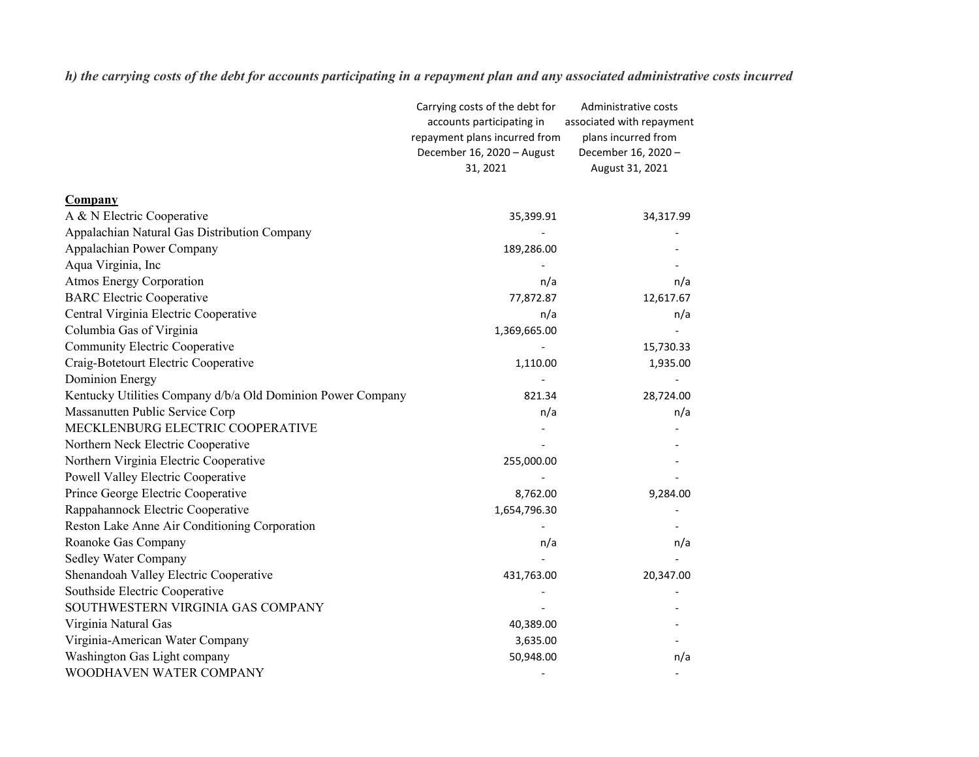*h) the carrying costs of the debt for accounts participating in a repayment plan and any associated administrative costs incurred*

|                                                             | Carrying costs of the debt for<br>accounts participating in | Administrative costs<br>associated with repayment |
|-------------------------------------------------------------|-------------------------------------------------------------|---------------------------------------------------|
|                                                             | repayment plans incurred from                               | plans incurred from                               |
|                                                             | December 16, 2020 - August                                  | December 16, 2020 -                               |
|                                                             | 31, 2021                                                    | August 31, 2021                                   |
|                                                             |                                                             |                                                   |
| <b>Company</b>                                              |                                                             |                                                   |
| A & N Electric Cooperative                                  | 35,399.91                                                   | 34,317.99                                         |
| Appalachian Natural Gas Distribution Company                |                                                             |                                                   |
| Appalachian Power Company                                   | 189,286.00                                                  |                                                   |
| Aqua Virginia, Inc                                          |                                                             |                                                   |
| <b>Atmos Energy Corporation</b>                             | n/a                                                         | n/a                                               |
| <b>BARC Electric Cooperative</b>                            | 77,872.87                                                   | 12,617.67                                         |
| Central Virginia Electric Cooperative                       | n/a                                                         | n/a                                               |
| Columbia Gas of Virginia                                    | 1,369,665.00                                                |                                                   |
| <b>Community Electric Cooperative</b>                       |                                                             | 15,730.33                                         |
| Craig-Botetourt Electric Cooperative                        | 1,110.00                                                    | 1,935.00                                          |
| <b>Dominion Energy</b>                                      |                                                             |                                                   |
| Kentucky Utilities Company d/b/a Old Dominion Power Company | 821.34                                                      | 28,724.00                                         |
| Massanutten Public Service Corp                             | n/a                                                         | n/a                                               |
| MECKLENBURG ELECTRIC COOPERATIVE                            |                                                             |                                                   |
| Northern Neck Electric Cooperative                          |                                                             |                                                   |
| Northern Virginia Electric Cooperative                      | 255,000.00                                                  |                                                   |
| Powell Valley Electric Cooperative                          |                                                             |                                                   |
| Prince George Electric Cooperative                          | 8,762.00                                                    | 9,284.00                                          |
| Rappahannock Electric Cooperative                           | 1,654,796.30                                                |                                                   |
| Reston Lake Anne Air Conditioning Corporation               |                                                             |                                                   |
| Roanoke Gas Company                                         | n/a                                                         | n/a                                               |
| <b>Sedley Water Company</b>                                 |                                                             |                                                   |
| Shenandoah Valley Electric Cooperative                      | 431,763.00                                                  | 20,347.00                                         |
| Southside Electric Cooperative                              |                                                             |                                                   |
| SOUTHWESTERN VIRGINIA GAS COMPANY                           |                                                             |                                                   |
| Virginia Natural Gas                                        | 40,389.00                                                   |                                                   |
| Virginia-American Water Company                             | 3,635.00                                                    |                                                   |
| Washington Gas Light company                                | 50,948.00                                                   | n/a                                               |
| WOODHAVEN WATER COMPANY                                     |                                                             |                                                   |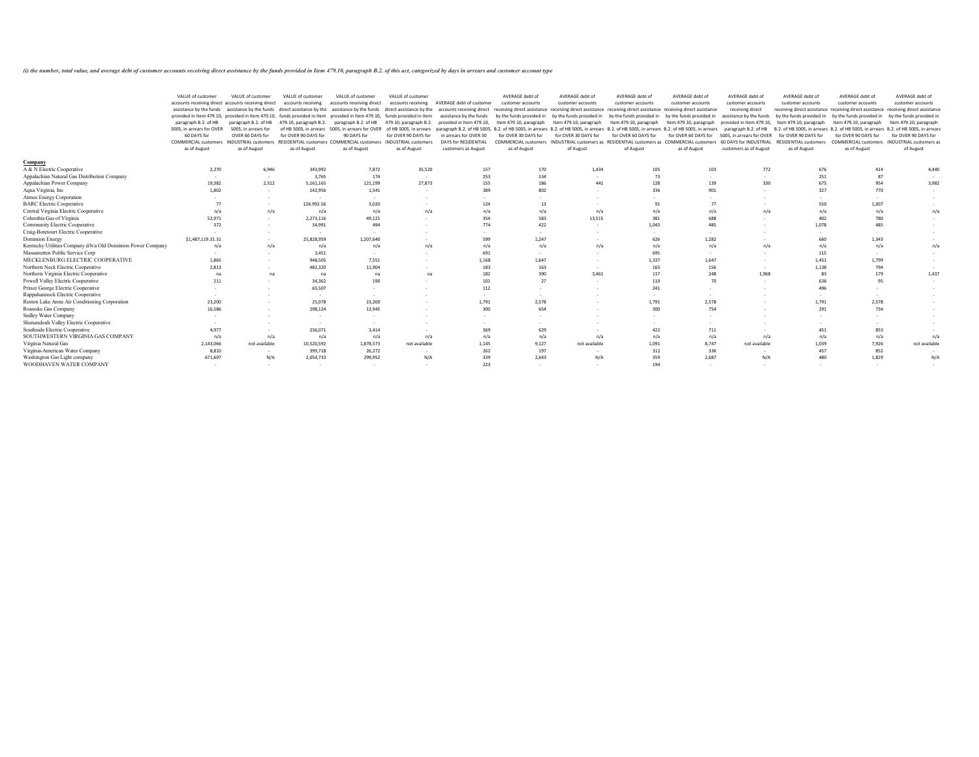(i) the number, total value, and average debt of customer accounts receiving direct assistance by the funds provided in Item 479.10, paragraph B.2. of this act, categorized by days in arrears and customer account type

|                                                             | accounts receiving direct accounts receiving direct<br>provided in Item 479.10, provided in Item 479.10, funds provided in Item provided in Item 479.10, funds provided in Item<br>paragraph B.2. of HB<br>5005, in arrears for OVER<br>60 DAYS for<br><b>COMMERCIAL customers</b><br>as of August | paragraph B.2. of HB<br>5005, in arrears for<br>OVER 60 DAYS for<br><b>INDUSTRIAL customers</b> | accounts receiving<br>479.10, paragraph B.2.<br>for OVER 90 DAYS for | accounts receiving direct<br>paragraph B.2. of HB<br>of HB 5005, in arrears 5005, in arrears for OVER of HB 5005, in arrears paragraph B.2. of HB 5005, | accounts receiving<br>479.10, paragraph B.2. provided in Item 479.10, | <b>AVERAGE debt of customer</b><br>assistance by the funds assistance by the funds direct assistance by the assistance by the funds direct assistance by the accounts receiving direct receiving direct assistance receiving direct assistance receiving direct a<br>assistance by the funds | customer accounts        | customer accounts                                                                                               | customer accounts        | customer accounts        | customer accounts<br>receiving direct            | customer accounts                            | customer accounts                                       | customer accounts<br>receiving direct assistance receiving direct assistance receiving direct assistance |
|-------------------------------------------------------------|----------------------------------------------------------------------------------------------------------------------------------------------------------------------------------------------------------------------------------------------------------------------------------------------------|-------------------------------------------------------------------------------------------------|----------------------------------------------------------------------|---------------------------------------------------------------------------------------------------------------------------------------------------------|-----------------------------------------------------------------------|----------------------------------------------------------------------------------------------------------------------------------------------------------------------------------------------------------------------------------------------------------------------------------------------|--------------------------|-----------------------------------------------------------------------------------------------------------------|--------------------------|--------------------------|--------------------------------------------------|----------------------------------------------|---------------------------------------------------------|----------------------------------------------------------------------------------------------------------|
|                                                             |                                                                                                                                                                                                                                                                                                    |                                                                                                 |                                                                      |                                                                                                                                                         |                                                                       |                                                                                                                                                                                                                                                                                              |                          |                                                                                                                 |                          |                          |                                                  |                                              |                                                         |                                                                                                          |
|                                                             |                                                                                                                                                                                                                                                                                                    |                                                                                                 |                                                                      |                                                                                                                                                         |                                                                       |                                                                                                                                                                                                                                                                                              | by the funds provided in | by the funds provided in<br>Item 479.10, paragraph                                                              | by the funds provided in | by the funds provided in | assistance by the funds                          |                                              |                                                         | by the funds provided in                                                                                 |
|                                                             |                                                                                                                                                                                                                                                                                                    |                                                                                                 |                                                                      |                                                                                                                                                         |                                                                       |                                                                                                                                                                                                                                                                                              |                          |                                                                                                                 |                          |                          |                                                  | by the funds provided in                     | by the funds provided                                   |                                                                                                          |
|                                                             |                                                                                                                                                                                                                                                                                                    |                                                                                                 |                                                                      |                                                                                                                                                         |                                                                       |                                                                                                                                                                                                                                                                                              | Item 479.10, paragraph   |                                                                                                                 | Item 479.10, paragraph   | Item 479.10, paragraph   | provided in Item 479.10,                         | Item 479.10, paragraph                       | Item 479.10, paragraph                                  | Item 479.10, paragraph                                                                                   |
|                                                             |                                                                                                                                                                                                                                                                                                    |                                                                                                 |                                                                      |                                                                                                                                                         |                                                                       |                                                                                                                                                                                                                                                                                              |                          | B.2. of HB 5005, in arrears B.2. of HB 5005, in arrears B.2. of HB 5005, in arrears B.2. of HB 5005, in arrears |                          |                          | paragraph B.2. of HB                             |                                              | B.2. of HB 5005, in arrears B.2. of HB 5005, in arrears | B.2. of HB 5005, in arrears                                                                              |
|                                                             |                                                                                                                                                                                                                                                                                                    |                                                                                                 |                                                                      | 90 DAYS for                                                                                                                                             | for OVER 90 DAYS for                                                  | in arrears for OVER 30                                                                                                                                                                                                                                                                       | for OVER 30 DAYS for     | for OVER 30 DAYS for                                                                                            | for OVER 60 DAYS for     | for OVER 60 DAYS for     | 5005, in arrears for OVER                        | for OVER 90 DAYS for                         | for OVER 90 DAYS for                                    | for OVER 90 DAYS for                                                                                     |
|                                                             |                                                                                                                                                                                                                                                                                                    | as of August                                                                                    | RESIDENTIAL customers COMMERCIAL customers<br>as of August           | as of August                                                                                                                                            | <b>INDUSTRIAL customers</b>                                           | DAYS for RESIDENTIAL<br>customers as August                                                                                                                                                                                                                                                  | as of August             | COMMERCIAL customers INDUSTRIAL customers as RESIDENTIAL customers as COMMERCIAL customers<br>of August         | of August                | as of August             | 60 DAYS for INDUSTRIAL<br>customers as of August | <b>RESIDENTIAL customers</b><br>as of August | as of August                                            | COMMERCIAL customers  INDUSTRIAL customers as<br>of August                                               |
|                                                             |                                                                                                                                                                                                                                                                                                    |                                                                                                 |                                                                      |                                                                                                                                                         | as of August                                                          |                                                                                                                                                                                                                                                                                              |                          |                                                                                                                 |                          |                          |                                                  |                                              |                                                         |                                                                                                          |
| <b>Company</b>                                              |                                                                                                                                                                                                                                                                                                    |                                                                                                 |                                                                      |                                                                                                                                                         |                                                                       |                                                                                                                                                                                                                                                                                              |                          |                                                                                                                 |                          |                          |                                                  |                                              |                                                         |                                                                                                          |
| A & N Electric Cooperative                                  | 2,270                                                                                                                                                                                                                                                                                              | 6,946                                                                                           | 343,992                                                              | 7,872                                                                                                                                                   | 35,520                                                                | 157                                                                                                                                                                                                                                                                                          | 170                      | 1,434                                                                                                           | 105                      | 103                      | 772                                              | 676                                          | 414                                                     | 4,440                                                                                                    |
| Appalachian Natural Gas Distribution Company                |                                                                                                                                                                                                                                                                                                    | $\sim$                                                                                          | 3,765                                                                | 174                                                                                                                                                     |                                                                       | 253                                                                                                                                                                                                                                                                                          | 534                      |                                                                                                                 | 73                       | $\sim$                   | $\sim$                                           | 251                                          | 87                                                      |                                                                                                          |
| Appalachian Power Company                                   | 19,382                                                                                                                                                                                                                                                                                             | 2,312                                                                                           | 5,161,165                                                            | 121,199                                                                                                                                                 | 27,873                                                                | 155                                                                                                                                                                                                                                                                                          | 186                      | 441                                                                                                             | 128                      | 139                      | 330                                              | 675                                          | 954                                                     | 3,982                                                                                                    |
| Aqua Virginia, Inc                                          | 1,802                                                                                                                                                                                                                                                                                              | $\sim$                                                                                          | 142,956                                                              | 1,541                                                                                                                                                   |                                                                       | 389                                                                                                                                                                                                                                                                                          | 802                      |                                                                                                                 | 336                      | 901                      | $\overline{\phantom{0}}$                         | 327                                          | 770                                                     | $\sim$                                                                                                   |
| <b>Atmos Energy Corporation</b>                             |                                                                                                                                                                                                                                                                                                    | $\sim$                                                                                          |                                                                      |                                                                                                                                                         |                                                                       |                                                                                                                                                                                                                                                                                              | $\sim$                   |                                                                                                                 |                          | $-$                      |                                                  |                                              |                                                         | $\sim$                                                                                                   |
| <b>BARC Electric Cooperative</b>                            |                                                                                                                                                                                                                                                                                                    |                                                                                                 | 126.992.56                                                           | 3,020                                                                                                                                                   |                                                                       | 124                                                                                                                                                                                                                                                                                          | 13                       |                                                                                                                 |                          | 77                       |                                                  | 550                                          | 1,007                                                   |                                                                                                          |
| Central Virginia Electric Cooperative                       | n/a                                                                                                                                                                                                                                                                                                | n/a                                                                                             | n/a                                                                  | n/a                                                                                                                                                     | n/a                                                                   | n/a                                                                                                                                                                                                                                                                                          | n/a                      | n/a                                                                                                             | n/a                      | n/a                      | n/a                                              | n/a                                          | n/a                                                     | n/a                                                                                                      |
| Columbia Gas of Virginia                                    | 52,971                                                                                                                                                                                                                                                                                             | $\sim$                                                                                          | 2,273,116                                                            | 49,121                                                                                                                                                  |                                                                       | 354                                                                                                                                                                                                                                                                                          | 583                      | 13,515                                                                                                          | 381                      | 688                      |                                                  | 402                                          | 780                                                     |                                                                                                          |
| <b>Community Electric Cooperative</b>                       | 372                                                                                                                                                                                                                                                                                                |                                                                                                 | 34,991                                                               | 494                                                                                                                                                     |                                                                       | 774                                                                                                                                                                                                                                                                                          | 422                      |                                                                                                                 | 1,043                    | 485                      |                                                  | 1,078                                        | 485                                                     |                                                                                                          |
| Craig-Botetourt Electric Cooperative                        |                                                                                                                                                                                                                                                                                                    |                                                                                                 |                                                                      |                                                                                                                                                         |                                                                       |                                                                                                                                                                                                                                                                                              | $\sim$                   |                                                                                                                 |                          |                          |                                                  |                                              |                                                         | $\sim$                                                                                                   |
| Dominion Energy                                             | \$1,487,119.31.31                                                                                                                                                                                                                                                                                  | $\sim$                                                                                          | 25,828,959                                                           | 1,207,640                                                                                                                                               |                                                                       | 599                                                                                                                                                                                                                                                                                          | 1,247                    |                                                                                                                 | 626                      | 1,282                    |                                                  | 660                                          | 1,343                                                   | $\sim$                                                                                                   |
| Kentucky Utilities Company d/b/a Old Dominion Power Company | n/a                                                                                                                                                                                                                                                                                                | n/a                                                                                             | n/a                                                                  | n/a                                                                                                                                                     | n/a                                                                   | n/a                                                                                                                                                                                                                                                                                          | n/a                      | n/a                                                                                                             | n/a                      | n/a                      | n/a                                              | n/a                                          | n/a                                                     | n/a                                                                                                      |
| Massanutten Public Service Corp                             |                                                                                                                                                                                                                                                                                                    | $\sim$                                                                                          | 3,451                                                                |                                                                                                                                                         |                                                                       | 691                                                                                                                                                                                                                                                                                          | $\sim$                   |                                                                                                                 | 695                      | $\sim$                   | $\overline{\phantom{0}}$                         | 115                                          |                                                         | $\sim$                                                                                                   |
| MECKLENBURG ELECTRIC COOPERATIVE                            | 1,865                                                                                                                                                                                                                                                                                              |                                                                                                 | 948,505                                                              | 7,551                                                                                                                                                   |                                                                       | 1,168                                                                                                                                                                                                                                                                                        | 1,647                    |                                                                                                                 | 1,337                    | 1,647                    | $\sim$                                           | 1,451                                        | 1,799                                                   | $\sim$                                                                                                   |
| Northern Neck Electric Cooperative                          | 2,813                                                                                                                                                                                                                                                                                              | $\sim$                                                                                          | 482,320                                                              | 11,904                                                                                                                                                  |                                                                       | 183                                                                                                                                                                                                                                                                                          | 163                      |                                                                                                                 | 165                      | 156                      | $\sim$                                           | 1,138                                        | 794                                                     | $\sim$                                                                                                   |
| Northern Virginia Electric Cooperative                      | na                                                                                                                                                                                                                                                                                                 | na                                                                                              | na                                                                   | na                                                                                                                                                      | na                                                                    | 182                                                                                                                                                                                                                                                                                          | 390                      | 3,461                                                                                                           | 117                      | 248                      | 1,968                                            | 83                                           | 179                                                     | 1,437                                                                                                    |
| Powell Valley Electric Cooperative                          | 211                                                                                                                                                                                                                                                                                                | $\sim$                                                                                          | 34,362                                                               | 190                                                                                                                                                     |                                                                       | 101                                                                                                                                                                                                                                                                                          | 27                       |                                                                                                                 | 110                      | 70                       | $\sim$                                           |                                              | 95                                                      |                                                                                                          |
| Prince George Electric Cooperative                          |                                                                                                                                                                                                                                                                                                    |                                                                                                 | 65,507                                                               |                                                                                                                                                         |                                                                       | 112                                                                                                                                                                                                                                                                                          |                          |                                                                                                                 | 241                      |                          |                                                  | 496                                          |                                                         |                                                                                                          |
| Rappahannock Electric Cooperative                           |                                                                                                                                                                                                                                                                                                    |                                                                                                 |                                                                      |                                                                                                                                                         |                                                                       |                                                                                                                                                                                                                                                                                              |                          |                                                                                                                 |                          |                          |                                                  |                                              |                                                         |                                                                                                          |
| Reston Lake Anne Air Conditioning Corporation               | 23,200                                                                                                                                                                                                                                                                                             |                                                                                                 | 25,078                                                               | 23,200                                                                                                                                                  |                                                                       | 1,791                                                                                                                                                                                                                                                                                        | 2,578                    |                                                                                                                 | 1,791                    | 2,578                    |                                                  | 1,791                                        | 2,578                                                   | $-$                                                                                                      |
| Roanoke Gas Company                                         | 16,586                                                                                                                                                                                                                                                                                             |                                                                                                 | 298,124                                                              | 13,945                                                                                                                                                  |                                                                       | 300                                                                                                                                                                                                                                                                                          | 654                      |                                                                                                                 | 300                      | 754                      |                                                  | 291                                          | 734                                                     | $-$                                                                                                      |
| Sedley Water Company                                        |                                                                                                                                                                                                                                                                                                    | $\sim$                                                                                          | $\sim$                                                               |                                                                                                                                                         |                                                                       |                                                                                                                                                                                                                                                                                              | $\sim$                   |                                                                                                                 |                          | $\sim$                   |                                                  | $\sim$                                       |                                                         | $-$                                                                                                      |
| Shenandoah Valley Electric Cooperative                      |                                                                                                                                                                                                                                                                                                    |                                                                                                 |                                                                      |                                                                                                                                                         |                                                                       |                                                                                                                                                                                                                                                                                              |                          |                                                                                                                 |                          | $\sim$                   |                                                  |                                              |                                                         | $-$                                                                                                      |
| Southside Electric Cooperative                              | 4,977                                                                                                                                                                                                                                                                                              |                                                                                                 | 236,071                                                              | 3,414                                                                                                                                                   |                                                                       | 369                                                                                                                                                                                                                                                                                          | 629                      |                                                                                                                 | 422                      | 711                      |                                                  | 451                                          | 853                                                     | $\overline{\phantom{0}}$                                                                                 |
| SOUTHWESTERN VIRGINIA GAS COMPANY                           | n/a                                                                                                                                                                                                                                                                                                | n/a                                                                                             | n/a                                                                  | n/a                                                                                                                                                     | n/a                                                                   | n/a                                                                                                                                                                                                                                                                                          | n/a                      | n/a                                                                                                             | n/a                      | n/a                      | n/a                                              | n/a                                          | n/a                                                     | n/a                                                                                                      |
| Virginia Natural Gas                                        | 2,143,066                                                                                                                                                                                                                                                                                          | not available                                                                                   | 10,520,592                                                           | 1,878,573                                                                                                                                               | not available                                                         | 1,145                                                                                                                                                                                                                                                                                        | 9,127                    | not available                                                                                                   | 1,091                    | 8,747                    | not available                                    | 1,039                                        | 7,926                                                   | not available                                                                                            |
| Virginia-American Water Company                             | 8,810                                                                                                                                                                                                                                                                                              |                                                                                                 | 399,718                                                              | 26,272                                                                                                                                                  |                                                                       | 262                                                                                                                                                                                                                                                                                          | 197                      |                                                                                                                 | 312                      | 336                      | $\overline{\phantom{0}}$                         | 457                                          | 852                                                     |                                                                                                          |
| Washington Gas Light company<br>WOODHAVEN WATER COMPANY     | 671,697                                                                                                                                                                                                                                                                                            | N/A<br>$\sim$                                                                                   | 2,054,733                                                            | 299,952<br>$\sim$                                                                                                                                       | N/A                                                                   | 339<br>223                                                                                                                                                                                                                                                                                   | 2,643<br>$\sim$          | N/A                                                                                                             | 359<br>194               | 2,687<br>$\sim$          | N/A<br>$\overline{a}$                            | 480                                          | 1,829                                                   | N/A                                                                                                      |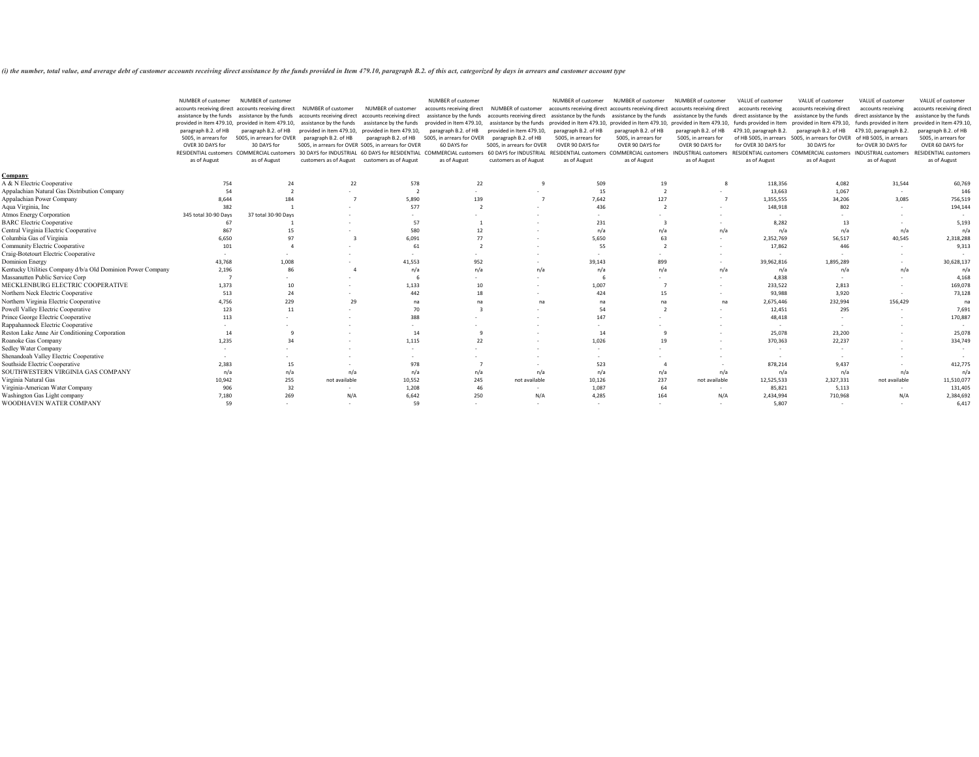*(i) the number, total value, and average debt of customer accounts receiving direct assistance by the funds provided in Item 479.10, paragraph B.2. of this act, categorized by days in arrears and customer account type*

|                                                             | NUMBER of customer<br>paragraph B.2. of HB<br>5005, in arrears for<br>OVER 30 DAYS for<br><b>RESIDENTIAL customers</b><br>as of August | <b>NUMBER of customer</b><br>accounts receiving direct accounts receiving direct<br>assistance by the funds assistance by the funds<br>provided in Item 479.10, provided in Item 479.10,<br>paragraph B.2. of HB<br>5005, in arrears for OVER<br>30 DAYS for<br><b>COMMERCIAL custome</b><br>as of August | NUMBER of customer<br>paragraph B.2. of HB<br>30 DAYS for INDUSTRIAL | NUMBER of customer<br>accounts receiving direct accounts receiving direct<br>assistance by the funds assistance by the funds<br>provided in Item 479.10, provided in Item 479.10,<br>paragraph B.2. of HB<br>5005, in arrears for OVER 5005, in arrears for OVER<br>60 DAYS for RESIDENTIAL<br>customers as of August customers as of August | <b>NUMBER of customer</b><br>accounts receiving direct<br>paragraph B.2. of HB<br>5005, in arrears for OVER<br>60 DAYS for<br><b>COMMERCIAL customer</b><br>as of August | <b>NUMBER of customer</b><br>assistance by the funds accounts receiving direct assistance by the funds assistance by the funds assistance by the funds<br>provided in Item 479.10,<br>paragraph B.2. of HB<br>5005, in arrears for OVER<br>60 DAYS for INDUSTRIAL<br>customers as of August | NUMBER of customer<br>accounts receiving direct accounts receiving direct accounts receiving direct<br>paragraph B.2. of HB<br>5005, in arrears for<br>OVER 90 DAYS for<br><b>RESIDENTIAL customers</b><br>as of August | NUMBER of customer<br>paragraph B.2. of HB<br>5005, in arrears for<br>OVER 90 DAYS for<br><b>COMMERCIAL customers</b><br>as of August | <b>NUMBER of customer</b><br>paragraph B.2. of HB<br>5005, in arrears for<br>OVER 90 DAYS for<br><b>INDUSTRIAL customers</b><br>as of August | VALUE of customer<br>accounts receiving<br>479.10, paragraph B.2.<br>for OVER 30 DAYS for<br><b>RESIDENTIAL customers</b><br>as of August | VALUE of customer<br>accounts receiving direct<br>direct assistance by the assistance by the funds<br>provided in Item 479.10, assistance by the funds provided in Item 479.10, provided in Item 479.10, provided in Item 479.10, funds provided in Item provided in Item 479.10,<br>paragraph B.2. of HB<br>of HB 5005, in arrears 5005, in arrears for OVER<br>30 DAYS for<br><b>COMMERCIAL customers</b><br>as of August | VALUE of customer<br>accounts receiving<br>direct assistance by the<br>funds provided in Item<br>479.10, paragraph B.2.<br>of HB 5005, in arrears<br>for OVER 30 DAYS for<br><b>INDUSTRIAL customers</b><br>as of August | VALUE of customer<br>accounts receiving direc<br>assistance by the funds<br>provided in Item 479.10<br>paragraph B.2. of HB<br>5005, in arrears for<br>OVER 60 DAYS for<br><b>RESIDENTIAL customers</b><br>as of August |
|-------------------------------------------------------------|----------------------------------------------------------------------------------------------------------------------------------------|-----------------------------------------------------------------------------------------------------------------------------------------------------------------------------------------------------------------------------------------------------------------------------------------------------------|----------------------------------------------------------------------|----------------------------------------------------------------------------------------------------------------------------------------------------------------------------------------------------------------------------------------------------------------------------------------------------------------------------------------------|--------------------------------------------------------------------------------------------------------------------------------------------------------------------------|---------------------------------------------------------------------------------------------------------------------------------------------------------------------------------------------------------------------------------------------------------------------------------------------|-------------------------------------------------------------------------------------------------------------------------------------------------------------------------------------------------------------------------|---------------------------------------------------------------------------------------------------------------------------------------|----------------------------------------------------------------------------------------------------------------------------------------------|-------------------------------------------------------------------------------------------------------------------------------------------|-----------------------------------------------------------------------------------------------------------------------------------------------------------------------------------------------------------------------------------------------------------------------------------------------------------------------------------------------------------------------------------------------------------------------------|--------------------------------------------------------------------------------------------------------------------------------------------------------------------------------------------------------------------------|-------------------------------------------------------------------------------------------------------------------------------------------------------------------------------------------------------------------------|
| <u>Company</u>                                              |                                                                                                                                        |                                                                                                                                                                                                                                                                                                           |                                                                      |                                                                                                                                                                                                                                                                                                                                              |                                                                                                                                                                          |                                                                                                                                                                                                                                                                                             |                                                                                                                                                                                                                         |                                                                                                                                       |                                                                                                                                              |                                                                                                                                           |                                                                                                                                                                                                                                                                                                                                                                                                                             |                                                                                                                                                                                                                          |                                                                                                                                                                                                                         |
| A & N Electric Cooperative                                  | 754                                                                                                                                    | 24                                                                                                                                                                                                                                                                                                        | 22                                                                   | 578                                                                                                                                                                                                                                                                                                                                          | 22                                                                                                                                                                       |                                                                                                                                                                                                                                                                                             | 509                                                                                                                                                                                                                     | 19                                                                                                                                    |                                                                                                                                              | 118,356                                                                                                                                   | 4,082                                                                                                                                                                                                                                                                                                                                                                                                                       | 31,544                                                                                                                                                                                                                   | 60,769                                                                                                                                                                                                                  |
| Appalachian Natural Gas Distribution Company                |                                                                                                                                        |                                                                                                                                                                                                                                                                                                           |                                                                      |                                                                                                                                                                                                                                                                                                                                              |                                                                                                                                                                          |                                                                                                                                                                                                                                                                                             | 15                                                                                                                                                                                                                      |                                                                                                                                       |                                                                                                                                              | 13,663                                                                                                                                    | 1,067                                                                                                                                                                                                                                                                                                                                                                                                                       |                                                                                                                                                                                                                          | 146                                                                                                                                                                                                                     |
| Appalachian Power Company                                   | 8,644                                                                                                                                  | 184                                                                                                                                                                                                                                                                                                       |                                                                      | 5,890                                                                                                                                                                                                                                                                                                                                        | 139                                                                                                                                                                      |                                                                                                                                                                                                                                                                                             | 7,642                                                                                                                                                                                                                   | 127                                                                                                                                   |                                                                                                                                              | 1,355,555                                                                                                                                 | 34,206                                                                                                                                                                                                                                                                                                                                                                                                                      | 3,085                                                                                                                                                                                                                    | 756,519                                                                                                                                                                                                                 |
| Aqua Virginia, Inc                                          | 382                                                                                                                                    |                                                                                                                                                                                                                                                                                                           |                                                                      | 577                                                                                                                                                                                                                                                                                                                                          |                                                                                                                                                                          |                                                                                                                                                                                                                                                                                             | 436                                                                                                                                                                                                                     |                                                                                                                                       |                                                                                                                                              | 148,918                                                                                                                                   | 802                                                                                                                                                                                                                                                                                                                                                                                                                         | $\sim$                                                                                                                                                                                                                   | 194,144                                                                                                                                                                                                                 |
| <b>Atmos Energy Corporation</b>                             | 345 total 30-90 Days                                                                                                                   | 37 total 30-90 Days                                                                                                                                                                                                                                                                                       |                                                                      |                                                                                                                                                                                                                                                                                                                                              |                                                                                                                                                                          |                                                                                                                                                                                                                                                                                             |                                                                                                                                                                                                                         |                                                                                                                                       |                                                                                                                                              | $\sim$                                                                                                                                    |                                                                                                                                                                                                                                                                                                                                                                                                                             |                                                                                                                                                                                                                          |                                                                                                                                                                                                                         |
| <b>BARC</b> Electric Cooperative                            |                                                                                                                                        |                                                                                                                                                                                                                                                                                                           |                                                                      | 57                                                                                                                                                                                                                                                                                                                                           |                                                                                                                                                                          |                                                                                                                                                                                                                                                                                             | 231                                                                                                                                                                                                                     |                                                                                                                                       |                                                                                                                                              | 8,282                                                                                                                                     | 13                                                                                                                                                                                                                                                                                                                                                                                                                          |                                                                                                                                                                                                                          | 5,193                                                                                                                                                                                                                   |
| Central Virginia Electric Cooperative                       | 867                                                                                                                                    |                                                                                                                                                                                                                                                                                                           |                                                                      | 580                                                                                                                                                                                                                                                                                                                                          | 12                                                                                                                                                                       |                                                                                                                                                                                                                                                                                             | n/a                                                                                                                                                                                                                     | n/a                                                                                                                                   | n/a                                                                                                                                          | n/a                                                                                                                                       | n/a                                                                                                                                                                                                                                                                                                                                                                                                                         | n/a                                                                                                                                                                                                                      | n/a                                                                                                                                                                                                                     |
| Columbia Gas of Virginia                                    | 6,650                                                                                                                                  | 97                                                                                                                                                                                                                                                                                                        |                                                                      | 6,091                                                                                                                                                                                                                                                                                                                                        |                                                                                                                                                                          |                                                                                                                                                                                                                                                                                             | 5,650                                                                                                                                                                                                                   | -63                                                                                                                                   |                                                                                                                                              | 2,352,769                                                                                                                                 | 56,517                                                                                                                                                                                                                                                                                                                                                                                                                      | 40,545                                                                                                                                                                                                                   | 2,318,288                                                                                                                                                                                                               |
| <b>Community Electric Cooperative</b>                       | 101                                                                                                                                    |                                                                                                                                                                                                                                                                                                           |                                                                      | 61                                                                                                                                                                                                                                                                                                                                           |                                                                                                                                                                          |                                                                                                                                                                                                                                                                                             | 55                                                                                                                                                                                                                      |                                                                                                                                       |                                                                                                                                              | 17,862                                                                                                                                    | 446                                                                                                                                                                                                                                                                                                                                                                                                                         |                                                                                                                                                                                                                          | 9,313                                                                                                                                                                                                                   |
| Craig-Botetourt Electric Cooperative                        |                                                                                                                                        |                                                                                                                                                                                                                                                                                                           |                                                                      |                                                                                                                                                                                                                                                                                                                                              |                                                                                                                                                                          |                                                                                                                                                                                                                                                                                             |                                                                                                                                                                                                                         |                                                                                                                                       |                                                                                                                                              |                                                                                                                                           |                                                                                                                                                                                                                                                                                                                                                                                                                             |                                                                                                                                                                                                                          |                                                                                                                                                                                                                         |
| Dominion Energy                                             | 43,768                                                                                                                                 | 1,008                                                                                                                                                                                                                                                                                                     |                                                                      | 41,553                                                                                                                                                                                                                                                                                                                                       | 952                                                                                                                                                                      |                                                                                                                                                                                                                                                                                             | 39,143                                                                                                                                                                                                                  | 899                                                                                                                                   |                                                                                                                                              | 39,962,816                                                                                                                                | 1,895,289                                                                                                                                                                                                                                                                                                                                                                                                                   |                                                                                                                                                                                                                          | 30,628,137                                                                                                                                                                                                              |
| Kentucky Utilities Company d/b/a Old Dominion Power Company | 2,196                                                                                                                                  | 86                                                                                                                                                                                                                                                                                                        |                                                                      | n/a                                                                                                                                                                                                                                                                                                                                          | n/a                                                                                                                                                                      | n/a                                                                                                                                                                                                                                                                                         | n/a                                                                                                                                                                                                                     | n/a                                                                                                                                   | n/a                                                                                                                                          | n/a                                                                                                                                       | n/a                                                                                                                                                                                                                                                                                                                                                                                                                         | n/a                                                                                                                                                                                                                      | n/a                                                                                                                                                                                                                     |
| Massanutten Public Service Corp                             |                                                                                                                                        |                                                                                                                                                                                                                                                                                                           |                                                                      |                                                                                                                                                                                                                                                                                                                                              |                                                                                                                                                                          |                                                                                                                                                                                                                                                                                             | 6                                                                                                                                                                                                                       |                                                                                                                                       |                                                                                                                                              | 4,838                                                                                                                                     |                                                                                                                                                                                                                                                                                                                                                                                                                             |                                                                                                                                                                                                                          | 4,168                                                                                                                                                                                                                   |
| MECKLENBURG ELECTRIC COOPERATIVE                            | 1,373                                                                                                                                  | 10                                                                                                                                                                                                                                                                                                        |                                                                      | 1,133                                                                                                                                                                                                                                                                                                                                        | 10                                                                                                                                                                       |                                                                                                                                                                                                                                                                                             | 1,007                                                                                                                                                                                                                   |                                                                                                                                       |                                                                                                                                              | 233,522                                                                                                                                   | 2,813                                                                                                                                                                                                                                                                                                                                                                                                                       |                                                                                                                                                                                                                          | 169,078                                                                                                                                                                                                                 |
| Northern Neck Electric Cooperative                          | 513                                                                                                                                    | 24                                                                                                                                                                                                                                                                                                        |                                                                      | 442                                                                                                                                                                                                                                                                                                                                          | 18                                                                                                                                                                       |                                                                                                                                                                                                                                                                                             | 424                                                                                                                                                                                                                     |                                                                                                                                       |                                                                                                                                              | 93,988                                                                                                                                    | 3,920                                                                                                                                                                                                                                                                                                                                                                                                                       |                                                                                                                                                                                                                          | 73,128                                                                                                                                                                                                                  |
| Northern Virginia Electric Cooperative                      | 4,756                                                                                                                                  | 229                                                                                                                                                                                                                                                                                                       | 29                                                                   | na                                                                                                                                                                                                                                                                                                                                           |                                                                                                                                                                          | na                                                                                                                                                                                                                                                                                          | na                                                                                                                                                                                                                      | <b>n</b> a                                                                                                                            | na                                                                                                                                           | 2,675,446                                                                                                                                 | 232,994                                                                                                                                                                                                                                                                                                                                                                                                                     | 156,429                                                                                                                                                                                                                  | na                                                                                                                                                                                                                      |
| Powell Valley Electric Cooperative                          | 123                                                                                                                                    | 11                                                                                                                                                                                                                                                                                                        |                                                                      | 70                                                                                                                                                                                                                                                                                                                                           |                                                                                                                                                                          |                                                                                                                                                                                                                                                                                             | 54                                                                                                                                                                                                                      |                                                                                                                                       |                                                                                                                                              | 12,451                                                                                                                                    | 295                                                                                                                                                                                                                                                                                                                                                                                                                         | $\sim$                                                                                                                                                                                                                   | 7,691                                                                                                                                                                                                                   |
| Prince George Electric Cooperative                          | 113                                                                                                                                    |                                                                                                                                                                                                                                                                                                           |                                                                      | 388                                                                                                                                                                                                                                                                                                                                          |                                                                                                                                                                          |                                                                                                                                                                                                                                                                                             | 147                                                                                                                                                                                                                     |                                                                                                                                       |                                                                                                                                              | 48,418                                                                                                                                    |                                                                                                                                                                                                                                                                                                                                                                                                                             |                                                                                                                                                                                                                          | 170,887                                                                                                                                                                                                                 |
| Rappahannock Electric Cooperative                           |                                                                                                                                        |                                                                                                                                                                                                                                                                                                           |                                                                      |                                                                                                                                                                                                                                                                                                                                              |                                                                                                                                                                          |                                                                                                                                                                                                                                                                                             |                                                                                                                                                                                                                         |                                                                                                                                       |                                                                                                                                              |                                                                                                                                           |                                                                                                                                                                                                                                                                                                                                                                                                                             |                                                                                                                                                                                                                          |                                                                                                                                                                                                                         |
| Reston Lake Anne Air Conditioning Corporation               | 14                                                                                                                                     |                                                                                                                                                                                                                                                                                                           |                                                                      | 14                                                                                                                                                                                                                                                                                                                                           |                                                                                                                                                                          |                                                                                                                                                                                                                                                                                             | 14                                                                                                                                                                                                                      |                                                                                                                                       |                                                                                                                                              | 25,078                                                                                                                                    | 23,200                                                                                                                                                                                                                                                                                                                                                                                                                      |                                                                                                                                                                                                                          | 25,078                                                                                                                                                                                                                  |
| Roanoke Gas Company                                         | 1,235                                                                                                                                  | 34                                                                                                                                                                                                                                                                                                        |                                                                      | 1,115                                                                                                                                                                                                                                                                                                                                        | 22                                                                                                                                                                       |                                                                                                                                                                                                                                                                                             | 1,026                                                                                                                                                                                                                   | 19                                                                                                                                    |                                                                                                                                              | 370,363                                                                                                                                   | 22,237                                                                                                                                                                                                                                                                                                                                                                                                                      | $\sim$                                                                                                                                                                                                                   | 334,749                                                                                                                                                                                                                 |
| <b>Sedley Water Company</b>                                 |                                                                                                                                        |                                                                                                                                                                                                                                                                                                           |                                                                      |                                                                                                                                                                                                                                                                                                                                              |                                                                                                                                                                          |                                                                                                                                                                                                                                                                                             | $\sim$                                                                                                                                                                                                                  |                                                                                                                                       |                                                                                                                                              |                                                                                                                                           |                                                                                                                                                                                                                                                                                                                                                                                                                             |                                                                                                                                                                                                                          |                                                                                                                                                                                                                         |
| Shenandoah Valley Electric Cooperative                      |                                                                                                                                        |                                                                                                                                                                                                                                                                                                           |                                                                      |                                                                                                                                                                                                                                                                                                                                              |                                                                                                                                                                          |                                                                                                                                                                                                                                                                                             |                                                                                                                                                                                                                         |                                                                                                                                       |                                                                                                                                              |                                                                                                                                           |                                                                                                                                                                                                                                                                                                                                                                                                                             |                                                                                                                                                                                                                          | $\sim$                                                                                                                                                                                                                  |
| Southside Electric Cooperative                              | 2,383                                                                                                                                  | 15                                                                                                                                                                                                                                                                                                        |                                                                      | 978                                                                                                                                                                                                                                                                                                                                          |                                                                                                                                                                          |                                                                                                                                                                                                                                                                                             | 523                                                                                                                                                                                                                     |                                                                                                                                       |                                                                                                                                              | 878,214                                                                                                                                   | 9,437                                                                                                                                                                                                                                                                                                                                                                                                                       |                                                                                                                                                                                                                          | 412,775                                                                                                                                                                                                                 |
| SOUTHWESTERN VIRGINIA GAS COMPANY                           | n/a                                                                                                                                    | n/a                                                                                                                                                                                                                                                                                                       | n/a                                                                  | n/a                                                                                                                                                                                                                                                                                                                                          | n/a                                                                                                                                                                      | n/a                                                                                                                                                                                                                                                                                         | n/a                                                                                                                                                                                                                     | n/a                                                                                                                                   | n/a                                                                                                                                          | n/a                                                                                                                                       | n/a                                                                                                                                                                                                                                                                                                                                                                                                                         | n/a                                                                                                                                                                                                                      | n/a                                                                                                                                                                                                                     |
| Virginia Natural Gas                                        | 10,942                                                                                                                                 | 255                                                                                                                                                                                                                                                                                                       | not available                                                        | 10,552                                                                                                                                                                                                                                                                                                                                       | 245                                                                                                                                                                      | not available                                                                                                                                                                                                                                                                               | 10,126                                                                                                                                                                                                                  | 237                                                                                                                                   | not available                                                                                                                                | 12,525,533                                                                                                                                | 2,327,331                                                                                                                                                                                                                                                                                                                                                                                                                   | not available                                                                                                                                                                                                            | 11,510,077                                                                                                                                                                                                              |
| Virginia-American Water Company                             | 906                                                                                                                                    | 32                                                                                                                                                                                                                                                                                                        |                                                                      | 1,208                                                                                                                                                                                                                                                                                                                                        | 46                                                                                                                                                                       |                                                                                                                                                                                                                                                                                             | 1,087                                                                                                                                                                                                                   | -64                                                                                                                                   |                                                                                                                                              | 85,821                                                                                                                                    | 5,113                                                                                                                                                                                                                                                                                                                                                                                                                       |                                                                                                                                                                                                                          | 131,405                                                                                                                                                                                                                 |
| Washington Gas Light company                                | 7,180                                                                                                                                  | 269                                                                                                                                                                                                                                                                                                       | N/A                                                                  | 6,642                                                                                                                                                                                                                                                                                                                                        | 250                                                                                                                                                                      | N/A                                                                                                                                                                                                                                                                                         | 4,285                                                                                                                                                                                                                   | 164                                                                                                                                   | N/A                                                                                                                                          | 2,434,994                                                                                                                                 | 710,968                                                                                                                                                                                                                                                                                                                                                                                                                     | N/A                                                                                                                                                                                                                      | 2,384,692                                                                                                                                                                                                               |
| WOODHAVEN WATER COMPANY                                     | 59                                                                                                                                     | $\sim$                                                                                                                                                                                                                                                                                                    |                                                                      | 59                                                                                                                                                                                                                                                                                                                                           |                                                                                                                                                                          | $\sim$                                                                                                                                                                                                                                                                                      | $\sim$                                                                                                                                                                                                                  |                                                                                                                                       |                                                                                                                                              | 5,807                                                                                                                                     |                                                                                                                                                                                                                                                                                                                                                                                                                             | $\sim$                                                                                                                                                                                                                   | 6,417                                                                                                                                                                                                                   |

| ust | tomer<br>ng direct<br>e funds<br>1479.10,<br>. of $HB$<br>ars for<br>S for<br>stomers |     |     |
|-----|---------------------------------------------------------------------------------------|-----|-----|
|     | 60,769                                                                                |     |     |
|     |                                                                                       |     | 146 |
|     | 756,519                                                                               |     |     |
|     | 194,144                                                                               |     |     |
|     | 5,193                                                                                 |     |     |
|     |                                                                                       |     | n/a |
|     | 318,288                                                                               |     |     |
|     | 9,313                                                                                 |     |     |
|     |                                                                                       |     |     |
|     | 628,137                                                                               |     |     |
|     |                                                                                       | n/a |     |
|     | 4,168                                                                                 |     |     |
|     | 169,078<br>73,128                                                                     |     |     |
|     |                                                                                       |     | na  |
|     | 7,691                                                                                 |     |     |
|     | 170,887                                                                               |     |     |
|     |                                                                                       |     |     |
|     | 25,078                                                                                |     |     |
|     | 334,749                                                                               |     |     |
|     |                                                                                       |     |     |
|     | 412,775                                                                               |     |     |
|     |                                                                                       |     | n/a |
|     | 510,077                                                                               |     |     |
|     | 131,405                                                                               |     |     |
|     | 384,692                                                                               |     |     |
|     |                                                                                       |     |     |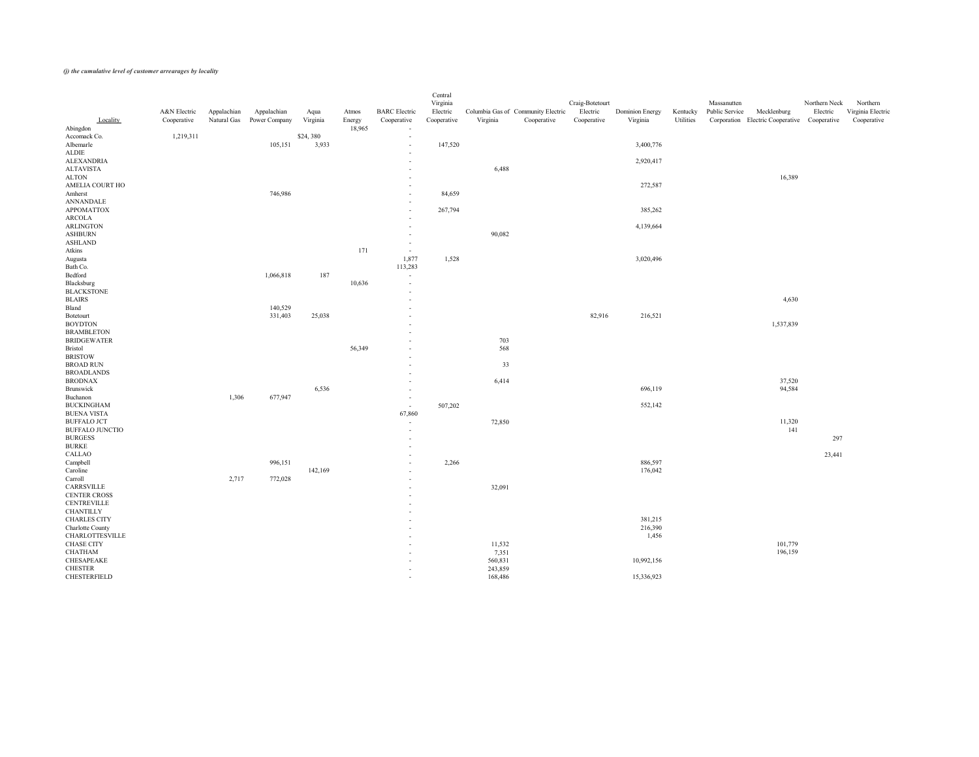|                         |              |             |               |          |        |                          | Central     |          |                                    |                 |                        |           |                                              |               |                   |
|-------------------------|--------------|-------------|---------------|----------|--------|--------------------------|-------------|----------|------------------------------------|-----------------|------------------------|-----------|----------------------------------------------|---------------|-------------------|
|                         |              |             |               |          |        |                          | Virginia    |          |                                    | Craig-Botetourt |                        |           | Massanutten                                  | Northern Neck | Northern          |
|                         | A&N Electric | Appalachian | Appalachian   | Aqua     | Atmos  | <b>BARC</b> Electric     | Electric    |          | Columbia Gas of Community Electric | Electric        | <b>Dominion Energy</b> | Kentucky  | Public Service<br>Mecklenburg                | Electric      | Virginia Electric |
| Locality                | Cooperative  | Natural Gas | Power Company | Virginia | Energy | Cooperative              | Cooperative | Virginia | Cooperative                        | Cooperative     | Virginia               | Utilities | Corporation Electric Cooperative Cooperative |               | Cooperative       |
| Abingdon                |              |             |               |          | 18,965 | $\sim$                   |             |          |                                    |                 |                        |           |                                              |               |                   |
| Accomack Co.            | 1,219,311    |             |               | \$24,380 |        | $\sim$                   |             |          |                                    |                 |                        |           |                                              |               |                   |
| Albemarle               |              |             | 105,151       | 3,933    |        | $\sim$                   | 147,520     |          |                                    |                 | 3,400,776              |           |                                              |               |                   |
| ALDIE                   |              |             |               |          |        | $\sim$                   |             |          |                                    |                 |                        |           |                                              |               |                   |
| <b>ALEXANDRIA</b>       |              |             |               |          |        | $\sim$                   |             |          |                                    |                 | 2,920,417              |           |                                              |               |                   |
| <b>ALTAVISTA</b>        |              |             |               |          |        | $\overline{\phantom{0}}$ |             | 6,488    |                                    |                 |                        |           |                                              |               |                   |
| <b>ALTON</b>            |              |             |               |          |        | $\overline{\phantom{0}}$ |             |          |                                    |                 |                        |           | 16,389                                       |               |                   |
| AMELIA COURT HO         |              |             |               |          |        | $\sim$                   |             |          |                                    |                 | 272,587                |           |                                              |               |                   |
| Amherst                 |              |             | 746,986       |          |        | $\sim$                   | 84,659      |          |                                    |                 |                        |           |                                              |               |                   |
| <b>ANNANDALE</b>        |              |             |               |          |        | $\sim$                   |             |          |                                    |                 |                        |           |                                              |               |                   |
| <b>APPOMATTOX</b>       |              |             |               |          |        | $\sim$                   | 267,794     |          |                                    |                 | 385,262                |           |                                              |               |                   |
| ARCOLA                  |              |             |               |          |        | $\sim$                   |             |          |                                    |                 |                        |           |                                              |               |                   |
| ARLINGTON               |              |             |               |          |        | $\overline{\phantom{0}}$ |             |          |                                    |                 | 4,139,664              |           |                                              |               |                   |
| <b>ASHBURN</b>          |              |             |               |          |        | $\sim$                   |             | 90,082   |                                    |                 |                        |           |                                              |               |                   |
| ASHLAND                 |              |             |               |          |        | $\sim$                   |             |          |                                    |                 |                        |           |                                              |               |                   |
| Atkins                  |              |             |               |          | 171    | $\sim$                   |             |          |                                    |                 |                        |           |                                              |               |                   |
|                         |              |             |               |          |        | 1,877                    | 1,528       |          |                                    |                 | 3,020,496              |           |                                              |               |                   |
| Augusta<br>Bath Co.     |              |             |               |          |        | 113,283                  |             |          |                                    |                 |                        |           |                                              |               |                   |
| Bedford                 |              |             | 1,066,818     | 187      |        |                          |             |          |                                    |                 |                        |           |                                              |               |                   |
| Blacksburg              |              |             |               |          | 10,636 | $\sim$                   |             |          |                                    |                 |                        |           |                                              |               |                   |
| <b>BLACKSTONE</b>       |              |             |               |          |        | $\sim$                   |             |          |                                    |                 |                        |           |                                              |               |                   |
|                         |              |             |               |          |        | $\overline{\phantom{0}}$ |             |          |                                    |                 |                        |           |                                              |               |                   |
| <b>BLAIRS</b>           |              |             |               |          |        | $\overline{\phantom{0}}$ |             |          |                                    |                 |                        |           | 4,630                                        |               |                   |
| Bland                   |              |             | 140,529       |          |        | $\sim$                   |             |          |                                    |                 |                        |           |                                              |               |                   |
| Botetourt               |              |             | 331,403       | 25,038   |        | $\overline{\phantom{0}}$ |             |          |                                    | 82,916          | 216,521                |           |                                              |               |                   |
| <b>BOYDTON</b>          |              |             |               |          |        | $\overline{\phantom{0}}$ |             |          |                                    |                 |                        |           | 1,537,839                                    |               |                   |
| <b>BRAMBLETON</b>       |              |             |               |          |        | $\sim$                   |             |          |                                    |                 |                        |           |                                              |               |                   |
| <b>BRIDGEWATER</b>      |              |             |               |          |        | $\sim$                   |             | 703      |                                    |                 |                        |           |                                              |               |                   |
| <b>Bristol</b>          |              |             |               |          | 56,349 | $\overline{\phantom{0}}$ |             | 568      |                                    |                 |                        |           |                                              |               |                   |
| <b>BRISTOW</b>          |              |             |               |          |        | $-$                      |             |          |                                    |                 |                        |           |                                              |               |                   |
| <b>BROAD RUN</b>        |              |             |               |          |        | $-$                      |             | 33       |                                    |                 |                        |           |                                              |               |                   |
| <b>BROADLANDS</b>       |              |             |               |          |        | $\overline{\phantom{0}}$ |             |          |                                    |                 |                        |           |                                              |               |                   |
| <b>BRODNAX</b>          |              |             |               |          |        | $\overline{\phantom{0}}$ |             | 6,414    |                                    |                 |                        |           | 37,520                                       |               |                   |
| Brunswick               |              |             |               | 6,536    |        | $\overline{\phantom{0}}$ |             |          |                                    |                 | 696,119                |           | 94,584                                       |               |                   |
| Buchanon                |              | 1,306       | 677,947       |          |        | $\sim$                   |             |          |                                    |                 |                        |           |                                              |               |                   |
| <b>BUCKINGHAM</b>       |              |             |               |          |        | $\sim$                   | 507,202     |          |                                    |                 | 552,142                |           |                                              |               |                   |
| <b>BUENA VISTA</b>      |              |             |               |          |        | 67,860                   |             |          |                                    |                 |                        |           |                                              |               |                   |
| <b>BUFFALO JCT</b>      |              |             |               |          |        | $\overline{\phantom{0}}$ |             | 72,850   |                                    |                 |                        |           | 11,320                                       |               |                   |
| <b>BUFFALO JUNCTIO</b>  |              |             |               |          |        | $\overline{\phantom{0}}$ |             |          |                                    |                 |                        |           | 141                                          |               |                   |
| <b>BURGESS</b>          |              |             |               |          |        | $\overline{\phantom{0}}$ |             |          |                                    |                 |                        |           |                                              | 297           |                   |
| <b>BURKE</b>            |              |             |               |          |        | $\sim$                   |             |          |                                    |                 |                        |           |                                              |               |                   |
| CALLAO                  |              |             |               |          |        | $\overline{\phantom{0}}$ |             |          |                                    |                 |                        |           |                                              | 23,441        |                   |
| Campbell                |              |             | 996,151       |          |        | $\overline{\phantom{0}}$ | 2,266       |          |                                    |                 | 886,597                |           |                                              |               |                   |
| Caroline                |              |             |               | 142,169  |        | $\sim$                   |             |          |                                    |                 | 176,042                |           |                                              |               |                   |
| Carroll                 |              | 2,717       | 772,028       |          |        | $\overline{\phantom{0}}$ |             |          |                                    |                 |                        |           |                                              |               |                   |
| CARRSVILLE              |              |             |               |          |        | $\overline{\phantom{0}}$ |             | 32,091   |                                    |                 |                        |           |                                              |               |                   |
| CENTER CROSS            |              |             |               |          |        | $\overline{\phantom{0}}$ |             |          |                                    |                 |                        |           |                                              |               |                   |
| <b>CENTREVILLE</b>      |              |             |               |          |        | $\overline{\phantom{0}}$ |             |          |                                    |                 |                        |           |                                              |               |                   |
| <b>CHANTILLY</b>        |              |             |               |          |        |                          |             |          |                                    |                 |                        |           |                                              |               |                   |
| <b>CHARLES CITY</b>     |              |             |               |          |        | $\sim$                   |             |          |                                    |                 | 381,215                |           |                                              |               |                   |
| <b>Charlotte County</b> |              |             |               |          |        | $\overline{\phantom{0}}$ |             |          |                                    |                 | 216,390                |           |                                              |               |                   |
| <b>CHARLOTTESVILLE</b>  |              |             |               |          |        | $\overline{\phantom{0}}$ |             |          |                                    |                 | 1,456                  |           |                                              |               |                   |
| CHASE CITY              |              |             |               |          |        | $\overline{\phantom{0}}$ |             | 11,532   |                                    |                 |                        |           | 101,779                                      |               |                   |
| <b>CHATHAM</b>          |              |             |               |          |        | $\sim$                   |             | 7,351    |                                    |                 |                        |           | 196,159                                      |               |                   |
| CHESAPEAKE              |              |             |               |          |        | $\overline{\phantom{0}}$ |             | 560,831  |                                    |                 | 10,992,156             |           |                                              |               |                   |
| <b>CHESTER</b>          |              |             |               |          |        | $\overline{\phantom{0}}$ |             | 243,859  |                                    |                 |                        |           |                                              |               |                   |
| CHESTERFIELD            |              |             |               |          |        | $\sim$                   |             | 168,486  |                                    |                 | 15,336,923             |           |                                              |               |                   |
|                         |              |             |               |          |        |                          |             |          |                                    |                 |                        |           |                                              |               |                   |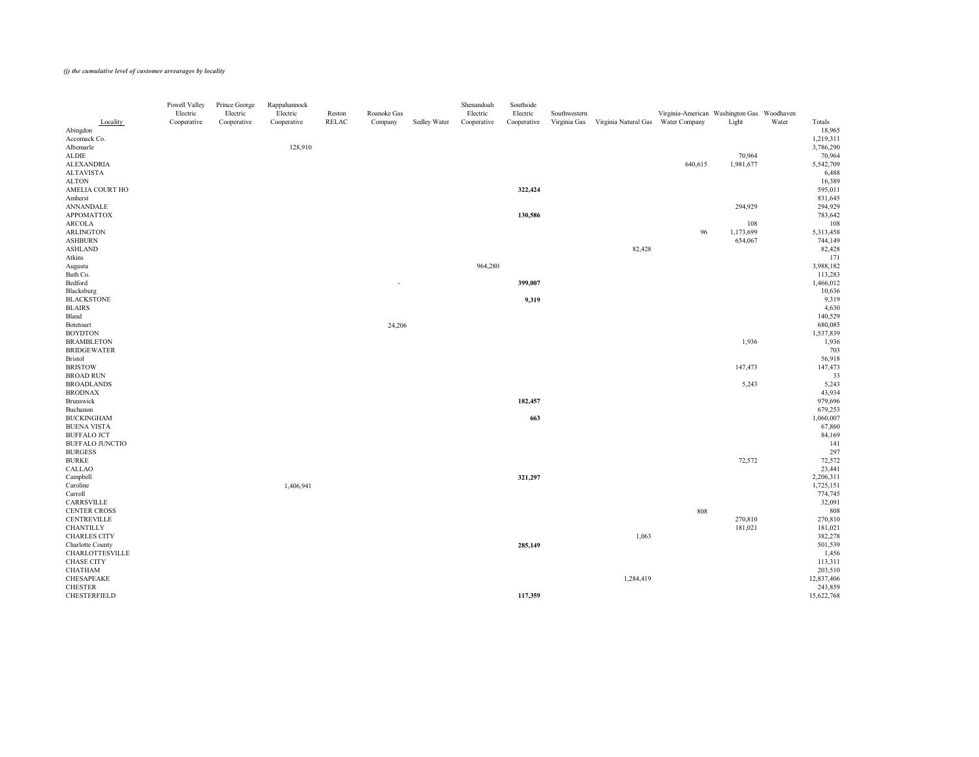|                                     | Powell Valley<br>Electric | Prince George<br>Electric | Rappahannock<br>Electric | Reston | Roanoke Gas              |              | Shenandoah<br>Electric | Southside<br>Electric | Southwestern |                                    | Virginia-American Washington Gas Woodhaven |           |       |                       |
|-------------------------------------|---------------------------|---------------------------|--------------------------|--------|--------------------------|--------------|------------------------|-----------------------|--------------|------------------------------------|--------------------------------------------|-----------|-------|-----------------------|
| Locality<br>Abingdon                | Cooperative               | Cooperative               | Cooperative              | RELAC  | Company                  | Sedley Water | Cooperative            | Cooperative           | Virginia Gas | Virginia Natural Gas Water Company |                                            | Light     | Water | Totals<br>18,965      |
| Accomack Co.                        |                           |                           |                          |        |                          |              |                        |                       |              |                                    |                                            |           |       | 1,219,311             |
| Albemarle                           |                           |                           | 128,910                  |        |                          |              |                        |                       |              |                                    |                                            |           |       | 3,786,290             |
| ALDIE                               |                           |                           |                          |        |                          |              |                        |                       |              |                                    |                                            | 70,964    |       | 70,964                |
| <b>ALEXANDRIA</b>                   |                           |                           |                          |        |                          |              |                        |                       |              |                                    | 640,615                                    | 1,981,677 |       | 5,542,709             |
| <b>ALTAVISTA</b>                    |                           |                           |                          |        |                          |              |                        |                       |              |                                    |                                            |           |       | 6,488                 |
| <b>ALTON</b>                        |                           |                           |                          |        |                          |              |                        |                       |              |                                    |                                            |           |       | 16,389                |
| AMELIA COURT HO                     |                           |                           |                          |        |                          |              |                        | 322,424               |              |                                    |                                            |           |       | 595,011               |
| Amherst                             |                           |                           |                          |        |                          |              |                        |                       |              |                                    |                                            |           |       | 831,645               |
| ANNANDALE                           |                           |                           |                          |        |                          |              |                        |                       |              |                                    |                                            | 294,929   |       | 294,929               |
| <b>APPOMATTOX</b>                   |                           |                           |                          |        |                          |              |                        | 130,586               |              |                                    |                                            |           |       | 783,642               |
| ARCOLA                              |                           |                           |                          |        |                          |              |                        |                       |              |                                    |                                            | 108       |       | 108                   |
| ARLINGTON                           |                           |                           |                          |        |                          |              |                        |                       |              |                                    | 96                                         | 1,173,699 |       | 5,313,458             |
| <b>ASHBURN</b><br>ASHLAND           |                           |                           |                          |        |                          |              |                        |                       |              | 82,428                             |                                            | 654,067   |       | 744,149<br>82,428     |
| Atkins                              |                           |                           |                          |        |                          |              |                        |                       |              |                                    |                                            |           |       | 171                   |
| Augusta                             |                           |                           |                          |        |                          |              | 964,280                |                       |              |                                    |                                            |           |       | 3,988,182             |
| Bath Co.                            |                           |                           |                          |        |                          |              |                        |                       |              |                                    |                                            |           |       | 113,283               |
| Bedford                             |                           |                           |                          |        | $\overline{\phantom{0}}$ |              |                        | 399,007               |              |                                    |                                            |           |       | 1,466,012             |
| Blacksburg                          |                           |                           |                          |        |                          |              |                        |                       |              |                                    |                                            |           |       | 10,636                |
| <b>BLACKSTONE</b>                   |                           |                           |                          |        |                          |              |                        | 9,319                 |              |                                    |                                            |           |       | 9,319                 |
| <b>BLAIRS</b>                       |                           |                           |                          |        |                          |              |                        |                       |              |                                    |                                            |           |       | 4,630                 |
| Bland                               |                           |                           |                          |        |                          |              |                        |                       |              |                                    |                                            |           |       | 140,529               |
| Botetourt                           |                           |                           |                          |        | 24,206                   |              |                        |                       |              |                                    |                                            |           |       | 680,085               |
| <b>BOYDTON</b>                      |                           |                           |                          |        |                          |              |                        |                       |              |                                    |                                            |           |       | 1,537,839             |
| <b>BRAMBLETON</b>                   |                           |                           |                          |        |                          |              |                        |                       |              |                                    |                                            | 1,936     |       | 1,936                 |
| <b>BRIDGEWATER</b>                  |                           |                           |                          |        |                          |              |                        |                       |              |                                    |                                            |           |       | 703                   |
| <b>Bristol</b>                      |                           |                           |                          |        |                          |              |                        |                       |              |                                    |                                            |           |       | 56,918                |
| <b>BRISTOW</b>                      |                           |                           |                          |        |                          |              |                        |                       |              |                                    |                                            | 147,473   |       | 147,473               |
| <b>BROAD RUN</b>                    |                           |                           |                          |        |                          |              |                        |                       |              |                                    |                                            |           |       | 33                    |
| <b>BROADLANDS</b>                   |                           |                           |                          |        |                          |              |                        |                       |              |                                    |                                            | 5,243     |       | 5,243                 |
| <b>BRODNAX</b>                      |                           |                           |                          |        |                          |              |                        |                       |              |                                    |                                            |           |       | 43,934                |
| Brunswick<br>Buchanon               |                           |                           |                          |        |                          |              |                        | 182,457               |              |                                    |                                            |           |       | 979,696<br>679,253    |
| <b>BUCKINGHAM</b>                   |                           |                           |                          |        |                          |              |                        | 663                   |              |                                    |                                            |           |       | 1,060,007             |
| <b>BUENA VISTA</b>                  |                           |                           |                          |        |                          |              |                        |                       |              |                                    |                                            |           |       | 67,860                |
| <b>BUFFALO JCT</b>                  |                           |                           |                          |        |                          |              |                        |                       |              |                                    |                                            |           |       | 84,169                |
| <b>BUFFALO JUNCTIO</b>              |                           |                           |                          |        |                          |              |                        |                       |              |                                    |                                            |           |       | 141                   |
| <b>BURGESS</b>                      |                           |                           |                          |        |                          |              |                        |                       |              |                                    |                                            |           |       | 297                   |
| <b>BURKE</b>                        |                           |                           |                          |        |                          |              |                        |                       |              |                                    |                                            | 72,572    |       | 72,572                |
| CALLAO                              |                           |                           |                          |        |                          |              |                        |                       |              |                                    |                                            |           |       | 23,441                |
| Campbell                            |                           |                           |                          |        |                          |              |                        | 321,297               |              |                                    |                                            |           |       | 2,206,311             |
| Caroline                            |                           |                           | 1,406,941                |        |                          |              |                        |                       |              |                                    |                                            |           |       | 1,725,151             |
| Carroll                             |                           |                           |                          |        |                          |              |                        |                       |              |                                    |                                            |           |       | 774,745               |
| CARRSVILLE                          |                           |                           |                          |        |                          |              |                        |                       |              |                                    |                                            |           |       | 32,091                |
| <b>CENTER CROSS</b>                 |                           |                           |                          |        |                          |              |                        |                       |              |                                    | 808                                        |           |       | 808                   |
| <b>CENTREVILLE</b>                  |                           |                           |                          |        |                          |              |                        |                       |              |                                    |                                            | 270,810   |       | 270,810               |
| <b>CHANTILLY</b>                    |                           |                           |                          |        |                          |              |                        |                       |              |                                    |                                            | 181,021   |       | 181,021               |
| <b>CHARLES CITY</b>                 |                           |                           |                          |        |                          |              |                        |                       |              | 1,063                              |                                            |           |       | 382,278               |
| Charlotte County                    |                           |                           |                          |        |                          |              |                        | 285,149               |              |                                    |                                            |           |       | 501,539               |
| <b>CHARLOTTESVILLE</b>              |                           |                           |                          |        |                          |              |                        |                       |              |                                    |                                            |           |       | 1,456                 |
| <b>CHASE CITY</b>                   |                           |                           |                          |        |                          |              |                        |                       |              |                                    |                                            |           |       | 113,311               |
| <b>CHATHAM</b><br><b>CHESAPEAKE</b> |                           |                           |                          |        |                          |              |                        |                       |              | 1,284,419                          |                                            |           |       | 203,510               |
| <b>CHESTER</b>                      |                           |                           |                          |        |                          |              |                        |                       |              |                                    |                                            |           |       | 12,837,406<br>243,859 |
| CHESTERFIELD                        |                           |                           |                          |        |                          |              |                        | 117,359               |              |                                    |                                            |           |       | 15,622,768            |
|                                     |                           |                           |                          |        |                          |              |                        |                       |              |                                    |                                            |           |       |                       |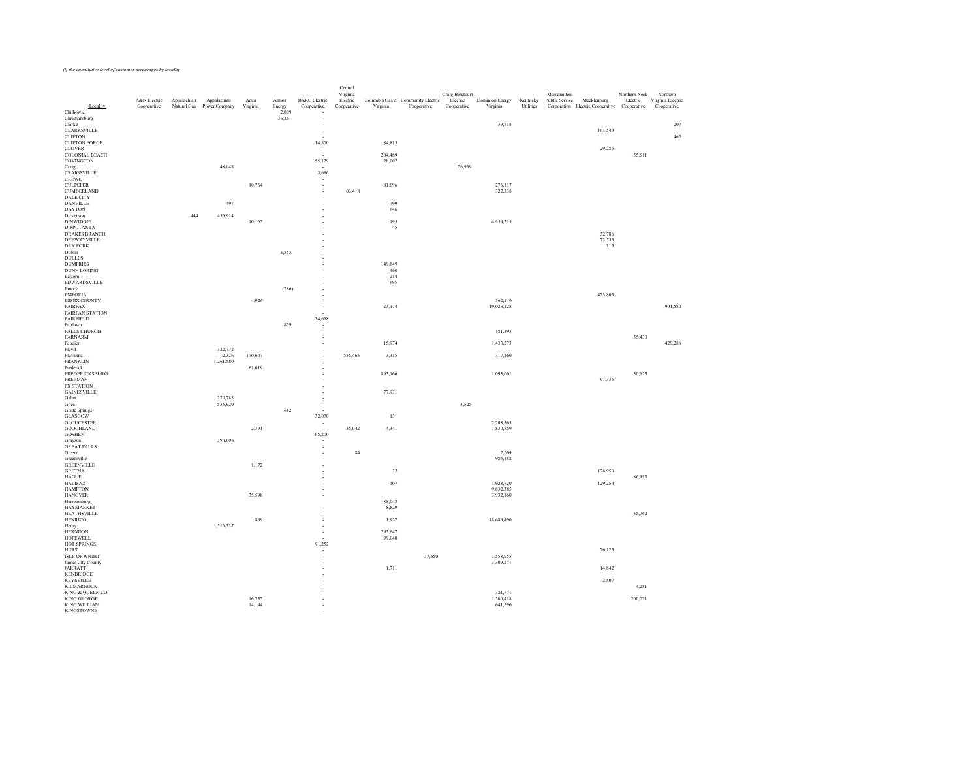| Locality<br>Chilhowie                 | A&N Electric<br>Cooperative | Appalachian<br>Natural Gas | Appalachian<br>Power Company | Aqua<br>Virginia | Atmos<br>Energy<br>2,009 | <b>BARC</b> Electric<br>Cooperative<br>$\sim$        | Central<br>Virginia<br>Electric<br>Cooperative | Columbia Gas of Community Electric<br>Virginia<br>Cooperative | Craig-Botetourt<br>Electric<br>Cooperative | <b>Dominion Energy</b><br>Virginia | Kentucky<br>Utilities | Massanutten<br>Public Service<br>Mecklenburg<br>Corporation Electric Cooperative Cooperative | Northern Neck<br>Electric | Northern<br>Virginia Electric<br>Cooperative |
|---------------------------------------|-----------------------------|----------------------------|------------------------------|------------------|--------------------------|------------------------------------------------------|------------------------------------------------|---------------------------------------------------------------|--------------------------------------------|------------------------------------|-----------------------|----------------------------------------------------------------------------------------------|---------------------------|----------------------------------------------|
| Christiansburg                        |                             |                            |                              |                  | 36,261                   | $\sim$                                               |                                                |                                                               |                                            |                                    |                       |                                                                                              |                           |                                              |
| Clarke                                |                             |                            |                              |                  |                          | $\sim$                                               |                                                |                                                               |                                            | 39,518                             |                       |                                                                                              |                           | 207                                          |
| CLARKSVILLE<br><b>CLIFTON</b>         |                             |                            |                              |                  |                          | $\sim$<br>$\sim$                                     |                                                |                                                               |                                            |                                    |                       | 103,549                                                                                      |                           | 462                                          |
| <b>CLIFTON FORGE</b>                  |                             |                            |                              |                  |                          | 14,800                                               |                                                | 84,815                                                        |                                            |                                    |                       |                                                                                              |                           |                                              |
| <b>CLOVER</b>                         |                             |                            |                              |                  |                          | $\sim$                                               |                                                |                                                               |                                            |                                    |                       | 29,286                                                                                       |                           |                                              |
| <b>COLONIAL BEACH</b><br>COVINGTON    |                             |                            |                              |                  |                          | $\sim$ $ \sim$<br>55,129                             |                                                | 204,489<br>128,002                                            |                                            |                                    |                       |                                                                                              | 155,611                   |                                              |
| Craig                                 |                             |                            | 48,048                       |                  |                          | $\sim$                                               |                                                |                                                               | 76,969                                     |                                    |                       |                                                                                              |                           |                                              |
| CRAIGSVILLE                           |                             |                            |                              |                  |                          | 5,686                                                |                                                |                                                               |                                            |                                    |                       |                                                                                              |                           |                                              |
| <b>CREWE</b><br><b>CULPEPER</b>       |                             |                            |                              | 10,764           |                          | $\sim$<br>$\sim$                                     |                                                | 181,696                                                       |                                            | 276,117                            |                       |                                                                                              |                           |                                              |
| <b>CUMBERLAND</b>                     |                             |                            |                              |                  |                          | $-$                                                  | 103,418                                        |                                                               |                                            | 322,338                            |                       |                                                                                              |                           |                                              |
| <b>DALE CITY</b><br><b>DANVILLE</b>   |                             |                            | 497                          |                  |                          | $-$                                                  |                                                | 799                                                           |                                            |                                    |                       |                                                                                              |                           |                                              |
| <b>DAYTON</b>                         |                             |                            |                              |                  |                          | $\overline{\phantom{a}}$<br>$\sim$                   |                                                | 646                                                           |                                            |                                    |                       |                                                                                              |                           |                                              |
| Dickenson                             |                             | 444                        | 456,914                      |                  |                          | $\sim$                                               |                                                |                                                               |                                            |                                    |                       |                                                                                              |                           |                                              |
| DINWIDDIE<br><b>DISPUTANTA</b>        |                             |                            |                              | 10,162           |                          | $\sim$<br>$\sim$                                     |                                                | 195<br>45                                                     |                                            | 4,959,215                          |                       |                                                                                              |                           |                                              |
| <b>DRAKES BRANCH</b>                  |                             |                            |                              |                  |                          | $\sim$                                               |                                                |                                                               |                                            |                                    |                       | 32,786                                                                                       |                           |                                              |
| DREWRYVILLE                           |                             |                            |                              |                  |                          | $\sim$                                               |                                                |                                                               |                                            |                                    |                       | 73,553                                                                                       |                           |                                              |
| DRY FORK<br>Dublin                    |                             |                            |                              |                  | 3,553                    | $\sim$<br>$\sim$                                     |                                                |                                                               |                                            |                                    |                       | 115                                                                                          |                           |                                              |
| <b>DULLES</b>                         |                             |                            |                              |                  |                          | $\sim$                                               |                                                |                                                               |                                            |                                    |                       |                                                                                              |                           |                                              |
| <b>DUMFRIES</b>                       |                             |                            |                              |                  |                          | $\sim$                                               |                                                | 149,849                                                       |                                            |                                    |                       |                                                                                              |                           |                                              |
| DUNN LORING<br>Eastern                |                             |                            |                              |                  |                          | $\sim$<br>$\overline{\phantom{a}}$                   |                                                | 460<br>214                                                    |                                            |                                    |                       |                                                                                              |                           |                                              |
| <b>EDWARDSVILLE</b>                   |                             |                            |                              |                  |                          | $\sim$                                               |                                                | 695                                                           |                                            |                                    |                       |                                                                                              |                           |                                              |
| Emory                                 |                             |                            |                              |                  | (286)                    | $\sim$                                               |                                                |                                                               |                                            |                                    |                       |                                                                                              |                           |                                              |
| <b>EMPORIA</b><br><b>ESSEX COUNTY</b> |                             |                            |                              | 4,926            |                          | $\sim$<br>$\sim$                                     |                                                |                                                               |                                            | 362,149                            |                       | 423,803                                                                                      |                           |                                              |
| <b>FAIRFAX</b>                        |                             |                            |                              |                  |                          | $\overline{\phantom{a}}$                             |                                                | 23,174                                                        |                                            | 19,023,128                         |                       |                                                                                              |                           | 901,580                                      |
| <b>FAIRFAX STATION</b>                |                             |                            |                              |                  |                          | $\sim$                                               |                                                |                                                               |                                            |                                    |                       |                                                                                              |                           |                                              |
| FAIRFIELD<br>Fairlawn                 |                             |                            |                              |                  | 839                      | 34,658<br>$\sim$                                     |                                                |                                                               |                                            |                                    |                       |                                                                                              |                           |                                              |
| <b>FALLS CHURCH</b>                   |                             |                            |                              |                  |                          | $\overline{\phantom{a}}$                             |                                                |                                                               |                                            | 181,393                            |                       |                                                                                              |                           |                                              |
| <b>FARNARM</b><br>Fauqier             |                             |                            |                              |                  |                          | $\overline{\phantom{a}}$                             |                                                | 15,974                                                        |                                            | 1,433,273                          |                       |                                                                                              | 35,430                    | 429,286                                      |
| Floyd                                 |                             |                            | 322,772                      |                  |                          | $\overline{\phantom{a}}$<br>$\overline{\phantom{a}}$ |                                                |                                                               |                                            |                                    |                       |                                                                                              |                           |                                              |
| Fluvanna                              |                             |                            | 2,326                        | 170,607          |                          | $\sim$                                               | 555,465                                        | 3,315                                                         |                                            | 317,160                            |                       |                                                                                              |                           |                                              |
| <b>FRANKLIN</b><br>Frederick          |                             |                            | 1,261,580                    | 61,019           |                          | $\sim$<br>$\sim$                                     |                                                |                                                               |                                            |                                    |                       |                                                                                              |                           |                                              |
| FREDERICKSBURG<br>FREEMAN             |                             |                            |                              |                  |                          | $\overline{\phantom{a}}$<br>$\overline{\phantom{a}}$ |                                                | 893,166                                                       |                                            | 1,093,001                          |                       | 97,335                                                                                       | 30,625                    |                                              |
| <b>FX STATION</b>                     |                             |                            |                              |                  |                          | $\sim$                                               |                                                |                                                               |                                            |                                    |                       |                                                                                              |                           |                                              |
| <b>GAINESVILLE</b><br>Galax           |                             |                            | 220,785                      |                  |                          | $\overline{\phantom{a}}$<br>$\sim$                   |                                                | 77,931                                                        |                                            |                                    |                       |                                                                                              |                           |                                              |
| Giles                                 |                             |                            | 535,920                      |                  |                          | $\overline{\phantom{a}}$                             |                                                |                                                               | 3,525                                      |                                    |                       |                                                                                              |                           |                                              |
| Glade Springs                         |                             |                            |                              |                  | 612                      | $\sim$                                               |                                                |                                                               |                                            |                                    |                       |                                                                                              |                           |                                              |
| GLASGOW<br><b>GLOUCESTER</b>          |                             |                            |                              |                  |                          | 32,070<br>$\sim$                                     |                                                | 131                                                           |                                            | 2,208,563                          |                       |                                                                                              |                           |                                              |
| <b>GOOCHLAND</b>                      |                             |                            |                              | 2,391            |                          | $\sim$ $ \sim$                                       | 35,042                                         | 4,341                                                         |                                            | 1,830,559                          |                       |                                                                                              |                           |                                              |
| <b>GOSHEN</b>                         |                             |                            |                              |                  |                          | 65,200                                               |                                                |                                                               |                                            |                                    |                       |                                                                                              |                           |                                              |
| Grayson<br><b>GREAT FALLS</b>         |                             |                            | 398,608                      |                  |                          | $\overline{\phantom{a}}$<br>$\sim$                   |                                                |                                                               |                                            |                                    |                       |                                                                                              |                           |                                              |
| Greene                                |                             |                            |                              |                  |                          | $-$                                                  | 84                                             |                                                               |                                            | 2,609                              |                       |                                                                                              |                           |                                              |
| Greensville<br><b>GREENVILLE</b>      |                             |                            |                              | 1,172            |                          | $\sim$<br>$\sim$                                     |                                                |                                                               |                                            | 985,182                            |                       |                                                                                              |                           |                                              |
| <b>GRETNA</b>                         |                             |                            |                              |                  |                          | $\sim$                                               |                                                | 32                                                            |                                            |                                    |                       | 126,950                                                                                      |                           |                                              |
| HAGUE                                 |                             |                            |                              |                  |                          | $\sim$                                               |                                                |                                                               |                                            |                                    |                       |                                                                                              | 86,915                    |                                              |
| <b>HALIFAX</b><br><b>HAMPTON</b>      |                             |                            |                              |                  |                          | $\sim$<br>$\sim$                                     |                                                | $107\,$                                                       |                                            | 1,928,720<br>9,832,385             |                       | 129,254                                                                                      |                           |                                              |
| <b>HANOVER</b>                        |                             |                            |                              | 35,598           |                          | $\sim$                                               |                                                |                                                               |                                            | 3,932,160                          |                       |                                                                                              |                           |                                              |
| Harrisonburg<br><b>HAYMARKET</b>      |                             |                            |                              |                  |                          |                                                      |                                                | 88,043<br>8,829                                               |                                            |                                    |                       |                                                                                              |                           |                                              |
| <b>HEATHSVILLE</b>                    |                             |                            |                              |                  |                          | $\sim$<br>$\sim$                                     |                                                |                                                               |                                            |                                    |                       |                                                                                              | 135,762                   |                                              |
| HENRICO                               |                             |                            |                              | 899              |                          | $\sim$                                               |                                                | 1,952                                                         |                                            | 18,689,490                         |                       |                                                                                              |                           |                                              |
| Henry<br><b>HERNDON</b>               |                             |                            | 1,516,337                    |                  |                          | $\sim$<br>$\sim$                                     |                                                | 293,647                                                       |                                            |                                    |                       |                                                                                              |                           |                                              |
| <b>HOPEWELL</b>                       |                             |                            |                              |                  |                          | $\sim$                                               |                                                | 199,040                                                       |                                            |                                    |                       |                                                                                              |                           |                                              |
| HOT SPRINGS                           |                             |                            |                              |                  |                          | 91,252                                               |                                                |                                                               |                                            |                                    |                       |                                                                                              |                           |                                              |
| <b>HURT</b><br>ISLE OF WIGHT          |                             |                            |                              |                  |                          | $\sim$<br>$\sim$                                     |                                                |                                                               | 37,550                                     | 1,558,955                          |                       | 76,125                                                                                       |                           |                                              |
| James City County                     |                             |                            |                              |                  |                          | $\sim$                                               |                                                |                                                               |                                            | 3,309,271                          |                       |                                                                                              |                           |                                              |
| <b>JARRATT</b>                        |                             |                            |                              |                  |                          | $\sim$                                               |                                                | 1,711                                                         |                                            |                                    |                       | 14,842                                                                                       |                           |                                              |
| KENBRIDGE<br>KEYSVILLE                |                             |                            |                              |                  |                          | $\sim$<br>$\sim$                                     |                                                |                                                               |                                            |                                    |                       | 2,807                                                                                        |                           |                                              |
| KILMARNOCK                            |                             |                            |                              |                  |                          | $\sim$                                               |                                                |                                                               |                                            |                                    |                       |                                                                                              | 4,281                     |                                              |
| KING & QUEEN CO<br>KING GEORGE        |                             |                            |                              | 16,232           |                          | $\sim$                                               |                                                |                                                               |                                            | 321,771<br>1,500,418               |                       |                                                                                              | 200,021                   |                                              |
| <b>KING WILLIAM</b>                   |                             |                            |                              | 14,144           |                          | $\sim$<br>$\sim$                                     |                                                |                                                               |                                            | 641,590                            |                       |                                                                                              |                           |                                              |
| KINGSTOWNE                            |                             |                            |                              |                  |                          | $\overline{\phantom{a}}$                             |                                                |                                                               |                                            |                                    |                       |                                                                                              |                           |                                              |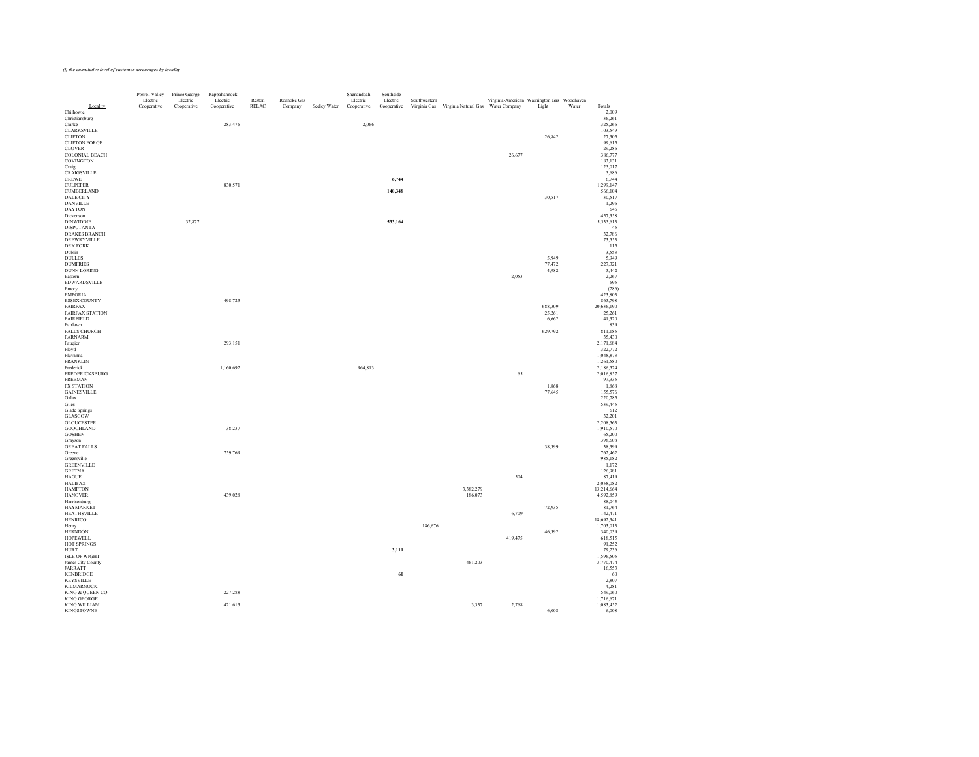| Locality                                  | Powell Valley<br>Electric<br>Cooperative | Prince George<br>Electric<br>Cooperative | Rappahannock<br>Electric<br>Cooperative | Reston<br>RELAC | Roanoke Gas<br>Company | Sedley Water | Shenandoah<br>Electric<br>Cooperative | Southside<br>Electric<br>Cooperative | Southwestern | Virginia Gas Virginia Natural Gas Water Company | Virginia-American Washington Gas Woodhaven | Light             | Water | Totals                  |
|-------------------------------------------|------------------------------------------|------------------------------------------|-----------------------------------------|-----------------|------------------------|--------------|---------------------------------------|--------------------------------------|--------------|-------------------------------------------------|--------------------------------------------|-------------------|-------|-------------------------|
| Chilhowie<br>Christiansburg               |                                          |                                          |                                         |                 |                        |              |                                       |                                      |              |                                                 |                                            |                   |       | 2,009<br>36,261         |
| Clarke<br>CLARKSVILLE                     |                                          |                                          | 283,476                                 |                 |                        |              | 2,066                                 |                                      |              |                                                 |                                            |                   |       | 325,266<br>103,549      |
| <b>CLIFTON</b><br><b>CLIFTON FORGE</b>    |                                          |                                          |                                         |                 |                        |              |                                       |                                      |              |                                                 |                                            | 26,842            |       | 27,305<br>99,615        |
| <b>CLOVER</b>                             |                                          |                                          |                                         |                 |                        |              |                                       |                                      |              |                                                 |                                            |                   |       | 29,286                  |
| <b>COLONIAL BEACH</b><br><b>COVINGTON</b> |                                          |                                          |                                         |                 |                        |              |                                       |                                      |              |                                                 | 26,677                                     |                   |       | 386,777<br>183,131      |
| Craig<br>CRAIGSVILLE                      |                                          |                                          |                                         |                 |                        |              |                                       |                                      |              |                                                 |                                            |                   |       | 125,017<br>5,686        |
| <b>CREWE</b>                              |                                          |                                          |                                         |                 |                        |              |                                       | 6,744                                |              |                                                 |                                            |                   |       | 6,744                   |
| <b>CULPEPER</b><br><b>CUMBERLAND</b>      |                                          |                                          | 830,571                                 |                 |                        |              |                                       | 140,348                              |              |                                                 |                                            |                   |       | 1,299,147<br>566,104    |
| <b>DALE CITY</b><br><b>DANVILLE</b>       |                                          |                                          |                                         |                 |                        |              |                                       |                                      |              |                                                 |                                            | 30,517            |       | 30,517<br>1,296         |
| <b>DAYTON</b>                             |                                          |                                          |                                         |                 |                        |              |                                       |                                      |              |                                                 |                                            |                   |       | 646                     |
| Dickenson<br><b>DINWIDDIE</b>             |                                          | 32,877                                   |                                         |                 |                        |              |                                       | 533,164                              |              |                                                 |                                            |                   |       | 457,358<br>5,535,613    |
| <b>DISPUTANTA</b><br><b>DRAKES BRANCH</b> |                                          |                                          |                                         |                 |                        |              |                                       |                                      |              |                                                 |                                            |                   |       | 45<br>32,786            |
| DREWRYVILLE                               |                                          |                                          |                                         |                 |                        |              |                                       |                                      |              |                                                 |                                            |                   |       | 73,553                  |
| DRY FORK<br>Dublin                        |                                          |                                          |                                         |                 |                        |              |                                       |                                      |              |                                                 |                                            |                   |       | 115<br>3,553            |
| <b>DULLES</b><br><b>DUMFRIES</b>          |                                          |                                          |                                         |                 |                        |              |                                       |                                      |              |                                                 |                                            | 5,949<br>77,472   |       | 5,949<br>227,321        |
| DUNN LORING<br>Eastern                    |                                          |                                          |                                         |                 |                        |              |                                       |                                      |              |                                                 | 2,053                                      | 4,982             |       | 5,442                   |
| <b>EDWARDSVILLE</b>                       |                                          |                                          |                                         |                 |                        |              |                                       |                                      |              |                                                 |                                            |                   |       | 2,267<br>695            |
| Emory<br><b>EMPORIA</b>                   |                                          |                                          |                                         |                 |                        |              |                                       |                                      |              |                                                 |                                            |                   |       | (286)<br>423,803        |
| ESSEX COUNTY                              |                                          |                                          | 498,723                                 |                 |                        |              |                                       |                                      |              |                                                 |                                            |                   |       | 865,798                 |
| <b>FAIRFAX</b><br><b>FAIRFAX STATION</b>  |                                          |                                          |                                         |                 |                        |              |                                       |                                      |              |                                                 |                                            | 688,309<br>25,261 |       | 20,636,190<br>25,261    |
| <b>FAIRFIELD</b><br>Fairlawn              |                                          |                                          |                                         |                 |                        |              |                                       |                                      |              |                                                 |                                            | 6,662             |       | 41,320<br>839           |
| <b>FALLS CHURCH</b>                       |                                          |                                          |                                         |                 |                        |              |                                       |                                      |              |                                                 |                                            | 629,792           |       | 811,185                 |
| FARNARM<br>Fauqier                        |                                          |                                          | 293,151                                 |                 |                        |              |                                       |                                      |              |                                                 |                                            |                   |       | 35,430<br>2,171,684     |
| Floyd<br>Fluvanna                         |                                          |                                          |                                         |                 |                        |              |                                       |                                      |              |                                                 |                                            |                   |       | 322,772<br>1,048,873    |
| <b>FRANKLIN</b>                           |                                          |                                          |                                         |                 |                        |              |                                       |                                      |              |                                                 |                                            |                   |       | 1,261,580               |
| Frederick<br>FREDERICKSBURG               |                                          |                                          | 1,160,692                               |                 |                        |              | 964,813                               |                                      |              |                                                 | 65                                         |                   |       | 2,186,524<br>2,016,857  |
| <b>FREEMAN</b><br><b>FX STATION</b>       |                                          |                                          |                                         |                 |                        |              |                                       |                                      |              |                                                 |                                            | 1,868             |       | 97,335<br>1,868         |
| <b>GAINESVILLE</b>                        |                                          |                                          |                                         |                 |                        |              |                                       |                                      |              |                                                 |                                            | 77,645            |       | 155,576                 |
| Galax<br>Giles                            |                                          |                                          |                                         |                 |                        |              |                                       |                                      |              |                                                 |                                            |                   |       | 220,785<br>539,445      |
| Glade Springs<br>GLASGOW                  |                                          |                                          |                                         |                 |                        |              |                                       |                                      |              |                                                 |                                            |                   |       | 612<br>32,201           |
| <b>GLOUCESTER</b>                         |                                          |                                          |                                         |                 |                        |              |                                       |                                      |              |                                                 |                                            |                   |       | 2,208,563               |
| <b>GOOCHLAND</b><br><b>GOSHEN</b>         |                                          |                                          | 38,237                                  |                 |                        |              |                                       |                                      |              |                                                 |                                            |                   |       | 1,910,570<br>65,200     |
| Grayson<br><b>GREAT FALLS</b>             |                                          |                                          |                                         |                 |                        |              |                                       |                                      |              |                                                 |                                            | 38,399            |       | 398,608<br>38,399       |
| Greene                                    |                                          |                                          | 759,769                                 |                 |                        |              |                                       |                                      |              |                                                 |                                            |                   |       | 762,462                 |
| Greensville<br><b>GREENVILLE</b>          |                                          |                                          |                                         |                 |                        |              |                                       |                                      |              |                                                 |                                            |                   |       | 985,182<br>1,172        |
| <b>GRETNA</b>                             |                                          |                                          |                                         |                 |                        |              |                                       |                                      |              |                                                 |                                            |                   |       | 126,981                 |
| <b>HAGUE</b><br><b>HALIFAX</b>            |                                          |                                          |                                         |                 |                        |              |                                       |                                      |              |                                                 | 504                                        |                   |       | 87,419<br>2,058,082     |
| <b>HAMPTON</b><br><b>HANOVER</b>          |                                          |                                          | 439,028                                 |                 |                        |              |                                       |                                      |              | 3,382,279<br>186,073                            |                                            |                   |       | 13,214,664<br>4,592,859 |
| Harrisonburg                              |                                          |                                          |                                         |                 |                        |              |                                       |                                      |              |                                                 |                                            |                   |       | 88,043                  |
| <b>HAYMARKET</b><br><b>HEATHSVILLE</b>    |                                          |                                          |                                         |                 |                        |              |                                       |                                      |              |                                                 | 6,709                                      | 72,935            |       | 81,764<br>142,471       |
| HENRICO<br>Henry                          |                                          |                                          |                                         |                 |                        |              |                                       |                                      | 186,676      |                                                 |                                            |                   |       | 18,692,341<br>1,703,013 |
| <b>HERNDON</b>                            |                                          |                                          |                                         |                 |                        |              |                                       |                                      |              |                                                 |                                            | 46,392            |       | 340,039                 |
| HOPEWELL<br>HOT SPRINGS                   |                                          |                                          |                                         |                 |                        |              |                                       |                                      |              |                                                 | 419,475                                    |                   |       | 618,515<br>91,252       |
| <b>HURT</b><br><b>ISLE OF WIGHT</b>       |                                          |                                          |                                         |                 |                        |              |                                       | 3,111                                |              |                                                 |                                            |                   |       | 79,236<br>1,596,505     |
| James City County                         |                                          |                                          |                                         |                 |                        |              |                                       |                                      |              | 461,203                                         |                                            |                   |       | 3,770,474               |
| <b>JARRATT</b><br><b>KENBRIDGE</b>        |                                          |                                          |                                         |                 |                        |              |                                       | 60                                   |              |                                                 |                                            |                   |       | 16,553<br>60            |
| <b>KEYSVILLE</b><br><b>KILMARNOCK</b>     |                                          |                                          |                                         |                 |                        |              |                                       |                                      |              |                                                 |                                            |                   |       | 2,807<br>4,281          |
| KING & QUEEN CO                           |                                          |                                          | 227,288                                 |                 |                        |              |                                       |                                      |              |                                                 |                                            |                   |       | 549,060                 |
| KING GEORGE<br><b>KING WILLIAM</b>        |                                          |                                          | 421,613                                 |                 |                        |              |                                       |                                      |              | 3,337                                           | 2,768                                      |                   |       | 1,716,671<br>1,083,452  |
| KINGSTOWNE                                |                                          |                                          |                                         |                 |                        |              |                                       |                                      |              |                                                 |                                            | 6,008             |       | 6,008                   |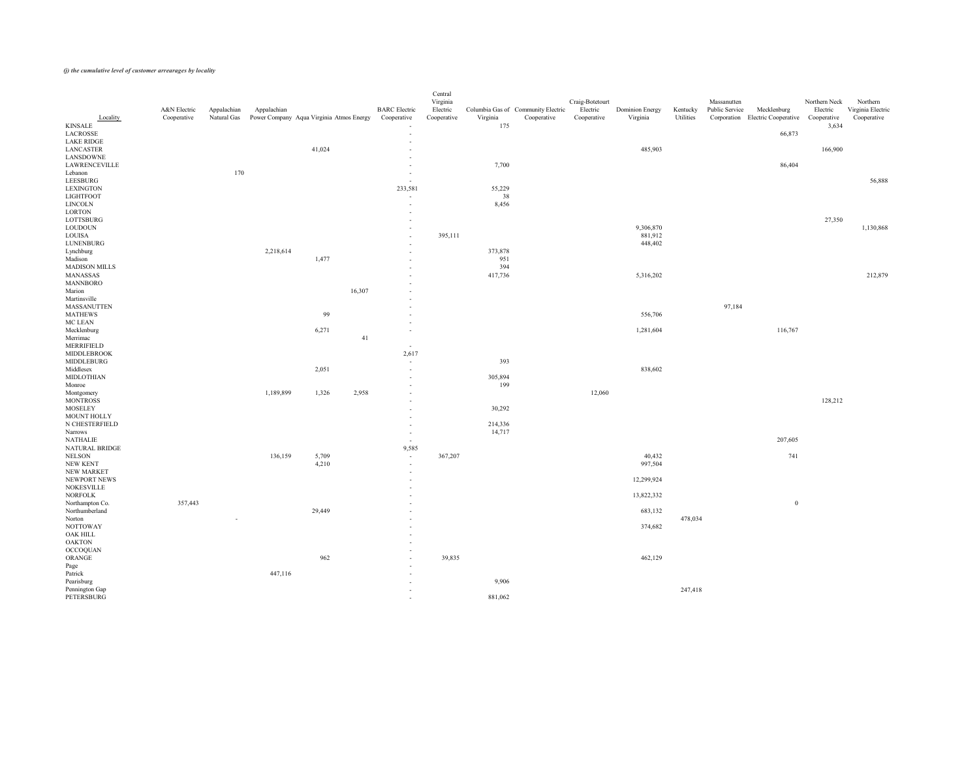| Locality                             | A&N Electric<br>Cooperative | Appalachian<br>Natural Gas | Appalachian<br>Power Company Aqua Virginia Atmos Energy |        |        | <b>BARC</b> Electric<br>Cooperative | Central<br>Virginia<br>Electric<br>Cooperative | Virginia   | Columbia Gas of Community Electric<br>Cooperative | Craig-Botetourt<br>Electric<br>Cooperative | <b>Dominion Energy</b><br>Virginia | Kentucky<br>Utilities | Massanutten<br>Public Service | Mecklenburg<br>Corporation Electric Cooperative | Northern Neck<br>Electric<br>Cooperative | Northern<br>Virginia Electric<br>Cooperative |
|--------------------------------------|-----------------------------|----------------------------|---------------------------------------------------------|--------|--------|-------------------------------------|------------------------------------------------|------------|---------------------------------------------------|--------------------------------------------|------------------------------------|-----------------------|-------------------------------|-------------------------------------------------|------------------------------------------|----------------------------------------------|
| <b>KINSALE</b>                       |                             |                            |                                                         |        |        | $\overline{\phantom{m}}$            |                                                | 175        |                                                   |                                            |                                    |                       |                               |                                                 | 3,634                                    |                                              |
| LACROSSE                             |                             |                            |                                                         |        |        | $\sim$                              |                                                |            |                                                   |                                            |                                    |                       |                               | 66,873                                          |                                          |                                              |
| <b>LAKE RIDGE</b>                    |                             |                            |                                                         |        |        | $\sim$                              |                                                |            |                                                   |                                            |                                    |                       |                               |                                                 |                                          |                                              |
| <b>LANCASTER</b>                     |                             |                            |                                                         | 41,024 |        | $\sim$                              |                                                |            |                                                   |                                            | 485,903                            |                       |                               |                                                 | 166,900                                  |                                              |
| LANSDOWNE<br><b>LAWRENCEVILLE</b>    |                             |                            |                                                         |        |        | $\sim$<br>$\sim$                    |                                                | 7,700      |                                                   |                                            |                                    |                       |                               | 86,404                                          |                                          |                                              |
| Lebanon                              |                             | 170                        |                                                         |        |        | $\sim$                              |                                                |            |                                                   |                                            |                                    |                       |                               |                                                 |                                          |                                              |
| LEESBURG                             |                             |                            |                                                         |        |        | $\overline{a}$                      |                                                |            |                                                   |                                            |                                    |                       |                               |                                                 |                                          | 56,888                                       |
| <b>LEXINGTON</b>                     |                             |                            |                                                         |        |        | 233,581                             |                                                | 55,229     |                                                   |                                            |                                    |                       |                               |                                                 |                                          |                                              |
| LIGHTFOOT                            |                             |                            |                                                         |        |        | $\overline{a}$                      |                                                | 38         |                                                   |                                            |                                    |                       |                               |                                                 |                                          |                                              |
| <b>LINCOLN</b><br>LORTON             |                             |                            |                                                         |        |        | $\overline{a}$                      |                                                | 8,456      |                                                   |                                            |                                    |                       |                               |                                                 |                                          |                                              |
| LOTTSBURG                            |                             |                            |                                                         |        |        | $\sim$<br>$\sim$                    |                                                |            |                                                   |                                            |                                    |                       |                               |                                                 | 27,350                                   |                                              |
| <b>LOUDOUN</b>                       |                             |                            |                                                         |        |        | $\sim$                              |                                                |            |                                                   |                                            | 9,306,870                          |                       |                               |                                                 |                                          | 1,130,868                                    |
| LOUISA                               |                             |                            |                                                         |        |        | $\sim$                              | 395,111                                        |            |                                                   |                                            | 881,912                            |                       |                               |                                                 |                                          |                                              |
| LUNENBURG                            |                             |                            |                                                         |        |        | $\sim$                              |                                                |            |                                                   |                                            | 448,402                            |                       |                               |                                                 |                                          |                                              |
| Lynchburg                            |                             |                            | 2,218,614                                               |        |        | $\sim$                              |                                                | 373,878    |                                                   |                                            |                                    |                       |                               |                                                 |                                          |                                              |
| Madison<br><b>MADISON MILLS</b>      |                             |                            |                                                         | 1,477  |        | $\sim$<br>$\sim$                    |                                                | 951<br>394 |                                                   |                                            |                                    |                       |                               |                                                 |                                          |                                              |
| MANASSAS                             |                             |                            |                                                         |        |        | $\sim$                              |                                                | 417,736    |                                                   |                                            | 5,316,202                          |                       |                               |                                                 |                                          | 212,879                                      |
| MANNBORO                             |                             |                            |                                                         |        |        | $\sim$                              |                                                |            |                                                   |                                            |                                    |                       |                               |                                                 |                                          |                                              |
| Marion                               |                             |                            |                                                         |        | 16,307 | $\sim$                              |                                                |            |                                                   |                                            |                                    |                       |                               |                                                 |                                          |                                              |
| Martinsville                         |                             |                            |                                                         |        |        | $\sim$                              |                                                |            |                                                   |                                            |                                    |                       |                               |                                                 |                                          |                                              |
| <b>MASSANUTTEN</b><br><b>MATHEWS</b> |                             |                            |                                                         | 99     |        | $\sim$                              |                                                |            |                                                   |                                            | 556,706                            |                       | 97,184                        |                                                 |                                          |                                              |
| MC LEAN                              |                             |                            |                                                         |        |        | $\sim$<br>$\sim$                    |                                                |            |                                                   |                                            |                                    |                       |                               |                                                 |                                          |                                              |
| Mecklenburg                          |                             |                            |                                                         | 6,271  |        | $\sim$                              |                                                |            |                                                   |                                            | 1,281,604                          |                       |                               | 116,767                                         |                                          |                                              |
| Merrimac                             |                             |                            |                                                         |        | 41     |                                     |                                                |            |                                                   |                                            |                                    |                       |                               |                                                 |                                          |                                              |
| MERRIFIELD                           |                             |                            |                                                         |        |        | $\sim$                              |                                                |            |                                                   |                                            |                                    |                       |                               |                                                 |                                          |                                              |
| MIDDLEBROOK<br>MIDDLEBURG            |                             |                            |                                                         |        |        | 2,617                               |                                                | 393        |                                                   |                                            |                                    |                       |                               |                                                 |                                          |                                              |
| Middlesex                            |                             |                            |                                                         | 2,051  |        | $\sim$<br>$\sim$                    |                                                |            |                                                   |                                            | 838,602                            |                       |                               |                                                 |                                          |                                              |
| MIDLOTHIAN                           |                             |                            |                                                         |        |        | $\sim$                              |                                                | 305,894    |                                                   |                                            |                                    |                       |                               |                                                 |                                          |                                              |
| Monroe                               |                             |                            |                                                         |        |        | $\sim$                              |                                                | 199        |                                                   |                                            |                                    |                       |                               |                                                 |                                          |                                              |
| Montgomery                           |                             |                            | 1,189,899                                               | 1,326  | 2,958  | $\sim$                              |                                                |            |                                                   | 12,060                                     |                                    |                       |                               |                                                 |                                          |                                              |
| <b>MONTROSS</b><br><b>MOSELEY</b>    |                             |                            |                                                         |        |        | $\sim$                              |                                                | 30,292     |                                                   |                                            |                                    |                       |                               |                                                 | 128,212                                  |                                              |
| MOUNT HOLLY                          |                             |                            |                                                         |        |        | $\overline{\phantom{a}}$<br>$\sim$  |                                                |            |                                                   |                                            |                                    |                       |                               |                                                 |                                          |                                              |
| N CHESTERFIELD                       |                             |                            |                                                         |        |        | $\sim$                              |                                                | 214,336    |                                                   |                                            |                                    |                       |                               |                                                 |                                          |                                              |
| Narrows                              |                             |                            |                                                         |        |        | $\sim$                              |                                                | 14,717     |                                                   |                                            |                                    |                       |                               |                                                 |                                          |                                              |
| <b>NATHALIE</b>                      |                             |                            |                                                         |        |        | $\sim$                              |                                                |            |                                                   |                                            |                                    |                       |                               | 207,605                                         |                                          |                                              |
| NATURAL BRIDGE<br>NELSON             |                             |                            | 136,159                                                 | 5,709  |        | 9,585                               | 367,207                                        |            |                                                   |                                            | 40,432                             |                       |                               | 741                                             |                                          |                                              |
| NEW KENT                             |                             |                            |                                                         | 4,210  |        | $\sim$<br>$\sim$                    |                                                |            |                                                   |                                            | 997,504                            |                       |                               |                                                 |                                          |                                              |
| NEW MARKET                           |                             |                            |                                                         |        |        | $\sim$                              |                                                |            |                                                   |                                            |                                    |                       |                               |                                                 |                                          |                                              |
| NEWPORT NEWS                         |                             |                            |                                                         |        |        | $\sim$                              |                                                |            |                                                   |                                            | 12,299,924                         |                       |                               |                                                 |                                          |                                              |
| NOKESVILLE                           |                             |                            |                                                         |        |        |                                     |                                                |            |                                                   |                                            |                                    |                       |                               |                                                 |                                          |                                              |
| <b>NORFOLK</b>                       |                             |                            |                                                         |        |        | $\overline{\phantom{0}}$            |                                                |            |                                                   |                                            | 13,822,332                         |                       |                               |                                                 |                                          |                                              |
| Northampton Co.<br>Northumberland    | 357,443                     |                            |                                                         | 29,449 |        | $\sim$<br>$\sim$                    |                                                |            |                                                   |                                            | 683,132                            |                       |                               | $\boldsymbol{0}$                                |                                          |                                              |
| Norton                               |                             | $\overline{\phantom{a}}$   |                                                         |        |        | $\sim$                              |                                                |            |                                                   |                                            |                                    | 478,034               |                               |                                                 |                                          |                                              |
| <b>NOTTOWAY</b>                      |                             |                            |                                                         |        |        | $\sim$                              |                                                |            |                                                   |                                            | 374,682                            |                       |                               |                                                 |                                          |                                              |
| OAK HILL                             |                             |                            |                                                         |        |        | $\overline{\phantom{a}}$            |                                                |            |                                                   |                                            |                                    |                       |                               |                                                 |                                          |                                              |
| <b>OAKTON</b>                        |                             |                            |                                                         |        |        | $\overline{\phantom{a}}$            |                                                |            |                                                   |                                            |                                    |                       |                               |                                                 |                                          |                                              |
| <b>OCCOQUAN</b><br>ORANGE            |                             |                            |                                                         | 962    |        | $\sim$<br>$\sim$                    | 39,835                                         |            |                                                   |                                            | 462,129                            |                       |                               |                                                 |                                          |                                              |
|                                      |                             |                            |                                                         |        |        | $\sim$ $\sim$                       |                                                |            |                                                   |                                            |                                    |                       |                               |                                                 |                                          |                                              |
| Page<br>Patrick                      |                             |                            | 447,116                                                 |        |        | $\overline{\phantom{a}}$            |                                                |            |                                                   |                                            |                                    |                       |                               |                                                 |                                          |                                              |
| Pearisburg                           |                             |                            |                                                         |        |        |                                     |                                                | 9,906      |                                                   |                                            |                                    |                       |                               |                                                 |                                          |                                              |
| Pennington Gap                       |                             |                            |                                                         |        |        |                                     |                                                |            |                                                   |                                            |                                    | 247,418               |                               |                                                 |                                          |                                              |
| PETERSBURG                           |                             |                            |                                                         |        |        | $\overline{\phantom{a}}$            |                                                | 881,062    |                                                   |                                            |                                    |                       |                               |                                                 |                                          |                                              |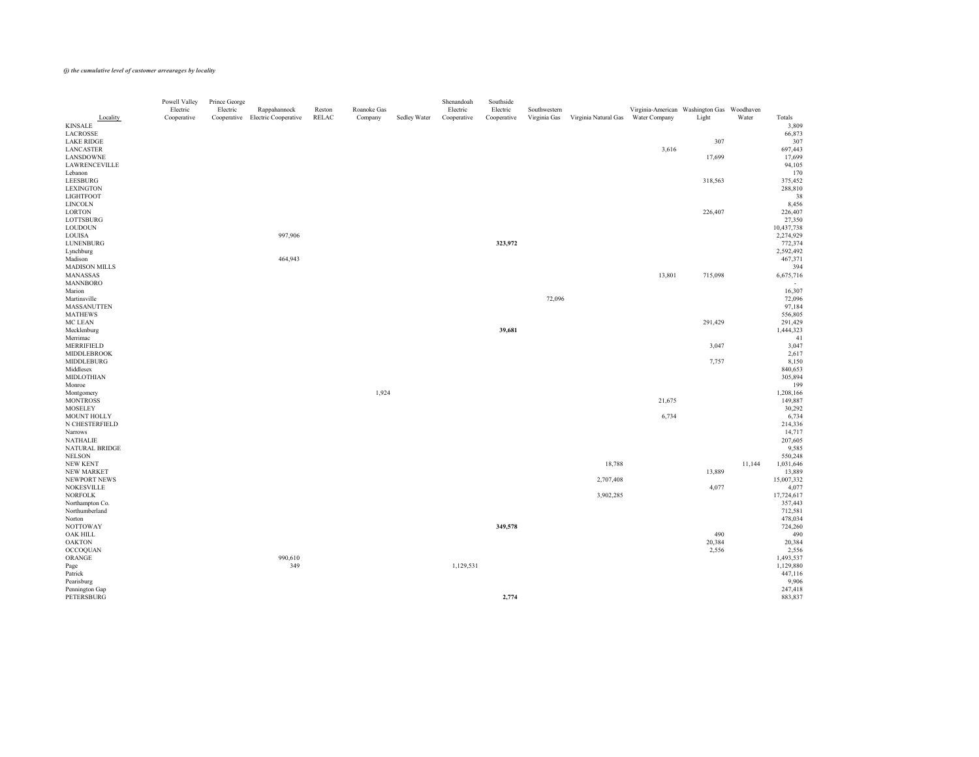| Locality                            | Powell Valley<br>Electric<br>Cooperative | Prince George<br>Electric | Rappahannock<br>Cooperative Electric Cooperative | Reston<br>RELAC | Roanoke Gas<br>Company | Sedley Water | Shenandoah<br>Electric<br>Cooperative | Southside<br>Electric<br>Cooperative | Southwestern<br>Virginia Gas | Virginia Natural Gas | Virginia-American Washington Gas Woodhaven<br>Water Company | Light   | Water  | Totals                |
|-------------------------------------|------------------------------------------|---------------------------|--------------------------------------------------|-----------------|------------------------|--------------|---------------------------------------|--------------------------------------|------------------------------|----------------------|-------------------------------------------------------------|---------|--------|-----------------------|
| <b>KINSALE</b>                      |                                          |                           |                                                  |                 |                        |              |                                       |                                      |                              |                      |                                                             |         |        | 3,809                 |
| LACROSSE                            |                                          |                           |                                                  |                 |                        |              |                                       |                                      |                              |                      |                                                             |         |        | 66,873                |
| LAKE RIDGE                          |                                          |                           |                                                  |                 |                        |              |                                       |                                      |                              |                      |                                                             | 307     |        | 307                   |
| LANCASTER                           |                                          |                           |                                                  |                 |                        |              |                                       |                                      |                              |                      | 3,616                                                       |         |        | 697,443               |
| LANSDOWNE                           |                                          |                           |                                                  |                 |                        |              |                                       |                                      |                              |                      |                                                             | 17,699  |        | 17,699                |
| LAWRENCEVILLE                       |                                          |                           |                                                  |                 |                        |              |                                       |                                      |                              |                      |                                                             |         |        | 94,105                |
| Lebanon                             |                                          |                           |                                                  |                 |                        |              |                                       |                                      |                              |                      |                                                             |         |        | 170                   |
| LEESBURG<br>LEXINGTON               |                                          |                           |                                                  |                 |                        |              |                                       |                                      |                              |                      |                                                             | 318,563 |        | 375,452<br>288,810    |
| LIGHTFOOT                           |                                          |                           |                                                  |                 |                        |              |                                       |                                      |                              |                      |                                                             |         |        | 38                    |
| LINCOLN                             |                                          |                           |                                                  |                 |                        |              |                                       |                                      |                              |                      |                                                             |         |        | 8,456                 |
| LORTON                              |                                          |                           |                                                  |                 |                        |              |                                       |                                      |                              |                      |                                                             | 226,407 |        | 226,407               |
| LOTTSBURG                           |                                          |                           |                                                  |                 |                        |              |                                       |                                      |                              |                      |                                                             |         |        | 27,350                |
| <b>LOUDOUN</b>                      |                                          |                           |                                                  |                 |                        |              |                                       |                                      |                              |                      |                                                             |         |        | 10,437,738            |
| LOUISA                              |                                          |                           | 997,906                                          |                 |                        |              |                                       |                                      |                              |                      |                                                             |         |        | 2,274,929             |
| LUNENBURG                           |                                          |                           |                                                  |                 |                        |              |                                       | 323,972                              |                              |                      |                                                             |         |        | 772,374               |
| Lynchburg                           |                                          |                           |                                                  |                 |                        |              |                                       |                                      |                              |                      |                                                             |         |        | 2,592,492             |
| Madison                             |                                          |                           | 464,943                                          |                 |                        |              |                                       |                                      |                              |                      |                                                             |         |        | 467,371               |
| <b>MADISON MILLS</b>                |                                          |                           |                                                  |                 |                        |              |                                       |                                      |                              |                      |                                                             |         |        | 394                   |
| MANASSAS                            |                                          |                           |                                                  |                 |                        |              |                                       |                                      |                              |                      | 13,801                                                      | 715,098 |        | 6,675,716             |
| MANNBORO<br>Marion                  |                                          |                           |                                                  |                 |                        |              |                                       |                                      |                              |                      |                                                             |         |        | 16,307                |
| Martinsville                        |                                          |                           |                                                  |                 |                        |              |                                       |                                      | 72,096                       |                      |                                                             |         |        | 72,096                |
| <b>MASSANUTTEN</b>                  |                                          |                           |                                                  |                 |                        |              |                                       |                                      |                              |                      |                                                             |         |        | 97,184                |
| <b>MATHEWS</b>                      |                                          |                           |                                                  |                 |                        |              |                                       |                                      |                              |                      |                                                             |         |        | 556,805               |
| MC LEAN                             |                                          |                           |                                                  |                 |                        |              |                                       |                                      |                              |                      |                                                             | 291,429 |        | 291,429               |
| Mecklenburg                         |                                          |                           |                                                  |                 |                        |              |                                       | 39,681                               |                              |                      |                                                             |         |        | 1,444,323             |
| Merrimac                            |                                          |                           |                                                  |                 |                        |              |                                       |                                      |                              |                      |                                                             |         |        | 41                    |
| MERRIFIELD                          |                                          |                           |                                                  |                 |                        |              |                                       |                                      |                              |                      |                                                             | 3,047   |        | 3,047                 |
| <b>MIDDLEBROOK</b>                  |                                          |                           |                                                  |                 |                        |              |                                       |                                      |                              |                      |                                                             |         |        | 2,617                 |
| MIDDLEBURG                          |                                          |                           |                                                  |                 |                        |              |                                       |                                      |                              |                      |                                                             | 7,757   |        | 8,150                 |
| Middlesex                           |                                          |                           |                                                  |                 |                        |              |                                       |                                      |                              |                      |                                                             |         |        | 840,653               |
| <b>MIDLOTHIAN</b>                   |                                          |                           |                                                  |                 |                        |              |                                       |                                      |                              |                      |                                                             |         |        | 305,894               |
| Monroe                              |                                          |                           |                                                  |                 | 1,924                  |              |                                       |                                      |                              |                      |                                                             |         |        | 199                   |
| Montgomery<br><b>MONTROSS</b>       |                                          |                           |                                                  |                 |                        |              |                                       |                                      |                              |                      | 21,675                                                      |         |        | 1,208,166<br>149,887  |
| <b>MOSELEY</b>                      |                                          |                           |                                                  |                 |                        |              |                                       |                                      |                              |                      |                                                             |         |        | 30,292                |
| MOUNT HOLLY                         |                                          |                           |                                                  |                 |                        |              |                                       |                                      |                              |                      | 6,734                                                       |         |        | 6,734                 |
| N CHESTERFIELD                      |                                          |                           |                                                  |                 |                        |              |                                       |                                      |                              |                      |                                                             |         |        | 214,336               |
| Narrows                             |                                          |                           |                                                  |                 |                        |              |                                       |                                      |                              |                      |                                                             |         |        | 14,717                |
| <b>NATHALIE</b>                     |                                          |                           |                                                  |                 |                        |              |                                       |                                      |                              |                      |                                                             |         |        | 207,605               |
| NATURAL BRIDGE                      |                                          |                           |                                                  |                 |                        |              |                                       |                                      |                              |                      |                                                             |         |        | 9,585                 |
| <b>NELSON</b>                       |                                          |                           |                                                  |                 |                        |              |                                       |                                      |                              |                      |                                                             |         |        | 550,248               |
| NEW KENT                            |                                          |                           |                                                  |                 |                        |              |                                       |                                      |                              | 18,788               |                                                             |         | 11,144 | 1,031,646             |
| NEW MARKET                          |                                          |                           |                                                  |                 |                        |              |                                       |                                      |                              |                      |                                                             | 13,889  |        | 13,889                |
| NEWPORT NEWS                        |                                          |                           |                                                  |                 |                        |              |                                       |                                      |                              | 2,707,408            |                                                             |         |        | 15,007,332<br>4,077   |
| NOKESVILLE<br><b>NORFOLK</b>        |                                          |                           |                                                  |                 |                        |              |                                       |                                      |                              |                      |                                                             | 4,077   |        |                       |
| Northampton Co.                     |                                          |                           |                                                  |                 |                        |              |                                       |                                      |                              | 3,902,285            |                                                             |         |        | 17,724,617<br>357,443 |
| Northumberland                      |                                          |                           |                                                  |                 |                        |              |                                       |                                      |                              |                      |                                                             |         |        | 712,581               |
| Norton                              |                                          |                           |                                                  |                 |                        |              |                                       |                                      |                              |                      |                                                             |         |        | 478,034               |
| <b>NOTTOWAY</b>                     |                                          |                           |                                                  |                 |                        |              |                                       | 349,578                              |                              |                      |                                                             |         |        | 724,260               |
| OAK HILL                            |                                          |                           |                                                  |                 |                        |              |                                       |                                      |                              |                      |                                                             | 490     |        | 490                   |
| <b>OAKTON</b>                       |                                          |                           |                                                  |                 |                        |              |                                       |                                      |                              |                      |                                                             | 20,384  |        | 20,384                |
| <b>OCCOQUAN</b>                     |                                          |                           |                                                  |                 |                        |              |                                       |                                      |                              |                      |                                                             | 2,556   |        | 2,556                 |
| ORANGE                              |                                          |                           | 990,610                                          |                 |                        |              |                                       |                                      |                              |                      |                                                             |         |        | 1,493,537             |
| Page                                |                                          |                           | 349                                              |                 |                        |              | 1,129,531                             |                                      |                              |                      |                                                             |         |        | 1,129,880             |
| Patrick                             |                                          |                           |                                                  |                 |                        |              |                                       |                                      |                              |                      |                                                             |         |        | 447,116               |
| Pearisburg                          |                                          |                           |                                                  |                 |                        |              |                                       |                                      |                              |                      |                                                             |         |        | 9,906                 |
| Pennington Gap<br><b>PETERSBURG</b> |                                          |                           |                                                  |                 |                        |              |                                       |                                      |                              |                      |                                                             |         |        | 247,418               |
|                                     |                                          |                           |                                                  |                 |                        |              |                                       | 2,774                                |                              |                      |                                                             |         |        | 883,837               |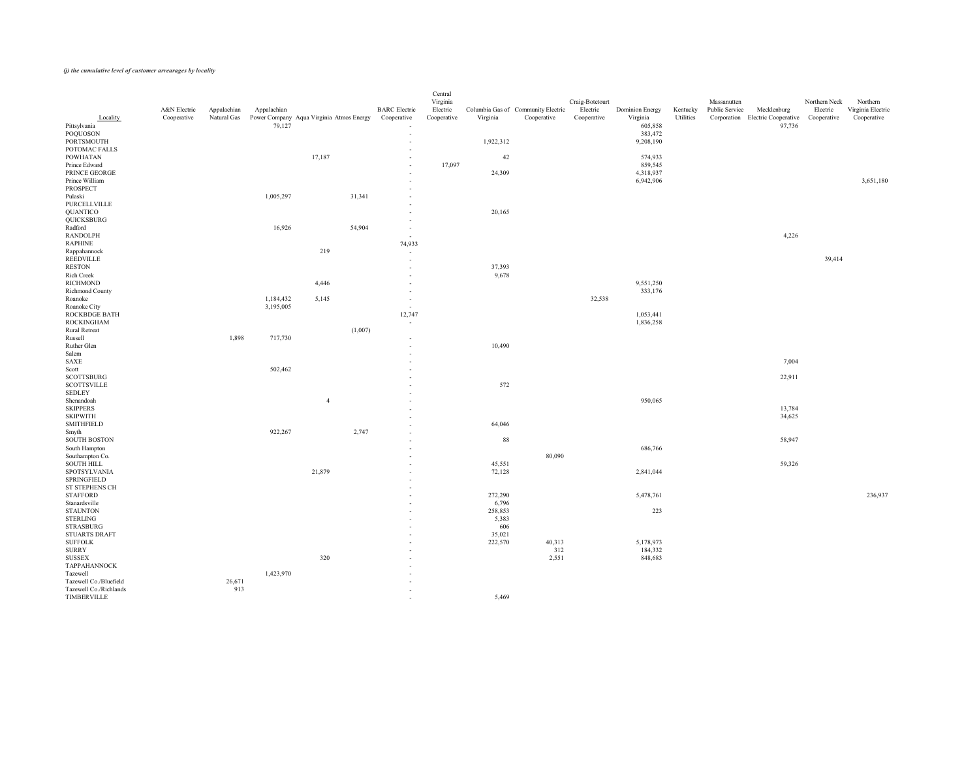|                                       | A&N Electric | Appalachian | Appalachian |                                          |         | <b>BARC</b> Electric               | Central<br>Virginia<br>Electric |                   | Columbia Gas of Community Electric | Craig-Botetourt<br>Electric | <b>Dominion Energy</b> | Kentucky  | Massanutten<br>Public Service | Mecklenburg                                  | Northern Neck<br>Electric | Northern<br>Virginia Electric |
|---------------------------------------|--------------|-------------|-------------|------------------------------------------|---------|------------------------------------|---------------------------------|-------------------|------------------------------------|-----------------------------|------------------------|-----------|-------------------------------|----------------------------------------------|---------------------------|-------------------------------|
| Locality                              | Cooperative  | Natural Gas |             | Power Company Aqua Virginia Atmos Energy |         | Cooperative                        | Cooperative                     | Virginia          | Cooperative                        | Cooperative                 | Virginia               | Utilities |                               | Corporation Electric Cooperative Cooperative |                           | Cooperative                   |
| Pittsylvania<br>POQUOSON              |              |             | 79,127      |                                          |         | $\sim$<br>$\sim$                   |                                 |                   |                                    |                             | 605,858<br>383,472     |           |                               | 97,736                                       |                           |                               |
| <b>PORTSMOUTH</b>                     |              |             |             |                                          |         | $\overline{\phantom{0}}$           |                                 | 1,922,312         |                                    |                             | 9,208,190              |           |                               |                                              |                           |                               |
| POTOMAC FALLS                         |              |             |             |                                          |         | $\sim$                             |                                 |                   |                                    |                             |                        |           |                               |                                              |                           |                               |
| <b>POWHATAN</b>                       |              |             |             | 17,187                                   |         | $\sim$                             |                                 | 42                |                                    |                             | 574,933                |           |                               |                                              |                           |                               |
| Prince Edward                         |              |             |             |                                          |         | $\sim$                             | 17,097                          |                   |                                    |                             | 859,545                |           |                               |                                              |                           |                               |
| PRINCE GEORGE<br>Prince William       |              |             |             |                                          |         | $\sim$<br>$\sim$                   |                                 | 24,309            |                                    |                             | 4,318,937<br>6,942,906 |           |                               |                                              |                           | 3,651,180                     |
| <b>PROSPECT</b>                       |              |             |             |                                          |         | $\sim$                             |                                 |                   |                                    |                             |                        |           |                               |                                              |                           |                               |
| Pulaski                               |              |             | 1,005,297   |                                          | 31,341  | $\sim$                             |                                 |                   |                                    |                             |                        |           |                               |                                              |                           |                               |
| PURCELLVILLE                          |              |             |             |                                          |         | $\sim$                             |                                 |                   |                                    |                             |                        |           |                               |                                              |                           |                               |
| QUANTICO                              |              |             |             |                                          |         | $\sim$                             |                                 | 20,165            |                                    |                             |                        |           |                               |                                              |                           |                               |
| QUICKSBURG<br>Radford                 |              |             | 16,926      |                                          |         | $\overline{\phantom{0}}$           |                                 |                   |                                    |                             |                        |           |                               |                                              |                           |                               |
| <b>RANDOLPH</b>                       |              |             |             |                                          | 54,904  | $\sim$<br>$\sim$                   |                                 |                   |                                    |                             |                        |           |                               | 4,226                                        |                           |                               |
| <b>RAPHINE</b>                        |              |             |             |                                          |         | 74,933                             |                                 |                   |                                    |                             |                        |           |                               |                                              |                           |                               |
| Rappahannock                          |              |             |             | 219                                      |         | $\sim$                             |                                 |                   |                                    |                             |                        |           |                               |                                              |                           |                               |
| <b>REEDVILLE</b>                      |              |             |             |                                          |         | $\sim$                             |                                 |                   |                                    |                             |                        |           |                               |                                              | 39,414                    |                               |
| <b>RESTON</b>                         |              |             |             |                                          |         | $\sim$                             |                                 | 37,393            |                                    |                             |                        |           |                               |                                              |                           |                               |
| Rich Creek<br>RICHMOND                |              |             |             | 4,446                                    |         | $\sim$                             |                                 | 9,678             |                                    |                             | 9,551,250              |           |                               |                                              |                           |                               |
| Richmond County                       |              |             |             |                                          |         | $\sim$<br>$\sim$                   |                                 |                   |                                    |                             | 333,176                |           |                               |                                              |                           |                               |
| Roanoke                               |              |             | 1,184,432   | 5,145                                    |         | $\overline{\phantom{0}}$           |                                 |                   |                                    | 32,538                      |                        |           |                               |                                              |                           |                               |
| Roanoke City                          |              |             | 3,195,005   |                                          |         | $\sim$ $-$                         |                                 |                   |                                    |                             |                        |           |                               |                                              |                           |                               |
| ROCKBDGE BATH                         |              |             |             |                                          |         | 12,747                             |                                 |                   |                                    |                             | 1,053,441              |           |                               |                                              |                           |                               |
| <b>ROCKINGHAM</b>                     |              |             |             |                                          |         | $\sim$                             |                                 |                   |                                    |                             | 1,836,258              |           |                               |                                              |                           |                               |
| <b>Rural Retreat</b><br>Russell       |              | 1,898       | 717,730     |                                          | (1,007) | $\overline{\phantom{0}}$           |                                 |                   |                                    |                             |                        |           |                               |                                              |                           |                               |
| Ruther Glen                           |              |             |             |                                          |         |                                    |                                 | 10,490            |                                    |                             |                        |           |                               |                                              |                           |                               |
| Salem                                 |              |             |             |                                          |         |                                    |                                 |                   |                                    |                             |                        |           |                               |                                              |                           |                               |
| SAXE                                  |              |             |             |                                          |         | $\sim$                             |                                 |                   |                                    |                             |                        |           |                               | 7,004                                        |                           |                               |
| Scott                                 |              |             | 502,462     |                                          |         | $\sim$                             |                                 |                   |                                    |                             |                        |           |                               |                                              |                           |                               |
| <b>SCOTTSBURG</b>                     |              |             |             |                                          |         |                                    |                                 | 572               |                                    |                             |                        |           |                               | 22,911                                       |                           |                               |
| <b>SCOTTSVILLE</b><br><b>SEDLEY</b>   |              |             |             |                                          |         | $\sim$                             |                                 |                   |                                    |                             |                        |           |                               |                                              |                           |                               |
| Shenandoah                            |              |             |             | $\overline{4}$                           |         | $\sim$                             |                                 |                   |                                    |                             | 950,065                |           |                               |                                              |                           |                               |
| <b>SKIPPERS</b>                       |              |             |             |                                          |         | $\sim$                             |                                 |                   |                                    |                             |                        |           |                               | 13,784                                       |                           |                               |
| <b>SKIPWITH</b>                       |              |             |             |                                          |         | $\sim$                             |                                 |                   |                                    |                             |                        |           |                               | 34,625                                       |                           |                               |
| <b>SMITHFIELD</b>                     |              |             |             |                                          |         | $\sim$                             |                                 | 64,046            |                                    |                             |                        |           |                               |                                              |                           |                               |
| Smyth<br><b>SOUTH BOSTON</b>          |              |             | 922,267     |                                          | 2,747   | $\sim$<br>$\sim$                   |                                 | 88                |                                    |                             |                        |           |                               | 58,947                                       |                           |                               |
| South Hampton                         |              |             |             |                                          |         | $\sim$                             |                                 |                   |                                    |                             | 686,766                |           |                               |                                              |                           |                               |
| Southampton Co.                       |              |             |             |                                          |         | $\sim$                             |                                 |                   | 80,090                             |                             |                        |           |                               |                                              |                           |                               |
| <b>SOUTH HILL</b>                     |              |             |             |                                          |         | $\sim$                             |                                 | 45,551            |                                    |                             |                        |           |                               | 59,326                                       |                           |                               |
| SPOTSYLVANIA                          |              |             |             | 21,879                                   |         | $\sim$                             |                                 | 72,128            |                                    |                             | 2,841,044              |           |                               |                                              |                           |                               |
| SPRINGFIELD<br>ST STEPHENS CH         |              |             |             |                                          |         | $\overline{\phantom{0}}$           |                                 |                   |                                    |                             |                        |           |                               |                                              |                           |                               |
| STAFFORD                              |              |             |             |                                          |         | $\overline{\phantom{0}}$<br>$\sim$ |                                 | 272,290           |                                    |                             | 5,478,761              |           |                               |                                              |                           | 236,937                       |
| Stanardsville                         |              |             |             |                                          |         | $\sim$                             |                                 | 6,796             |                                    |                             |                        |           |                               |                                              |                           |                               |
| <b>STAUNTON</b>                       |              |             |             |                                          |         | $\sim$                             |                                 | 258,853           |                                    |                             | 223                    |           |                               |                                              |                           |                               |
| STERLING                              |              |             |             |                                          |         | $\sim$                             |                                 | 5,383             |                                    |                             |                        |           |                               |                                              |                           |                               |
| STRASBURG                             |              |             |             |                                          |         | $\sim$                             |                                 | 606               |                                    |                             |                        |           |                               |                                              |                           |                               |
| STUARTS DRAFT<br><b>SUFFOLK</b>       |              |             |             |                                          |         | $\sim$                             |                                 | 35,021<br>222,570 | 40,313                             |                             | 5,178,973              |           |                               |                                              |                           |                               |
| <b>SURRY</b>                          |              |             |             |                                          |         | $\overline{\phantom{a}}$<br>$\sim$ |                                 |                   | 312                                |                             | 184,332                |           |                               |                                              |                           |                               |
| <b>SUSSEX</b>                         |              |             |             | 320                                      |         | $\sim$                             |                                 |                   | 2,551                              |                             | 848,683                |           |                               |                                              |                           |                               |
| TAPPAHANNOCK                          |              |             |             |                                          |         | $\sim$                             |                                 |                   |                                    |                             |                        |           |                               |                                              |                           |                               |
| Tazewell                              |              |             | 1,423,970   |                                          |         |                                    |                                 |                   |                                    |                             |                        |           |                               |                                              |                           |                               |
| Tazewell Co./Bluefield                |              | 26,671      |             |                                          |         |                                    |                                 |                   |                                    |                             |                        |           |                               |                                              |                           |                               |
| Tazewell Co./Richlands<br>TIMBERVILLE |              | 913         |             |                                          |         | $\sim$<br>$\sim$                   |                                 | 5,469             |                                    |                             |                        |           |                               |                                              |                           |                               |
|                                       |              |             |             |                                          |         |                                    |                                 |                   |                                    |                             |                        |           |                               |                                              |                           |                               |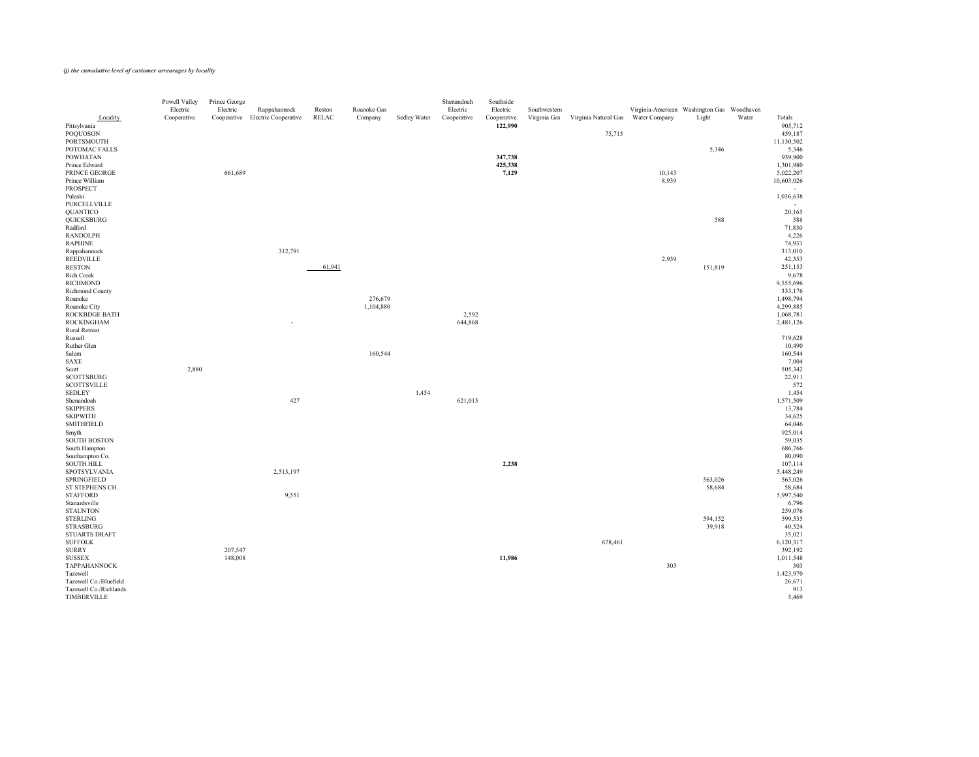| Locality                              | Powell Valley<br>Electric<br>Cooperative | Prince George<br>Electric | Rappahannock<br>Cooperative Electric Cooperative | Reston<br>RELAC | Roanoke Gas<br>Company | Sedley Water | Shenandoah<br>Electric<br>Cooperative | Southside<br>Electric<br>Cooperative | Southwestern<br>Virginia Gas | Virginia Natural Gas Water Company | Virginia-American Washington Gas Woodhaven | Light   | Water | Totals                  |
|---------------------------------------|------------------------------------------|---------------------------|--------------------------------------------------|-----------------|------------------------|--------------|---------------------------------------|--------------------------------------|------------------------------|------------------------------------|--------------------------------------------|---------|-------|-------------------------|
| Pittsylvania<br>POQUOSON              |                                          |                           |                                                  |                 |                        |              |                                       | 122,990                              |                              | 75,715                             |                                            |         |       | 905,712<br>459,187      |
| PORTSMOUTH                            |                                          |                           |                                                  |                 |                        |              |                                       |                                      |                              |                                    |                                            |         |       | 11,130,502              |
| POTOMAC FALLS                         |                                          |                           |                                                  |                 |                        |              |                                       |                                      |                              |                                    |                                            | 5,346   |       | 5,346                   |
| <b>POWHATAN</b>                       |                                          |                           |                                                  |                 |                        |              |                                       | 347,738                              |                              |                                    |                                            |         |       | 939,900                 |
| Prince Edward                         |                                          |                           |                                                  |                 |                        |              |                                       | 425,338                              |                              |                                    |                                            |         |       | 1,301,980               |
| PRINCE GEORGE                         |                                          | 661,689                   |                                                  |                 |                        |              |                                       | 7,129                                |                              |                                    | 10,143                                     |         |       | 5,022,207               |
| Prince William<br>PROSPECT            |                                          |                           |                                                  |                 |                        |              |                                       |                                      |                              |                                    | 8,939                                      |         |       | 10,603,026              |
| Pulaski                               |                                          |                           |                                                  |                 |                        |              |                                       |                                      |                              |                                    |                                            |         |       | $\sim$ $-$<br>1,036,638 |
| PURCELLVILLE                          |                                          |                           |                                                  |                 |                        |              |                                       |                                      |                              |                                    |                                            |         |       | $\sim$ $-$              |
| <b>QUANTICO</b>                       |                                          |                           |                                                  |                 |                        |              |                                       |                                      |                              |                                    |                                            |         |       | 20,165                  |
| QUICKSBURG                            |                                          |                           |                                                  |                 |                        |              |                                       |                                      |                              |                                    |                                            | 588     |       | 588                     |
| Radford                               |                                          |                           |                                                  |                 |                        |              |                                       |                                      |                              |                                    |                                            |         |       | 71,830                  |
| RANDOLPH<br><b>RAPHINE</b>            |                                          |                           |                                                  |                 |                        |              |                                       |                                      |                              |                                    |                                            |         |       | 4,226<br>74,933         |
| Rappahannock                          |                                          |                           | 312,791                                          |                 |                        |              |                                       |                                      |                              |                                    |                                            |         |       | 313,010                 |
| REEDVILLE                             |                                          |                           |                                                  |                 |                        |              |                                       |                                      |                              |                                    | 2,939                                      |         |       | 42,353                  |
| <b>RESTON</b>                         |                                          |                           |                                                  | 61,941          |                        |              |                                       |                                      |                              |                                    |                                            | 151,819 |       | 251,153                 |
| Rich Creek                            |                                          |                           |                                                  |                 |                        |              |                                       |                                      |                              |                                    |                                            |         |       | 9,678                   |
| RICHMOND                              |                                          |                           |                                                  |                 |                        |              |                                       |                                      |                              |                                    |                                            |         |       | 9,555,696               |
| Richmond County                       |                                          |                           |                                                  |                 |                        |              |                                       |                                      |                              |                                    |                                            |         |       | 333,176                 |
| Roanoke<br>Roanoke City               |                                          |                           |                                                  |                 | 276,679<br>1,104,880   |              |                                       |                                      |                              |                                    |                                            |         |       | 1,498,794<br>4,299,885  |
| ROCKBDGE BATH                         |                                          |                           |                                                  |                 |                        |              | 2,592                                 |                                      |                              |                                    |                                            |         |       | 1,068,781               |
| <b>ROCKINGHAM</b>                     |                                          |                           | $\sim$                                           |                 |                        |              | 644,868                               |                                      |                              |                                    |                                            |         |       | 2,481,126               |
| <b>Rural Retreat</b>                  |                                          |                           |                                                  |                 |                        |              |                                       |                                      |                              |                                    |                                            |         |       |                         |
| Russell                               |                                          |                           |                                                  |                 |                        |              |                                       |                                      |                              |                                    |                                            |         |       | 719,628                 |
| Ruther Glen                           |                                          |                           |                                                  |                 |                        |              |                                       |                                      |                              |                                    |                                            |         |       | 10,490                  |
| Salem<br>SAXE                         |                                          |                           |                                                  |                 | 160,544                |              |                                       |                                      |                              |                                    |                                            |         |       | 160,544<br>7,004        |
| Scott                                 | 2,880                                    |                           |                                                  |                 |                        |              |                                       |                                      |                              |                                    |                                            |         |       | 505,342                 |
| <b>SCOTTSBURG</b>                     |                                          |                           |                                                  |                 |                        |              |                                       |                                      |                              |                                    |                                            |         |       | 22,911                  |
| <b>SCOTTSVILLE</b>                    |                                          |                           |                                                  |                 |                        |              |                                       |                                      |                              |                                    |                                            |         |       | 572                     |
| <b>SEDLEY</b>                         |                                          |                           |                                                  |                 |                        | 1,454        |                                       |                                      |                              |                                    |                                            |         |       | 1,454                   |
| Shenandoah                            |                                          |                           | 427                                              |                 |                        |              | 621,013                               |                                      |                              |                                    |                                            |         |       | 1,571,509               |
| <b>SKIPPERS</b>                       |                                          |                           |                                                  |                 |                        |              |                                       |                                      |                              |                                    |                                            |         |       | 13,784                  |
| <b>SKIPWITH</b><br><b>SMITHFIELD</b>  |                                          |                           |                                                  |                 |                        |              |                                       |                                      |                              |                                    |                                            |         |       | 34,625<br>64,046        |
| Smyth                                 |                                          |                           |                                                  |                 |                        |              |                                       |                                      |                              |                                    |                                            |         |       | 925,014                 |
| <b>SOUTH BOSTON</b>                   |                                          |                           |                                                  |                 |                        |              |                                       |                                      |                              |                                    |                                            |         |       | 59,035                  |
| South Hampton                         |                                          |                           |                                                  |                 |                        |              |                                       |                                      |                              |                                    |                                            |         |       | 686,766                 |
| Southampton Co.                       |                                          |                           |                                                  |                 |                        |              |                                       |                                      |                              |                                    |                                            |         |       | 80,090                  |
| <b>SOUTH HILL</b>                     |                                          |                           |                                                  |                 |                        |              |                                       | 2,238                                |                              |                                    |                                            |         |       | 107,114                 |
| SPOTSYLVANIA<br>SPRINGFIELD           |                                          |                           | 2,513,197                                        |                 |                        |              |                                       |                                      |                              |                                    |                                            | 563,026 |       | 5,448,249<br>563,026    |
| ST STEPHENS CH                        |                                          |                           |                                                  |                 |                        |              |                                       |                                      |                              |                                    |                                            | 58,684  |       | 58,684                  |
| <b>STAFFORD</b>                       |                                          |                           | 9,551                                            |                 |                        |              |                                       |                                      |                              |                                    |                                            |         |       | 5,997,540               |
| Stanardsville                         |                                          |                           |                                                  |                 |                        |              |                                       |                                      |                              |                                    |                                            |         |       | 6,796                   |
| <b>STAUNTON</b>                       |                                          |                           |                                                  |                 |                        |              |                                       |                                      |                              |                                    |                                            |         |       | 259,076                 |
| STERLING                              |                                          |                           |                                                  |                 |                        |              |                                       |                                      |                              |                                    |                                            | 594,152 |       | 599,535                 |
| <b>STRASBURG</b>                      |                                          |                           |                                                  |                 |                        |              |                                       |                                      |                              |                                    |                                            | 39,918  |       | 40,524                  |
| STUARTS DRAFT<br><b>SUFFOLK</b>       |                                          |                           |                                                  |                 |                        |              |                                       |                                      |                              | 678,461                            |                                            |         |       | 35,021<br>6,120,317     |
| <b>SURRY</b>                          |                                          | 207,547                   |                                                  |                 |                        |              |                                       |                                      |                              |                                    |                                            |         |       | 392,192                 |
| <b>SUSSEX</b>                         |                                          | 148,008                   |                                                  |                 |                        |              |                                       | 11,986                               |                              |                                    |                                            |         |       | 1,011,548               |
| <b>TAPPAHANNOCK</b>                   |                                          |                           |                                                  |                 |                        |              |                                       |                                      |                              |                                    | 303                                        |         |       | 303                     |
| Tazewell                              |                                          |                           |                                                  |                 |                        |              |                                       |                                      |                              |                                    |                                            |         |       | 1,423,970               |
| Tazewell Co./Bluefield                |                                          |                           |                                                  |                 |                        |              |                                       |                                      |                              |                                    |                                            |         |       | 26,671                  |
| Tazewell Co./Richlands<br>TIMBERVILLE |                                          |                           |                                                  |                 |                        |              |                                       |                                      |                              |                                    |                                            |         |       | 913<br>5,469            |
|                                       |                                          |                           |                                                  |                 |                        |              |                                       |                                      |                              |                                    |                                            |         |       |                         |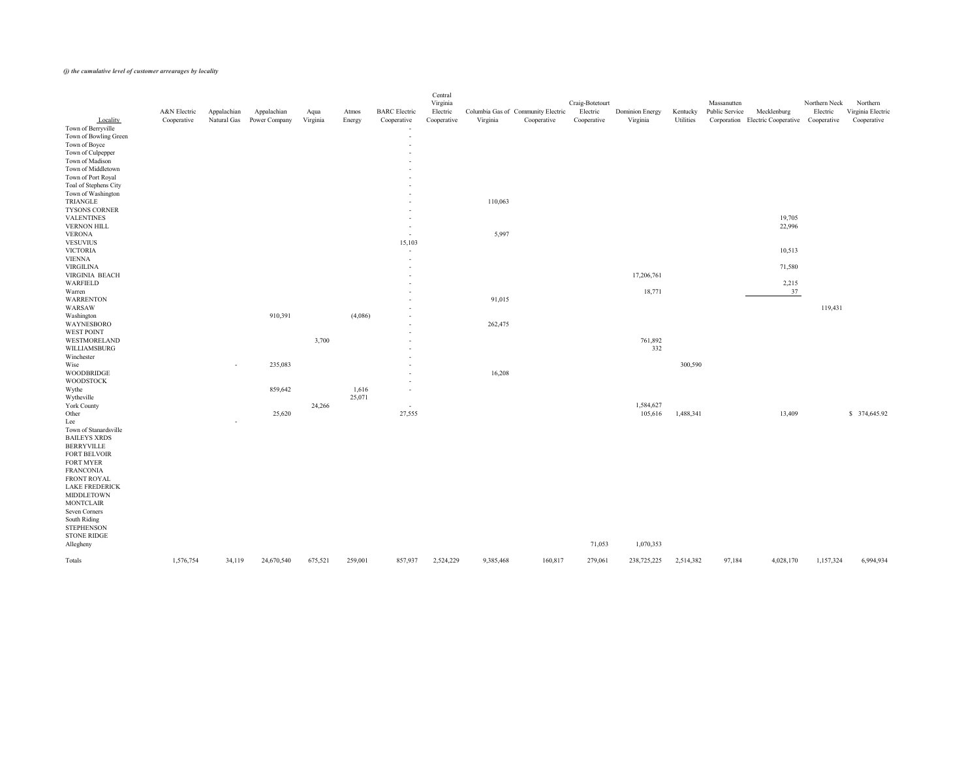|                       | A&N Electric | Appalachian | Appalachian   | Aqua     | Atmos   | <b>BARC</b> Electric     | Central<br>Virginia<br>Electric | Columbia Gas of Community Electric |             | Craig-Botetourt<br>Electric | <b>Dominion Energy</b> | Kentucky  | Massanutten<br>Public Service | Mecklenburg                                  | Northern Neck<br>Electric | Northern<br>Virginia Electric |
|-----------------------|--------------|-------------|---------------|----------|---------|--------------------------|---------------------------------|------------------------------------|-------------|-----------------------------|------------------------|-----------|-------------------------------|----------------------------------------------|---------------------------|-------------------------------|
| Locality              | Cooperative  | Natural Gas | Power Company | Virginia | Energy  | Cooperative              | Cooperative                     | Virginia                           | Cooperative | Cooperative                 | Virginia               | Utilities |                               | Corporation Electric Cooperative Cooperative |                           | Cooperative                   |
| Town of Berryville    |              |             |               |          |         | $\overline{\phantom{m}}$ |                                 |                                    |             |                             |                        |           |                               |                                              |                           |                               |
| Town of Bowling Green |              |             |               |          |         | $\overline{a}$           |                                 |                                    |             |                             |                        |           |                               |                                              |                           |                               |
| Town of Boyce         |              |             |               |          |         | $\overline{\phantom{a}}$ |                                 |                                    |             |                             |                        |           |                               |                                              |                           |                               |
| Town of Culpepper     |              |             |               |          |         | $\overline{\phantom{a}}$ |                                 |                                    |             |                             |                        |           |                               |                                              |                           |                               |
| Town of Madison       |              |             |               |          |         | $\sim$                   |                                 |                                    |             |                             |                        |           |                               |                                              |                           |                               |
| Town of Middletown    |              |             |               |          |         | $\sim$                   |                                 |                                    |             |                             |                        |           |                               |                                              |                           |                               |
| Town of Port Royal    |              |             |               |          |         | $\sim$                   |                                 |                                    |             |                             |                        |           |                               |                                              |                           |                               |
| Toal of Stephens City |              |             |               |          |         | $\sim$                   |                                 |                                    |             |                             |                        |           |                               |                                              |                           |                               |
| Town of Washington    |              |             |               |          |         | $\sim$                   |                                 |                                    |             |                             |                        |           |                               |                                              |                           |                               |
| TRIANGLE              |              |             |               |          |         | $\sim$                   |                                 | 110,063                            |             |                             |                        |           |                               |                                              |                           |                               |
| TYSONS CORNER         |              |             |               |          |         | $\sim$                   |                                 |                                    |             |                             |                        |           |                               |                                              |                           |                               |
| <b>VALENTINES</b>     |              |             |               |          |         | $\sim$                   |                                 |                                    |             |                             |                        |           |                               | 19,705                                       |                           |                               |
| VERNON HILL           |              |             |               |          |         | $\sim$                   |                                 |                                    |             |                             |                        |           |                               | 22,996                                       |                           |                               |
| <b>VERONA</b>         |              |             |               |          |         | $\sim$                   |                                 | 5,997                              |             |                             |                        |           |                               |                                              |                           |                               |
| <b>VESUVIUS</b>       |              |             |               |          |         | 15,103                   |                                 |                                    |             |                             |                        |           |                               |                                              |                           |                               |
| <b>VICTORIA</b>       |              |             |               |          |         | $\overline{a}$           |                                 |                                    |             |                             |                        |           |                               | 10,513                                       |                           |                               |
| <b>VIENNA</b>         |              |             |               |          |         | $\overline{a}$           |                                 |                                    |             |                             |                        |           |                               |                                              |                           |                               |
| <b>VIRGILINA</b>      |              |             |               |          |         | $\overline{\phantom{0}}$ |                                 |                                    |             |                             |                        |           |                               | 71,580                                       |                           |                               |
| VIRGINIA BEACH        |              |             |               |          |         | $\sim$                   |                                 |                                    |             |                             | 17,206,761             |           |                               |                                              |                           |                               |
| WARFIELD              |              |             |               |          |         | $\sim$                   |                                 |                                    |             |                             |                        |           |                               | 2,215                                        |                           |                               |
| Warren                |              |             |               |          |         | $\sim$                   |                                 |                                    |             |                             | 18,771                 |           |                               | 37                                           |                           |                               |
| <b>WARRENTON</b>      |              |             |               |          |         | $\overline{a}$           |                                 | 91,015                             |             |                             |                        |           |                               |                                              |                           |                               |
| WARSAW                |              |             |               |          |         | $\sim$                   |                                 |                                    |             |                             |                        |           |                               |                                              | 119,431                   |                               |
| Washington            |              |             | 910,391       |          | (4,086) | $\sim$                   |                                 |                                    |             |                             |                        |           |                               |                                              |                           |                               |
| WAYNESBORO            |              |             |               |          |         | $\sim$                   |                                 | 262,475                            |             |                             |                        |           |                               |                                              |                           |                               |
| WEST POINT            |              |             |               |          |         | $\sim$                   |                                 |                                    |             |                             |                        |           |                               |                                              |                           |                               |
| WESTMORELAND          |              |             |               | 3,700    |         | $\sim$                   |                                 |                                    |             |                             | 761,892                |           |                               |                                              |                           |                               |
| WILLIAMSBURG          |              |             |               |          |         |                          |                                 |                                    |             |                             | 332                    |           |                               |                                              |                           |                               |
| Winchester            |              |             |               |          |         | $\sim$                   |                                 |                                    |             |                             |                        |           |                               |                                              |                           |                               |
| Wise                  |              |             | 235,083       |          |         | $\sim$                   |                                 |                                    |             |                             |                        | 300,590   |                               |                                              |                           |                               |
| WOODBRIDGE            |              | $\sim$      |               |          |         | $\sim$                   |                                 | 16,208                             |             |                             |                        |           |                               |                                              |                           |                               |
| WOODSTOCK             |              |             |               |          |         | $\sim$                   |                                 |                                    |             |                             |                        |           |                               |                                              |                           |                               |
|                       |              |             |               |          |         | $\sim$                   |                                 |                                    |             |                             |                        |           |                               |                                              |                           |                               |
| Wythe                 |              |             | 859,642       |          | 1,616   | $\sim$                   |                                 |                                    |             |                             |                        |           |                               |                                              |                           |                               |
| Wytheville            |              |             |               |          | 25,071  |                          |                                 |                                    |             |                             |                        |           |                               |                                              |                           |                               |
| York County           |              |             |               | 24,266   |         | $\sim$                   |                                 |                                    |             |                             | 1,584,627              |           |                               |                                              |                           |                               |
| Other                 |              |             | 25,620        |          |         | 27,555                   |                                 |                                    |             |                             | 105,616                | 1,488,341 |                               | 13,409                                       |                           | \$374,645.92                  |
| Lee                   |              | $\sim$      |               |          |         |                          |                                 |                                    |             |                             |                        |           |                               |                                              |                           |                               |
| Town of Stanardsville |              |             |               |          |         |                          |                                 |                                    |             |                             |                        |           |                               |                                              |                           |                               |
| <b>BAILEYS XRDS</b>   |              |             |               |          |         |                          |                                 |                                    |             |                             |                        |           |                               |                                              |                           |                               |
| <b>BERRYVILLE</b>     |              |             |               |          |         |                          |                                 |                                    |             |                             |                        |           |                               |                                              |                           |                               |
| FORT BELVOIR          |              |             |               |          |         |                          |                                 |                                    |             |                             |                        |           |                               |                                              |                           |                               |
| FORT MYER             |              |             |               |          |         |                          |                                 |                                    |             |                             |                        |           |                               |                                              |                           |                               |
| <b>FRANCONIA</b>      |              |             |               |          |         |                          |                                 |                                    |             |                             |                        |           |                               |                                              |                           |                               |
| FRONT ROYAL           |              |             |               |          |         |                          |                                 |                                    |             |                             |                        |           |                               |                                              |                           |                               |
| LAKE FREDERICK        |              |             |               |          |         |                          |                                 |                                    |             |                             |                        |           |                               |                                              |                           |                               |
| MIDDLETOWN            |              |             |               |          |         |                          |                                 |                                    |             |                             |                        |           |                               |                                              |                           |                               |
| <b>MONTCLAIR</b>      |              |             |               |          |         |                          |                                 |                                    |             |                             |                        |           |                               |                                              |                           |                               |
| Seven Corners         |              |             |               |          |         |                          |                                 |                                    |             |                             |                        |           |                               |                                              |                           |                               |
| South Riding          |              |             |               |          |         |                          |                                 |                                    |             |                             |                        |           |                               |                                              |                           |                               |
| <b>STEPHENSON</b>     |              |             |               |          |         |                          |                                 |                                    |             |                             |                        |           |                               |                                              |                           |                               |
| STONE RIDGE           |              |             |               |          |         |                          |                                 |                                    |             |                             |                        |           |                               |                                              |                           |                               |
| Allegheny             |              |             |               |          |         |                          |                                 |                                    |             | 71,053                      | 1,070,353              |           |                               |                                              |                           |                               |
| Totals                | 1,576,754    | 34,119      | 24,670,540    | 675,521  | 259,001 | 857,937                  | 2,524,229                       | 9,385,468                          | 160,817     | 279,061                     | 238,725,225            | 2,514,382 | 97,184                        | 4,028,170                                    | 1,157,324                 | 6,994,934                     |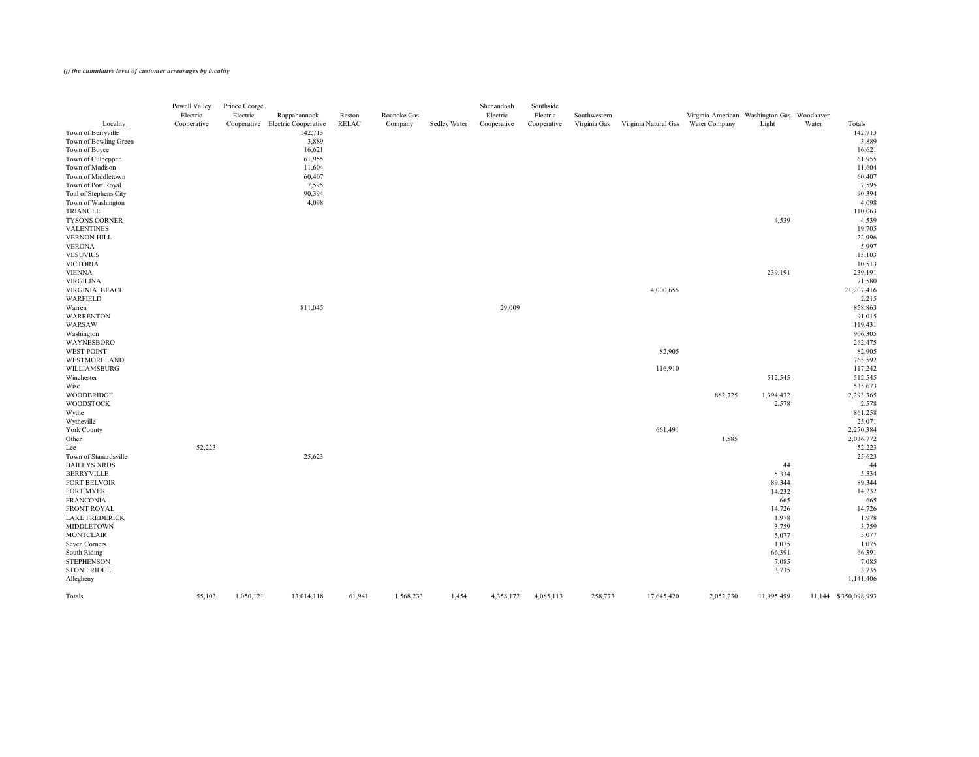|                                  | Powell Valley<br>Electric | Prince George<br>Electric | Rappahannock                                | Reston | Roanoke Gas |              | Shenandoah<br>Electric | Southside<br>Electric | Southwestern |                      | Virginia-American Washington Gas Woodhaven |               |       |                      |
|----------------------------------|---------------------------|---------------------------|---------------------------------------------|--------|-------------|--------------|------------------------|-----------------------|--------------|----------------------|--------------------------------------------|---------------|-------|----------------------|
| Locality<br>Town of Berryville   | Cooperative               |                           | Cooperative Electric Cooperative<br>142,713 | RELAC  | Company     | Sedley Water | Cooperative            | Cooperative           | Virginia Gas | Virginia Natural Gas | <b>Water Company</b>                       | Light         | Water | Totals<br>142,713    |
| Town of Bowling Green            |                           |                           | 3,889                                       |        |             |              |                        |                       |              |                      |                                            |               |       | 3,889                |
| Town of Boyce                    |                           |                           | 16,621                                      |        |             |              |                        |                       |              |                      |                                            |               |       | 16,621               |
| Town of Culpepper                |                           |                           | 61,955                                      |        |             |              |                        |                       |              |                      |                                            |               |       | 61,955               |
| Town of Madison                  |                           |                           | 11,604                                      |        |             |              |                        |                       |              |                      |                                            |               |       | 11,604               |
| Town of Middletown               |                           |                           | 60,407                                      |        |             |              |                        |                       |              |                      |                                            |               |       | 60,407               |
| Town of Port Royal               |                           |                           | 7,595                                       |        |             |              |                        |                       |              |                      |                                            |               |       | 7,595                |
| Toal of Stephens City            |                           |                           | 90,394                                      |        |             |              |                        |                       |              |                      |                                            |               |       | 90,394               |
| Town of Washington               |                           |                           | 4,098                                       |        |             |              |                        |                       |              |                      |                                            |               |       | 4,098                |
| TRIANGLE                         |                           |                           |                                             |        |             |              |                        |                       |              |                      |                                            |               |       | 110,063              |
| TYSONS CORNER                    |                           |                           |                                             |        |             |              |                        |                       |              |                      |                                            | 4,539         |       | 4,539                |
| <b>VALENTINES</b>                |                           |                           |                                             |        |             |              |                        |                       |              |                      |                                            |               |       | 19,705               |
| <b>VERNON HILL</b>               |                           |                           |                                             |        |             |              |                        |                       |              |                      |                                            |               |       | 22,996               |
| <b>VERONA</b><br><b>VESUVIUS</b> |                           |                           |                                             |        |             |              |                        |                       |              |                      |                                            |               |       | 5,997<br>15,103      |
| <b>VICTORIA</b>                  |                           |                           |                                             |        |             |              |                        |                       |              |                      |                                            |               |       | 10,513               |
| <b>VIENNA</b>                    |                           |                           |                                             |        |             |              |                        |                       |              |                      |                                            | 239,191       |       | 239,191              |
| <b>VIRGILINA</b>                 |                           |                           |                                             |        |             |              |                        |                       |              |                      |                                            |               |       | 71,580               |
| VIRGINIA BEACH                   |                           |                           |                                             |        |             |              |                        |                       |              | 4,000,655            |                                            |               |       | 21, 207, 416         |
| WARFIELD                         |                           |                           |                                             |        |             |              |                        |                       |              |                      |                                            |               |       | 2,215                |
| Warren                           |                           |                           | 811,045                                     |        |             |              | 29,009                 |                       |              |                      |                                            |               |       | 858,863              |
| <b>WARRENTON</b>                 |                           |                           |                                             |        |             |              |                        |                       |              |                      |                                            |               |       | 91,015               |
| WARSAW                           |                           |                           |                                             |        |             |              |                        |                       |              |                      |                                            |               |       | 119,431              |
| Washington                       |                           |                           |                                             |        |             |              |                        |                       |              |                      |                                            |               |       | 906,305              |
| WAYNESBORO                       |                           |                           |                                             |        |             |              |                        |                       |              |                      |                                            |               |       | 262,475              |
| WEST POINT                       |                           |                           |                                             |        |             |              |                        |                       |              | 82,905               |                                            |               |       | 82,905               |
| WESTMORELAND                     |                           |                           |                                             |        |             |              |                        |                       |              |                      |                                            |               |       | 765,592              |
| WILLIAMSBURG                     |                           |                           |                                             |        |             |              |                        |                       |              | 116,910              |                                            |               |       | 117,242              |
| Winchester<br>Wise               |                           |                           |                                             |        |             |              |                        |                       |              |                      |                                            | 512,545       |       | 512,545<br>535,673   |
| <b>WOODBRIDGE</b>                |                           |                           |                                             |        |             |              |                        |                       |              |                      | 882,725                                    | 1,394,432     |       | 2,293,365            |
| <b>WOODSTOCK</b>                 |                           |                           |                                             |        |             |              |                        |                       |              |                      |                                            | 2,578         |       | 2,578                |
| Wythe                            |                           |                           |                                             |        |             |              |                        |                       |              |                      |                                            |               |       | 861,258              |
| Wytheville                       |                           |                           |                                             |        |             |              |                        |                       |              |                      |                                            |               |       | 25,071               |
| <b>York County</b>               |                           |                           |                                             |        |             |              |                        |                       |              | 661,491              |                                            |               |       | 2,270,384            |
| Other                            |                           |                           |                                             |        |             |              |                        |                       |              |                      | 1,585                                      |               |       | 2,036,772            |
| Lee                              | 52,223                    |                           |                                             |        |             |              |                        |                       |              |                      |                                            |               |       | 52,223               |
| Town of Stanardsville            |                           |                           | 25,623                                      |        |             |              |                        |                       |              |                      |                                            |               |       | 25,623               |
| <b>BAILEYS XRDS</b>              |                           |                           |                                             |        |             |              |                        |                       |              |                      |                                            | 44            |       | 44                   |
| <b>BERRYVILLE</b>                |                           |                           |                                             |        |             |              |                        |                       |              |                      |                                            | 5,334         |       | 5,334                |
| FORT BELVOIR                     |                           |                           |                                             |        |             |              |                        |                       |              |                      |                                            | 89,344        |       | 89,344               |
| FORT MYER                        |                           |                           |                                             |        |             |              |                        |                       |              |                      |                                            | 14,232        |       | 14,232               |
| <b>FRANCONIA</b><br>FRONT ROYAL  |                           |                           |                                             |        |             |              |                        |                       |              |                      |                                            | 665<br>14,726 |       | 665<br>14,726        |
| <b>LAKE FREDERICK</b>            |                           |                           |                                             |        |             |              |                        |                       |              |                      |                                            | 1,978         |       | 1,978                |
| MIDDLETOWN                       |                           |                           |                                             |        |             |              |                        |                       |              |                      |                                            | 3,759         |       | 3,759                |
| <b>MONTCLAIR</b>                 |                           |                           |                                             |        |             |              |                        |                       |              |                      |                                            | 5,077         |       | 5,077                |
| <b>Seven Corners</b>             |                           |                           |                                             |        |             |              |                        |                       |              |                      |                                            | 1,075         |       | 1,075                |
| South Riding                     |                           |                           |                                             |        |             |              |                        |                       |              |                      |                                            | 66,391        |       | 66,391               |
| <b>STEPHENSON</b>                |                           |                           |                                             |        |             |              |                        |                       |              |                      |                                            | 7,085         |       | 7,085                |
| <b>STONE RIDGE</b>               |                           |                           |                                             |        |             |              |                        |                       |              |                      |                                            | 3,735         |       | 3,735                |
| Allegheny                        |                           |                           |                                             |        |             |              |                        |                       |              |                      |                                            |               |       | 1,141,406            |
| Totals                           | 55,103                    | 1,050,121                 | 13,014,118                                  | 61,941 | 1,568,233   | 1,454        | 4,358,172              | 4,085,113             | 258,773      | 17,645,420           | 2,052,230                                  | 11,995,499    |       | 11,144 \$350,098,993 |